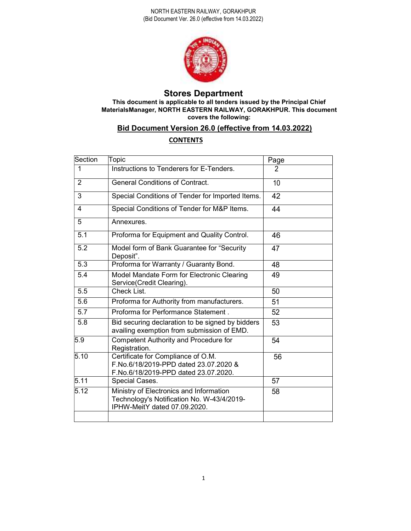

# Stores Department

This document is applicable to all tenders issued by the Principal Chief MaterialsManager, NORTH EASTERN RAILWAY, GORAKHPUR. This document covers the following:

# Bid Document Version 26.0 (effective from 14.03.2022)

# **CONTENTS**

| Section          | Topic                                                                                                                 | Page           |
|------------------|-----------------------------------------------------------------------------------------------------------------------|----------------|
| 1                | Instructions to Tenderers for E-Tenders.                                                                              | $\overline{2}$ |
| 2                | <b>General Conditions of Contract.</b>                                                                                | 10             |
| 3                | Special Conditions of Tender for Imported Items.                                                                      | 42             |
| $\overline{4}$   | Special Conditions of Tender for M&P Items.                                                                           | 44             |
| 5                | Annexures.                                                                                                            |                |
| 5.1              | Proforma for Equipment and Quality Control.                                                                           | 46             |
| 5.2              | Model form of Bank Guarantee for "Security<br>Deposit".                                                               | 47             |
| $\overline{5.3}$ | Proforma for Warranty / Guaranty Bond.                                                                                | 48             |
| 5.4              | Model Mandate Form for Electronic Clearing<br>Service(Credit Clearing).                                               | 49             |
| 5.5              | Check List.                                                                                                           | 50             |
| 5.6              | Proforma for Authority from manufacturers.                                                                            | 51             |
| 5.7              | Proforma for Performance Statement.                                                                                   | 52             |
| 5.8              | Bid securing declaration to be signed by bidders<br>availing exemption from submission of EMD.                        | 53             |
| 5.9              | Competent Authority and Procedure for<br>Registration.                                                                | 54             |
| 5.10             | Certificate for Compliance of O.M.<br>F.No.6/18/2019-PPD dated 23.07.2020 &<br>F.No.6/18/2019-PPD dated 23.07.2020.   | 56             |
| 5.11             | Special Cases.                                                                                                        | 57             |
| 5.12             | Ministry of Electronics and Information<br>Technology's Notification No. W-43/4/2019-<br>IPHW-MeitY dated 07.09.2020. | 58             |
|                  |                                                                                                                       |                |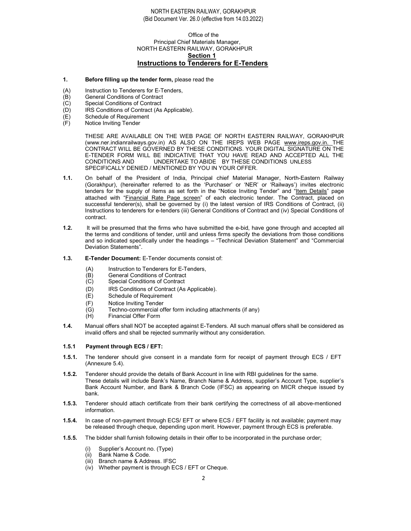#### Office of the Principal Chief Materials Manager, NORTH EASTERN RAILWAY, GORAKHPUR Section 1 Instructions to Tenderers for E-Tenders

#### 1. Before filling up the tender form, please read the

- (A) Instruction to Tenderers for E-Tenders,
- (B) General Conditions of Contract<br>(C) Special Conditions of Contract
- (C) Special Conditions of Contract<br>(D) IRS Conditions of Contract (As
- IRS Conditions of Contract (As Applicable).
- (E) Schedule of Requirement
- (F) Notice Inviting Tender

THESE ARE AVAILABLE ON THE WEB PAGE OF NORTH EASTERN RAILWAY, GORAKHPUR (www.ner.indianrailways.gov.in) AS ALSO ON THE IREPS WEB PAGE www.ireps.gov.in. THE CONTRACT WILL BE GOVERNED BY THESE CONDITIONS. YOUR DIGITAL SIGNATURE ON THE E-TENDER FORM WILL BE INDICATIVE THAT YOU HAVE READ AND ACCEPTED ALL THE CONDITIONS AND UNDERTAKE TO ABIDE BY THESE CONDITIONS UNLESS SPECIFICALLY DENIED / MENTIONED BY YOU IN YOUR OFFER.

- 1.1. On behalf of the President of India, Principal chief Material Manager, North-Eastern Railway (Gorakhpur), (hereinafter referred to as the 'Purchaser' or 'NER' or 'Railways') invites electronic tenders for the supply of items as set forth in the "Notice Inviting Tender" and "Item Details" page attached with "Financial Rate Page screen" of each electronic tender. The Contract, placed on successful tenderer(s), shall be governed by (i) the latest version of IRS Conditions of Contract, (ii) Instructions to tenderers for e-tenders (iii) General Conditions of Contract and (iv) Special Conditions of contract.
- 1.2. It will be presumed that the firms who have submitted the e-bid, have gone through and accepted all the terms and conditions of tender, until and unless firms specify the deviations from those conditions and so indicated specifically under the headings – "Technical Deviation Statement" and "Commercial Deviation Statements".
- 1.3. E-Tender Document: E-Tender documents consist of:
	- (A) Instruction to Tenderers for E-Tenders,<br>(B) General Conditions of Contract
	- **General Conditions of Contract**
	- (C) Special Conditions of Contract
	- (D) IRS Conditions of Contract (As Applicable).
	- (E) Schedule of Requirement
	- (F) Notice Inviting Tender<br>(G) Techno-commercial of
	- Techno-commercial offer form including attachments (if any)
	- (H) Financial Offer Form
- 1.4. Manual offers shall NOT be accepted against E-Tenders. All such manual offers shall be considered as invalid offers and shall be rejected summarily without any consideration.

#### 1.5.1 Payment through ECS / EFT:

- 1.5.1. The tenderer should give consent in a mandate form for receipt of payment through ECS / EFT (Annexure 5.4).
- 1.5.2. Tenderer should provide the details of Bank Account in line with RBI guidelines for the same. These details will include Bank's Name, Branch Name & Address, supplier's Account Type, supplier's Bank Account Number, and Bank & Branch Code (IFSC) as appearing on MICR cheque issued by bank.
- 1.5.3. Tenderer should attach certificate from their bank certifying the correctness of all above-mentioned information.
- 1.5.4. In case of non-payment through ECS/ EFT or where ECS / EFT facility is not available; payment may be released through cheque, depending upon merit. However, payment through ECS is preferable.
- 1.5.5. The bidder shall furnish following details in their offer to be incorporated in the purchase order;
	- Supplier's Account no. (Type)
	- (ii) Bank Name & Code.
	- (iii) Branch name & Address. IFSC
	- (iv) Whether payment is through ECS / EFT or Cheque.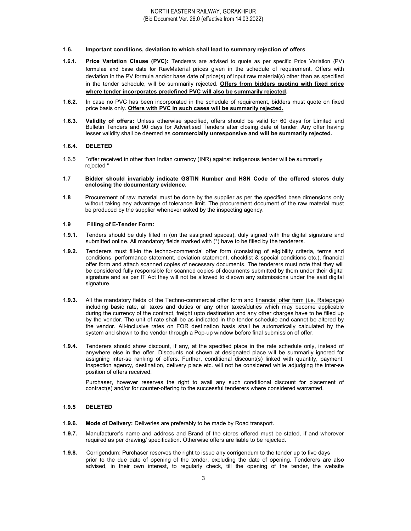#### 1.6. Important conditions, deviation to which shall lead to summary rejection of offers

- 1.6.1. Price Variation Clause (PVC): Tenderers are advised to quote as per specific Price Variation (PV) formulae and base date for RawMaterial prices given in the schedule of requirement. Offers with deviation in the PV formula and/or base date of price(s) of input raw material(s) other than as specified in the tender schedule, will be summarily rejected. Offers from bidders quoting with fixed price where tender incorporates predefined PVC will also be summarily rejected.
- 1.6.2. In case no PVC has been incorporated in the schedule of requirement, bidders must quote on fixed price basis only. Offers with PVC in such cases will be summarily rejected.
- 1.6.3. Validity of offers: Unless otherwise specified, offers should be valid for 60 days for Limited and Bulletin Tenders and 90 days for Advertised Tenders after closing date of tender. Any offer having lesser validity shall be deemed as commercially unresponsive and will be summarily rejected.

#### 1.6.4. DELETED

1.6.5 "offer received in other than Indian currency (INR) against indigenous tender will be summarily rejected "

#### 1.7 Bidder should invariably indicate GSTIN Number and HSN Code of the offered stores duly enclosing the documentary evidence.

1.8 Procurement of raw material must be done by the supplier as per the specified base dimensions only without taking any advantage of tolerance limit. The procurement document of the raw material must be produced by the supplier whenever asked by the inspecting agency.

#### 1.9 Filling of E-Tender Form:

- 1.9.1. Tenders should be duly filled in (on the assigned spaces), duly signed with the digital signature and submitted online. All mandatory fields marked with (\*) have to be filled by the tenderers.
- 1.9.2. Tenderers must fill-in the techno-commercial offer form (consisting of eligibility criteria, terms and conditions, performance statement, deviation statement, checklist & special conditions etc.), financial offer form and attach scanned copies of necessary documents. The tenderers must note that they will be considered fully responsible for scanned copies of documents submitted by them under their digital signature and as per IT Act they will not be allowed to disown any submissions under the said digital signature.
- 1.9.3. All the mandatory fields of the Techno-commercial offer form and financial offer form (i.e. Ratepage) including basic rate, all taxes and duties or any other taxes/duties which may become applicable during the currency of the contract, freight upto destination and any other charges have to be filled up by the vendor. The unit of rate shall be as indicated in the tender schedule and cannot be altered by the vendor. All-inclusive rates on FOR destination basis shall be automatically calculated by the system and shown to the vendor through a Pop-up window before final submission of offer.
- 1.9.4. Tenderers should show discount, if any, at the specified place in the rate schedule only, instead of anywhere else in the offer. Discounts not shown at designated place will be summarily ignored for assigning inter-se ranking of offers. Further, conditional discount(s) linked with quantity, payment, Inspection agency, destination, delivery place etc. will not be considered while adjudging the inter-se position of offers received.

Purchaser, however reserves the right to avail any such conditional discount for placement of contract(s) and/or for counter-offering to the successful tenderers where considered warranted.

#### 1.9.5 DELETED

- 1.9.6. Mode of Delivery: Deliveries are preferably to be made by Road transport.
- 1.9.7. Manufacturer's name and address and Brand of the stores offered must be stated, if and wherever required as per drawing/ specification. Otherwise offers are liable to be rejected.
- 1.9.8. Corrigendum: Purchaser reserves the right to issue any corrigendum to the tender up to five days prior to the due date of opening of the tender, excluding the date of opening. Tenderers are also advised, in their own interest, to regularly check, till the opening of the tender, the website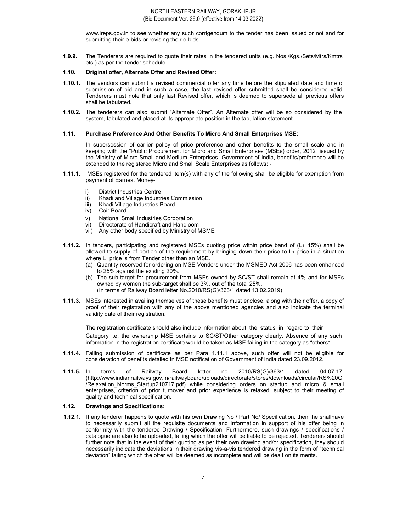www.ireps.gov.in to see whether any such corrigendum to the tender has been issued or not and for submitting their e-bids or revising their e-bids.

1.9.9. The Tenderers are required to quote their rates in the tendered units (e.g. Nos./Kgs./Sets/Mtrs/Kmtrs etc.) as per the tender schedule.

#### 1.10. Original offer, Alternate Offer and Revised Offer:

- 1.10.1. The vendors can submit a revised commercial offer any time before the stipulated date and time of submission of bid and in such a case, the last revised offer submitted shall be considered valid. Tenderers must note that only last Revised offer, which is deemed to supersede all previous offers shall be tabulated.
- 1.10.2. The tenderers can also submit "Alternate Offer". An Alternate offer will be so considered by the system, tabulated and placed at its appropriate position in the tabulation statement.

#### 1.11. Purchase Preference And Other Benefits To Micro And Small Enterprises MSE:

In supersession of earlier policy of price preference and other benefits to the small scale and in keeping with the "Public Procurement for Micro and Small Enterprises (MSEs) order, 2012" issued by the Ministry of Micro Small and Medium Enterprises, Government of India, benefits/preference will be extended to the registered Micro and Small Scale Enterprises as follows: -

- 1.11.1. MSEs registered for the tendered item(s) with any of the following shall be eligible for exemption from payment of Earnest Money
	- i) District Industries Centre
	- ii) Khadi and Village Industries Commission
	- iii) Khadi Village Industries Board
	- iv) Coir Board
	- v) National Small Industries Corporation
	- vi) Directorate of Handicraft and Handloom
	- vii) Any other body specified by Ministry of MSME
- 1.11.2. In tenders, participating and registered MSEs quoting price within price band of (L<sub>1</sub>+15%) shall be allowed to supply of portion of the requirement by bringing down their price to  $L_1$  price in a situation where L<sub>1</sub> price is from Tender other than an MSE.
	- (a) Quantity reserved for ordering on MSE Vendors under the MSMED Act 2006 has been enhanced to 25% against the existing 20%.
	- (b) The sub-target for procurement from MSEs owned by SC/ST shall remain at 4% and for MSEs owned by women the sub-target shall be 3%, out of the total 25%. (In terms of Railway Board letter No.2010/RS(G)/363/1 dated 13.02.2019)
- 1.11.3. MSEs interested in availing themselves of these benefits must enclose, along with their offer, a copy of proof of their registration with any of the above mentioned agencies and also indicate the terminal validity date of their registration.

The registration certificate should also include information about the status in regard to their Category i.e. the ownership MSE pertains to SC/ST/Other category clearly. Absence of any such information in the registration certificate would be taken as MSE failing in the category as "others".

- 1.11.4. Failing submission of certificate as per Para 1.11.1 above, such offer will not be eligible for consideration of benefits detailed in MSE notification of Government of India dated 23.09.2012.
- 1.11.5. In terms of Railway Board letter no 2010/RS(G)/363/1 dated 04.07.17, (http://www.indianrailways.gov.in/railwayboard/uploads/directorate/stores/downloads/circular/RS%20G /Relaxation\_Norms\_Startup210717.pdf) while considering orders on startup and micro & small enterprises, criterion of prior turnover and prior experience is relaxed, subject to their meeting of quality and technical specification.

#### 1.12. Drawings and Specifications:

1.12.1. If any tenderer happens to quote with his own Drawing No / Part No/ Specification, then, he shallhave to necessarily submit all the requisite documents and information in support of his offer being in conformity with the tendered Drawing / Specification. Furthermore, such drawings / specifications / catalogue are also to be uploaded, failing which the offer will be liable to be rejected. Tenderers should further note that in the event of their quoting as per their own drawing and/or specification, they should necessarily indicate the deviations in their drawing vis-a-vis tendered drawing in the form of "technical deviation" failing which the offer will be deemed as incomplete and will be dealt on its merits.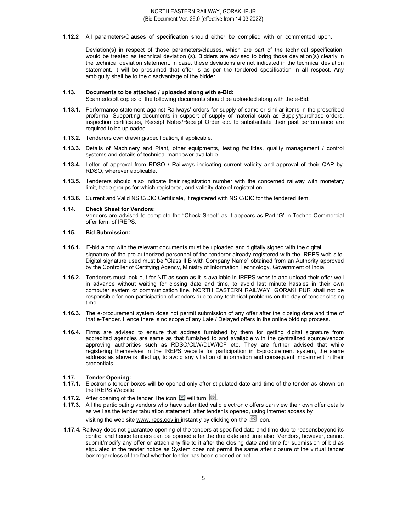1.12.2 All parameters/Clauses of specification should either be complied with or commented upon.

Deviation(s) in respect of those parameters/clauses, which are part of the technical specification, would be treated as technical deviation (s). Bidders are advised to bring those deviation(s) clearly in the technical deviation statement. In case, these deviations are not indicated in the technical deviation statement, it will be presumed that offer is as per the tendered specification in all respect. Any ambiguity shall be to the disadvantage of the bidder.

#### 1.13. Documents to be attached / uploaded along with e-Bid:

Scanned/soft copies of the following documents should be uploaded along with the e-Bid:

- 1.13.1. Performance statement against Railways' orders for supply of same or similar items in the prescribed proforma. Supporting documents in support of supply of material such as Supply/purchase orders, inspection certificates, Receipt Notes/Receipt Order etc. to substantiate their past performance are required to be uploaded.
- 1.13.2. Tenderers own drawing/specification, if applicable.
- 1.13.3. Details of Machinery and Plant, other equipments, testing facilities, quality management / control systems and details of technical manpower available.
- 1.13.4. Letter of approval from RDSO / Railways indicating current validity and approval of their QAP by RDSO, wherever applicable.
- 1.13.5. Tenderers should also indicate their registration number with the concerned railway with monetary limit, trade groups for which registered, and validity date of registration,
- 1.13.6. Current and Valid NSIC/DIC Certificate, if registered with NSIC/DIC for the tendered item.
- 1.14. Check Sheet for Vendors: Vendors are advised to complete the "Check Sheet" as it appears as Part-'G' in Techno-Commercial offer form of IREPS.

#### 1.15. Bid Submission:

- 1.16.1. E-bid along with the relevant documents must be uploaded and digitally signed with the digital signature of the pre-authorized personnel of the tenderer already registered with the IREPS web site. Digital signature used must be "Class IIIB with Company Name" obtained from an Authority approved by the Controller of Certifying Agency, Ministry of Information Technology, Government of India.
- 1.16.2. Tenderers must look out for NIT as soon as it is available in IREPS website and upload their offer well in advance without waiting for closing date and time, to avoid last minute hassles in their own computer system or communication line. NORTH EASTERN RAILWAY, GORAKHPUR shall not be responsible for non-participation of vendors due to any technical problems on the day of tender closing time..
- 1.16.3. The e-procurement system does not permit submission of any offer after the closing date and time of that e-Tender. Hence there is no scope of any Late / Delayed offers in the online bidding process.
- 1.16.4. Firms are advised to ensure that address furnished by them for getting digital signature from accredited agencies are same as that furnished to and available with the centralized source/vendor approving authorities such as RDSO/CLW/DLW/ICF etc. They are further advised that while registering themselves in the IREPS website for participation in E-procurement system, the same address as above is filled up, to avoid any vitiation of information and consequent impairment in their credentials.

#### 1.17. Tender Opening:

- 1.17.1. Electronic tender boxes will be opened only after stipulated date and time of the tender as shown on the IREPS Website.
- **1.17.2.** After opening of the tender The icon  $\boxtimes$  will turn  $\boxtimes$ .
- 1.17.3. All the participating vendors who have submitted valid electronic offers can view their own offer details as well as the tender tabulation statement, after tender is opened, using internet access by visiting the web site www.ireps.gov.in instantly by clicking on the  $\boxtimes$  icon.
	-
- 1.17.4. Railway does not guarantee opening of the tenders at specified date and time due to reasonsbeyond its control and hence tenders can be opened after the due date and time also. Vendors, however, cannot submit/modify any offer or attach any file to it after the closing date and time for submission of bid as stipulated in the tender notice as System does not permit the same after closure of the virtual tender box regardless of the fact whether tender has been opened or not.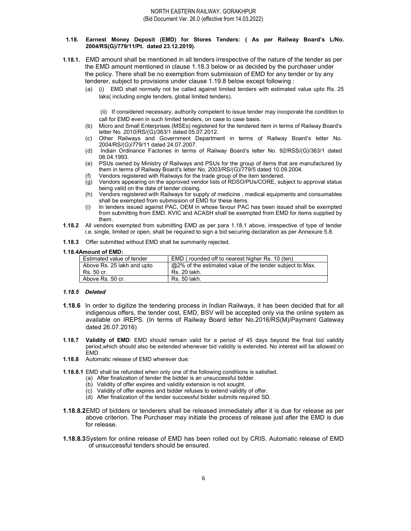#### 1.18. Earnest Money Deposit (EMD) for Stores Tenders: ( As per Railway Board's L/No. 2004/RS(G)/779/11/Pt. dated 23.12.2019).

- 1.18.1. EMD amount shall be mentioned in all tenders irrespective of the nature of the tender as per the EMD amount mentioned in clause 1.18.3 below or as decided by the purchaser under the policy. There shall be no exemption from submission of EMD for any tender or by any tenderer, subject to provisions under clause 1.19.8 below except following :
	- (a) (i) EMD shall normally not be called against limited tenders with estimated value upto Rs. 25 laks( including single tenders, global limited tenders).

 (ii) If considered necessary, authority competent to issue tender may incoporate the condition to call for EMD even in such limited tenders, on case to case basis.

- (b) Micro and Small Enterprises (MSEs) registered for the tendered item in terms of Railway Board's letter No. 2010/RS/(G)/363/1 dated 05.07.2012.
- (c) Other Railways and Government Department in terms of Railway Board's letter No. 2004/RS/(G)/779/11 dated 24.07.2007.
- (d) Indian Ordinance Factories in terms of Railway Board's letter No. 92/RSS/(G)/363/1 dated 08.04.1993.
- (e) PSUs owned by Ministry of Railways and PSUs for the group of items that are manufactured by them in terms of Railway Board's letter No. 2003/RS/(G)/779/5 dated 10.09.2004.
- Vendors registered with Railways for the trade group of the item tendered.
- (g) Vendors appearing on the approved vendor lists of RDSO/PUs/CORE, subject to approval status being valid on the date of tender closing.
- (h) Vendors registered with Railways for supply of medicine , medical equipments and consumables shall be exempted from submission of EMD for these items.
- (i) In tenders issued against PAC, OEM in whose favour PAC has been issued shall be exempted from submitting from EMD. KVIC and ACASH shall be exempted from EMD for items supplied by them.
- 1.18.2 All vendors exempted from submitting EMD as per para 1.18.1 above, irrespective of type of tender i.e. single, limited or open, shall be required to sign a bid securing declaration as per Annexure 5.8.
- 1.18.3 Offer submitted without EMD shall be summarily rejected.

#### 1.18.4Amount of EMD:

| Estimated value of tender  | EMD (rounded off to nearest higher Rs. 10 (ten)          |  |
|----------------------------|----------------------------------------------------------|--|
| Above Rs. 25 lakh and upto | @2% of the estimated value of the tender subject to Max. |  |
| Rs. 50 cr.                 | Rs. 20 lakh.                                             |  |
| Above Rs. 50 cr.           | Rs. 50 lakh.                                             |  |

#### 1.18.5 Deleted

- 1.18.6 In order to digitize the tendering process in Indian Railways, it has been decided that for all indigenous offers, the tender cost, EMD, BSV will be accepted only via the online system as available on IREPS. (In terms of Railway Board letter No.2016/RS(M)/Payment Gateway dated 26.07.2016)
- **1.18.7 Validity of EMD:** EMD should remain valid for a period of 45 days beyond the final bid validity period,which should also be extended whenever bid validity is extended. No interest will be allowed on EMD.
- 1.18.8 Automatic release of EMD wherever due:
- 1.18.8.1 EMD shall be refunded when only one of the following conditions is satisfied.
	- (a) After finalization of tender the bidder is an unsuccessful bidder.
	- (b) Validity of offer expires and validity extension is not sought.
	- (c) Validity of offer expires and bidder refuses to extend validity of offer.
	- (d) After finalization of the tender successful bidder submits required SD.
- 1.18.8.2 EMD of bidders or tenderers shall be released immediately after it is due for release as per above criterion. The Purchaser may initiate the process of release just after the EMD is due for release.
- 1.18.8.3 System for online release of EMD has been rolled out by CRIS. Automatic release of EMD of unsuccessful tenders should be ensured.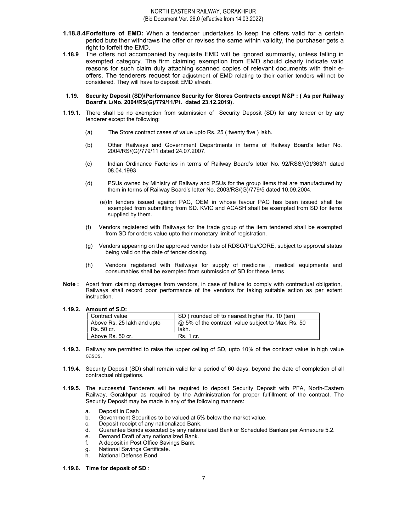- **1.18.8.4 Forfeiture of EMD:** When a tenderper undertakes to keep the offers valid for a certain period buteither withdraws the offer or revises the same within validity, the purchaser gets a right to forfeit the EMD.
- 1.18.9 The offers not accompanied by requisite EMD will be ignored summarily, unless falling in exempted category. The firm claiming exemption from EMD should clearly indicate valid reasons for such claim duly attaching scanned copies of relevant documents with their eoffers. The tenderers request for adjustment of EMD relating to their earlier tenders will not be considered. They will have to deposit EMD afresh.
- 1.19. Security Deposit (SD)/Performance Security for Stores Contracts except M&P : ( As per Railway Board's L/No. 2004/RS(G)/779/11/Pt. dated 23.12.2019).
- 1.19.1. There shall be no exemption from submission of Security Deposit (SD) for any tender or by any tenderer except the following:
	- (a) The Store contract cases of value upto Rs. 25 ( twenty five ) lakh.
	- (b) Other Railways and Government Departments in terms of Railway Board's letter No. 2004/RS/(G)/779/11 dated 24.07.2007.
	- (c) Indian Ordinance Factories in terms of Railway Board's letter No. 92/RSS/(G)/363/1 dated 08.04.1993
	- (d) PSUs owned by Ministry of Railway and PSUs for the group items that are manufactured by them in terms of Railway Board's letter No. 2003/RS/(G)/779/5 dated 10.09.2004.
		- (e) In tenders issued against PAC, OEM in whose favour PAC has been issued shall be exempted from submitting from SD. KVIC and ACASH shall be exempted from SD for items supplied by them.
	- (f) Vendors registered with Railways for the trade group of the item tendered shall be exempted from SD for orders value upto their monetary limit of registration.
	- (g) Vendors appearing on the approved vendor lists of RDSO/PUs/CORE, subject to approval status being valid on the date of tender closing.
	- (h) Vendors registered with Railways for supply of medicine , medical equipments and consumables shall be exempted from submission of SD for these items.
- Note : Apart from claiming damages from vendors, in case of failure to comply with contractual obligation, Railways shall record poor performance of the vendors for taking suitable action as per extent instruction.

1.19.2. Amount of S.D:

| Contract value             | SD (rounded off to nearest higher Rs. 10 (ten)    |
|----------------------------|---------------------------------------------------|
| Above Rs. 25 lakh and upto | @ 5% of the contract value subject to Max. Rs. 50 |
| Rs. 50 cr.                 | lakh.                                             |
| Above Rs. 50 cr.           | Rs. 1 cr.                                         |

- 1.19.3. Railway are permitted to raise the upper ceiling of SD, upto 10% of the contract value in high value cases.
- 1.19.4. Security Deposit (SD) shall remain valid for a period of 60 days, beyond the date of completion of all contractual obligations.
- 1.19.5. The successful Tenderers will be required to deposit Security Deposit with PFA, North-Eastern Railway, Gorakhpur as required by the Administration for proper fulfillment of the contract. The Security Deposit may be made in any of the following manners:
	- a. Deposit in Cash
	- b. Government Securities to be valued at 5% below the market value.
	- c. Deposit receipt of any nationalized Bank.
	- d. Guarantee Bonds executed by any nationalized Bank or Scheduled Bankas per Annexure 5.2.
	- e. Demand Draft of any nationalized Bank.
	- f. A deposit in Post Office Savings Bank.
	- g. National Savings Certificate.
	- h. National Defense Bond

#### 1.19.6. Time for deposit of SD :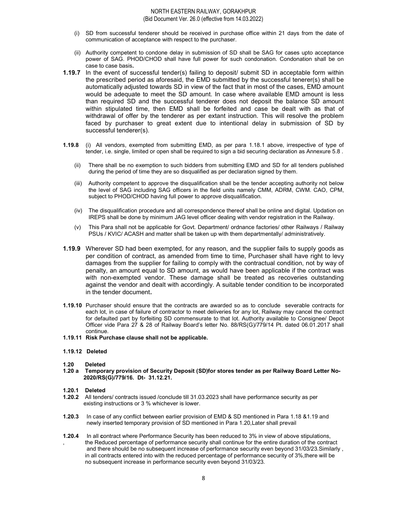- (i) SD from successful tenderer should be received in purchase office within 21 days from the date of communication of acceptance with respect to the purchaser.
- (ii) Authority competent to condone delay in submission of SD shall be SAG for cases upto acceptance power of SAG. PHOD/CHOD shall have full power for such condonation. Condonation shall be on case to case basis.
- 1.19.7 In the event of successful tender(s) failing to deposit/ submit SD in acceptable form within the prescribed period as aforesaid, the EMD submitted by the successful tenerer(s) shall be automatically adjusted towards SD in view of the fact that in most of the cases, EMD amount would be adequate to meet the SD amount. In case where available EMD amount is less than required SD and the successful tenderer does not deposit the balance SD amount within stipulated time, then EMD shall be forfeited and case be dealt with as that of withdrawal of offer by the tenderer as per extant instruction. This will resolve the problem faced by purchaser to great extent due to intentional delay in submission of SD by successful tenderer(s).
- 1.19.8 (i) All vendors, exempted from submitting EMD, as per para 1.18.1 above, irrespective of type of tender, i.e. single, limited or open shall be required to sign a bid securing declaration as Annexure 5.8 .
	- (ii) There shall be no exemption to such bidders from submitting EMD and SD for all tenders published during the period of time they are so disqualified as per declaration signed by them.
	- (iii) Authority competent to approve the disqualification shall be the tender accepting authority not below the level of SAG including SAG officers in the field units namely CMM, ADRM, CWM. CAO, CPM, subject to PHOD/CHOD having full power to approve disqualification.
	- (iv) The disqualification procedure and all correspondence thereof shall be online and digital. Updation on IREPS shall be done by minimum JAG level officer dealing with vendor registration in the Railway.
	- (v) This Para shall not be applicable for Govt. Department/ ordnance factories/ other Railways / Railway PSUs / KVIC/ ACASH and matter shall be taken up with them departmentally/ administratively.
- **1.19.9** Wherever SD had been exempted, for any reason, and the supplier fails to supply goods as per condition of contract, as amended from time to time, Purchaser shall have right to levy damages from the supplier for failing to comply with the contractual condition, not by way of penalty, an amount equal to SD amount, as would have been applicable if the contract was with non-exempted vendor. These damage shall be treated as recoveries outstanding against the vendor and dealt with accordingly. A suitable tender condition to be incorporated in the tender document.
- 1.19.10 Purchaser should ensure that the contracts are awarded so as to conclude severable contracts for each lot, in case of failure of contractor to meet deliveries for any lot, Railway may cancel the contract for defaulted part by forfeiting SD commensurate to that lot. Authority available to Consignee/ Depot Officer vide Para 27 & 28 of Railway Board's letter No. 88/RS(G)/779/14 Pt. dated 06.01.2017 shall continue.
- 1.19.11 Risk Purchase clause shall not be applicable.

#### 1.19.12 Deleted

- 1.20 Deleted
- 1.20 a Temporary provision of Security Deposit (SD)for stores tender as per Railway Board Letter No- 2020/RS(G)/779/16. Dt- 31.12.21.
- 1.20.1 Deleted
- 1.20.2 All tenders/ contracts issued /conclude till 31.03.2023 shall have performance security as per existing instructions or 3 % whichever is lower.
- 1.20.3 In case of any conflict between earlier provision of EMD & SD mentioned in Para 1.18 &1.19 and newly inserted temporary provision of SD mentioned in Para 1.20,Later shall prevail
- 1.20.4 In all contract where Performance Security has been reduced to 3% in view of above stipulations, the Reduced percentage of performance security shall continue for the entire duration of the contract and there should be no subsequent increase of performance security even beyond 31/03/23.Similarly , in all contracts entered into with the reduced percentage of performance security of 3%,there will be no subsequent increase in performance security even beyond 31/03/23.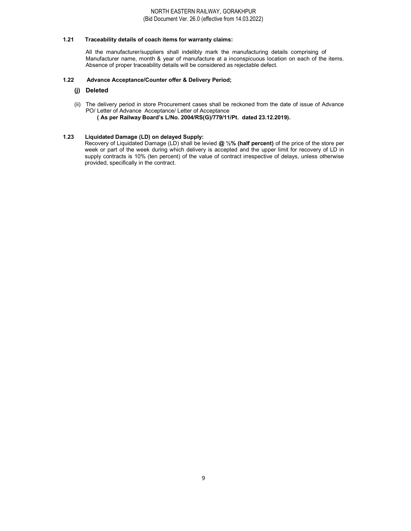#### 1.21 Traceability details of coach items for warranty claims:

All the manufacturer/suppliers shall indelibly mark the manufacturing details comprising of Manufacturer name, month & year of manufacture at a inconspicuous location on each of the items. Absence of proper traceability details will be considered as rejectable defect.

#### 1.22 Advance Acceptance/Counter offer & Delivery Period;

# (j) Deleted

(ii) The delivery period in store Procurement cases shall be reckoned from the date of issue of Advance PO/ Letter of Advance Acceptance/ Letter of Acceptance ( As per Railway Board's L/No. 2004/RS(G)/779/11/Pt. dated 23.12.2019).

# 1.23 Liquidated Damage (LD) on delayed Supply:

Recovery of Liquidated Damage (LD) shall be levied @ 1/2% (half percent) of the price of the store per week or part of the week during which delivery is accepted and the upper limit for recovery of LD in supply contracts is 10% (ten percent) of the value of contract irrespective of delays, unless otherwise provided, specifically in the contract.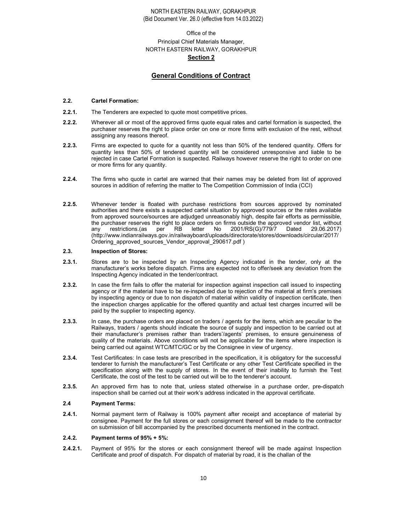# Office of the Principal Chief Materials Manager, NORTH EASTERN RAILWAY, GORAKHPUR Section 2

# General Conditions of Contract

#### 2.2. Cartel Formation:

- 2.2.1. The Tenderers are expected to quote most competitive prices.
- 2.2.2. Wherever all or most of the approved firms quote equal rates and cartel formation is suspected, the purchaser reserves the right to place order on one or more firms with exclusion of the rest, without assigning any reasons thereof.
- 2.2.3. Firms are expected to quote for a quantity not less than 50% of the tendered quantity. Offers for quantity less than 50% of tendered quantity will be considered unresponsive and liable to be rejected in case Cartel Formation is suspected. Railways however reserve the right to order on one or more firms for any quantity.
- 2.2.4. The firms who quote in cartel are warned that their names may be deleted from list of approved sources in addition of referring the matter to The Competition Commission of India (CCI)
- 2.2.5. Whenever tender is floated with purchase restrictions from sources approved by nominated authorities and there exists a suspected cartel situation by approved sources or the rates available from approved source/sources are adjudged unreasonably high, despite fair efforts as permissible, the purchaser reserves the right to place orders on firms outside the approved vendor list, without any restrictions.(as per RB letter No 2001/RS(G)/779/7 Dated 29.06.2017) (http://www.indianrailways.gov.in/railwayboard/uploads/directorate/stores/downloads/circular/2017/ Ordering\_approved\_sources\_Vendor\_approval\_290617.pdf )

#### 2.3. Inspection of Stores:

- 2.3.1. Stores are to be inspected by an Inspecting Agency indicated in the tender, only at the manufacturer's works before dispatch. Firms are expected not to offer/seek any deviation from the Inspecting Agency indicated in the tender/contract.
- 2.3.2. In case the firm fails to offer the material for inspection against inspection call issued to inspecting agency or if the material have to be re-inspected due to rejection of the material at firm's premises by inspecting agency or due to non dispatch of material within validity of inspection certificate, then the inspection charges applicable for the offered quantity and actual test charges incurred will be paid by the supplier to inspecting agency.
- 2.3.3. In case, the purchase orders are placed on traders / agents for the items, which are peculiar to the Railways, traders / agents should indicate the source of supply and inspection to be carried out at their manufacturer's premises rather than traders'/agents' premises, to ensure genuineness of quality of the materials. Above conditions will not be applicable for the items where inspection is being carried out against WTC/MTC/GC or by the Consignee in view of urgency.
- 2.3.4. Test Certificates: In case tests are prescribed in the specification, it is obligatory for the successful tenderer to furnish the manufacturer's Test Certificate or any other Test Certificate specified in the specification along with the supply of stores. In the event of their inability to furnish the Test Certificate, the cost of the test to be carried out will be to the tenderer's account.
- 2.3.5. An approved firm has to note that, unless stated otherwise in a purchase order, pre-dispatch inspection shall be carried out at their work's address indicated in the approval certificate.

#### 2.4 Payment Terms:

2.4.1. Normal payment term of Railway is 100% payment after receipt and acceptance of material by consignee. Payment for the full stores or each consignment thereof will be made to the contractor on submission of bill accompanied by the prescribed documents mentioned in the contract.

#### 2.4.2. Payment terms of 95% + 5%:

2.4.2.1. Payment of 95% for the stores or each consignment thereof will be made against Inspection Certificate and proof of dispatch. For dispatch of material by road, it is the challan of the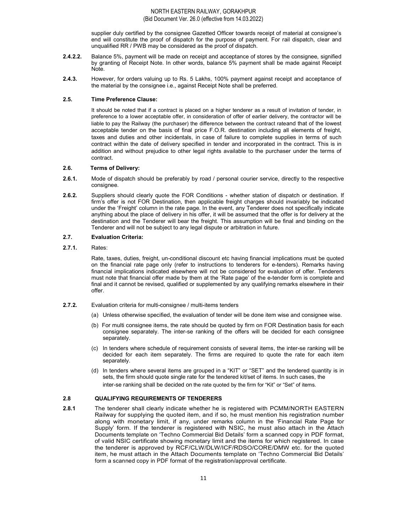supplier duly certified by the consignee Gazetted Officer towards receipt of material at consignee's end will constitute the proof of dispatch for the purpose of payment. For rail dispatch, clear and unqualified RR / PWB may be considered as the proof of dispatch.

- 2.4.2.2. Balance 5%, payment will be made on receipt and acceptance of stores by the consignee, signified by granting of Receipt Note. In other words, balance 5% payment shall be made against Receipt Note.
- 2.4.3. However, for orders valuing up to Rs. 5 Lakhs, 100% payment against receipt and acceptance of the material by the consignee i.e., against Receipt Note shall be preferred.

#### 2.5. Time Preference Clause:

It should be noted that if a contract is placed on a higher tenderer as a result of invitation of tender, in preference to a lower acceptable offer, in consideration of offer of earlier delivery, the contractor will be liable to pay the Railway (the purchaser) the difference between the contract rateand that of the lowest acceptable tender on the basis of final price F.O.R. destination including all elements of freight, taxes and duties and other incidentals, in case of failure to complete supplies in terms of such contract within the date of delivery specified in tender and incorporated in the contract. This is in addition and without prejudice to other legal rights available to the purchaser under the terms of contract.

#### 2.6. Terms of Delivery:

- 2.6.1. Mode of dispatch should be preferably by road / personal courier service, directly to the respective consignee.
- 2.6.2. Suppliers should clearly quote the FOR Conditions whether station of dispatch or destination. If firm's offer is not FOR Destination, then applicable freight charges should invariably be indicated under the 'Freight' column in the rate page. In the event, any Tenderer does not specifically indicate anything about the place of delivery in his offer, it will be assumed that the offer is for delivery at the destination and the Tenderer will bear the freight. This assumption will be final and binding on the Tenderer and will not be subject to any legal dispute or arbitration in future.

#### 2.7. Evaluation Criteria:

2.7.1. Rates:

Rate, taxes, duties, freight, un-conditional discount etc having financial implications must be quoted on the financial rate page only (refer to instructions to tenderers for e-tenders). Remarks having financial implications indicated elsewhere will not be considered for evaluation of offer. Tenderers must note that financial offer made by them at the 'Rate page' of the e-tender form is complete and final and it cannot be revised, qualified or supplemented by any qualifying remarks elsewhere in their offer.

- 2.7.2. Evaluation criteria for multi-consignee / multi-items tenders
	- (a) Unless otherwise specified, the evaluation of tender will be done item wise and consignee wise.
	- (b) For multi consignee items, the rate should be quoted by firm on FOR Destination basis for each consignee separately. The inter-se ranking of the offers will be decided for each consignee separately.
	- (c) In tenders where schedule of requirement consists of several items, the inter-se ranking will be decided for each item separately. The firms are required to quote the rate for each item separately.
	- (d) In tenders where several items are grouped in a "KIT" or "SET" and the tendered quantity is in sets, the firm should quote single rate for the tendered kit/set of items. In such cases, the inter-se ranking shall be decided on the rate quoted by the firm for "Kit" or "Set" of items.

#### 2.8 QUALIFYING REQUIREMENTS OF TENDERERS

2.8.1 The tenderer shall clearly indicate whether he is registered with PCMM/NORTH EASTERN Railway for supplying the quoted item, and if so, he must mention his registration number along with monetary limit, if any, under remarks column in the 'Financial Rate Page for Supply' form. If the tenderer is registered with NSIC, he must also attach in the Attach Documents template on 'Techno Commercial Bid Details' form a scanned copy in PDF format, of valid NSIC certificate showing monetary limit and the items for which registered. In case the tenderer is approved by RCF/CLW/DLW/ICF/RDSO/CORE/DMW etc. for the quoted item, he must attach in the Attach Documents template on 'Techno Commercial Bid Details' form a scanned copy in PDF format of the registration/approval certificate.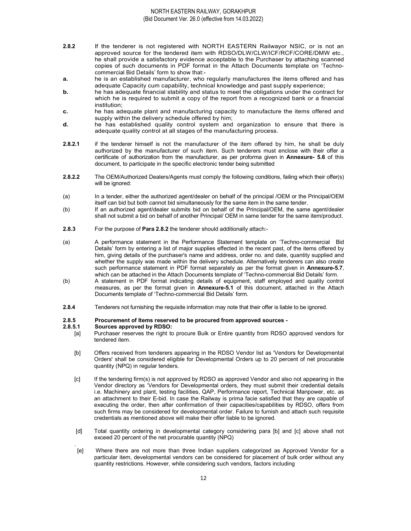- 2.8.2 If the tenderer is not registered with NORTH EASTERN Railwayor NSIC, or is not an approved source for the tendered item with RDSO/DLW/CLW/ICF/RCF/CORE/DMW etc., he shall provide a satisfactory evidence acceptable to the Purchaser by attaching scanned copies of such documents in PDF format in the Attach Documents template on 'Technocommercial Bid Details' form to show that:-
- **a.** he is an established manufacturer, who regularly manufactures the items offered and has adequate Capacity cum capability, technical knowledge and past supply experience;
- **b.** he has adequate financial stability and status to meet the obligations under the contract for which he is required to submit a copy of the report from a recognized bank or a financial institution;
- c. he has adequate plant and manufacturing capacity to manufacture the items offered and supply within the delivery schedule offered by him;
- d. he has established quality control system and organization to ensure that there is adequate quality control at all stages of the manufacturing process.
- 2.8.2.1 if the tenderer himself is not the manufacturer of the item offered by him, he shall be duly authorized by the manufacturer of such item. Such tenderers must enclose with their offer a certificate of authorization from the manufacturer, as per proforma given in Annexure- 5.6 of this document, to participate in the specific electronic tender being submitted
- 2.8.2.2 The OEM/Authorized Dealers/Agents must comply the following conditions, failing which their offer(s) will be ignored:
- (a) In a tender, either the authorized agent/dealer on behalf of the principal /OEM or the Principal/OEM itself can bid but both cannot bid simultaneously for the same item in the same tender.
- (b) If an authorized agent/dealer submits bid on behalf of the Principal/OEM, the same agent/dealer shall not submit a bid on behalf of another Principal/ OEM in same tender for the same item/product.
- 2.8.3 For the purpose of Para 2.8.2 the tenderer should additionally attach:-
- (a) A performance statement in the Performance Statement template on 'Techno-commercial Bid Details' form by entering a list of major supplies effected in the recent past, of the items offered by him, giving details of the purchaser's name and address, order no. and date, quantity supplied and whether the supply was made within the delivery schedule. Alternatively tenderers can also create such performance statement in PDF format separately as per the format given in Annexure-5.7, which can be attached in the Attach Documents template of 'Techno-commercial Bid Details' form.
- (b) A statement in PDF format indicating details of equipment, staff employed and quality control measures, as per the format given in Annexure-5.1 of this document, attached in the Attach Documents template of 'Techno-commercial Bid Details' form.
- 2.8.4 Tenderers not furnishing the requisite information may note that their offer is liable to be ignored.

#### 2.8.5 Procurement of Items reserved to be procured from approved sources -

#### 2.8.5.1 Sources approved by RDSO:

- [a] Purchaser reserves the right to procure Bulk or Entire quantity from RDSO approved vendors for tendered item.
- [b] Offers received from tenderers appearing in the RDSO Vendor list as 'Vendors for Developmental Orders' shall be considered eligible for Developmental Orders up to 20 percent of net procurable quantity (NPQ) in regular tenders.
- [c] If the tendering firm(s) is not approved by RDSO as approved Vendor and also not appearing in the Vendor directory as 'Vendors for Developmental orders, they must submit their credential details i.e. Machinery and plant, testing facilities, QAP, Performance report, Technical Manpower, etc. as an attachment to their E-bid. In case the Railway is prima facie satisfied that they are capable of executing the order, then after confirmation of their capacities/capabilities by RDSO, offers from such firms may be considered for developmental order. Failure to furnish and attach such requisite credentials as mentioned above will make their offer liable to be ignored.
- [d] Total quantity ordering in developmental category considering para [b] and [c] above shall not exceed 20 percent of the net procurable quantity (NPQ)
- . [e] Where there are not more than three Indian suppliers categorized as Approved Vendor for a particular item, developmental vendors can be considered for placement of bulk order without any quantity restrictions. However, while considering such vendors, factors including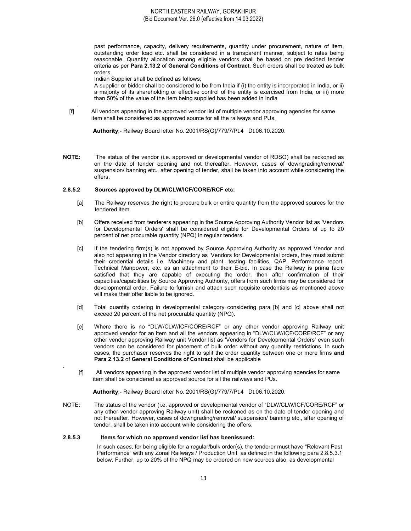past performance, capacity, delivery requirements, quantity under procurement, nature of item, outstanding order load etc. shall be considered in a transparent manner, subject to rates being reasonable. Quantity allocation among eligible vendors shall be based on pre decided tender criteria as per Para 2.13.2 of General Conditions of Contract. Such orders shall be treated as bulk orders.

Indian Supplier shall be defined as follows;

.

.

 A supplier or bidder shall be considered to be from India if (i) the entity is incorporated in India, or ii) a majority of its shareholding or effective control of the entity is exercised from India, or iii) more than 50% of the value of the item being supplied has been added in India

 [f] All vendors appearing in the approved vendor list of multiple vendor approving agencies for same item shall be considered as approved source for all the railways and PUs.

Authority;- Railway Board letter No. 2001/RS(G)/779/7/Pt.4 Dt.06.10.2020.

**NOTE:** The status of the vendor (i.e. approved or developmental vendor of RDSO) shall be reckoned as on the date of tender opening and not thereafter. However, cases of downgrading/removal/ suspension/ banning etc., after opening of tender, shall be taken into account while considering the offers.

# 2.8.5.2 Sources approved by DLW/CLW/ICF/CORE/RCF etc:

- [a] The Railway reserves the right to procure bulk or entire quantity from the approved sources for the tendered item.
- [b] Offers received from tenderers appearing in the Source Approving Authority Vendor list as 'Vendors for Developmental Orders' shall be considered eligible for Developmental Orders of up to 20 percent of net procurable quantity (NPQ) in regular tenders.
- [c] If the tendering firm(s) is not approved by Source Approving Authority as approved Vendor and also not appearing in the Vendor directory as 'Vendors for Developmental orders, they must submit their credential details i.e. Machinery and plant, testing facilities, QAP, Performance report, Technical Manpower, etc. as an attachment to their E-bid. In case the Railway is prima facie satisfied that they are capable of executing the order, then after confirmation of their capacities/capabilities by Source Approving Authority, offers from such firms may be considered for developmental order. Failure to furnish and attach such requisite credentials as mentioned above will make their offer liable to be ignored.
- [d] Total quantity ordering in developmental category considering para [b] and [c] above shall not exceed 20 percent of the net procurable quantity (NPQ).
- [e] Where there is no "DLW/CLW/ICF/CORE/RCF" or any other vendor approving Railway unit approved vendor for an item and all the vendors appearing in "DLW/CLW/ICF/CORE/RCF" or any other vendor approving Railway unit Vendor list as 'Vendors for Developmental Orders' even such vendors can be considered for placement of bulk order without any quantity restrictions. In such cases, the purchaser reserves the right to split the order quantity between one or more firms and Para 2.13.2 of General Conditions of Contract shall be applicable
- [f] All vendors appearing in the approved vendor list of multiple vendor approving agencies for same item shall be considered as approved source for all the railways and PUs.

Authority;- Railway Board letter No. 2001/RS(G)/779/7/Pt.4 Dt.06.10.2020.

NOTE: The status of the vendor (i.e. approved or developmental vendor of "DLW/CLW/ICF/CORE/RCF" or any other vendor approving Railway unit) shall be reckoned as on the date of tender opening and not thereafter. However, cases of downgrading/removal/ suspension/ banning etc., after opening of tender, shall be taken into account while considering the offers.

#### 2.8.5.3 Items for which no approved vendor list has beenissued:

In such cases, for being eligible for a regular/bulk order(s), the tenderer must have "Relevant Past Performance" with any Zonal Railways / Production Unit as defined in the following para 2.8.5.3.1 below. Further, up to 20% of the NPQ may be ordered on new sources also, as developmental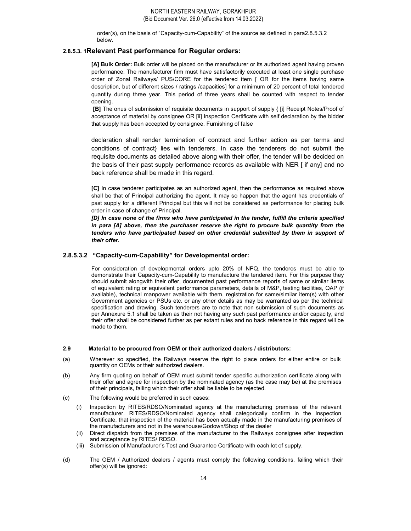order(s), on the basis of "Capacity-cum-Capability" of the source as defined in para2.8.5.3.2 below.

# 2.8.5.3. 1Relevant Past performance for Regular orders:

[A] Bulk Order: Bulk order will be placed on the manufacturer or its authorized agent having proven performance. The manufacturer firm must have satisfactorily executed at least one single purchase order of Zonal Railways/ PUS/CORE for the tendered item [ OR for the items having same description, but of different sizes / ratings /capacities] for a minimum of 20 percent of total tendered quantity during three year. This period of three years shall be counted with respect to tender opening.

 [B] The onus of submission of requisite documents in support of supply { [i] Receipt Notes/Proof of acceptance of material by consignee OR [ii] Inspection Certificate with self declaration by the bidder that supply has been accepted by consignee. Furnishing of false

declaration shall render termination of contract and further action as per terms and conditions of contract} lies with tenderers. In case the tenderers do not submit the requisite documents as detailed above along with their offer, the tender will be decided on the basis of their past supply performance records as available with NER [ if any] and no back reference shall be made in this regard.

[C] In case tenderer participates as an authorized agent, then the performance as required above shall be that of Principal authorizing the agent. It may so happen that the agent has credentials of past supply for a different Principal but this will not be considered as performance for placing bulk order in case of change of Principal.

[D] In case none of the firms who have participated in the tender, fulfill the criteria specified in para [A] above, then the purchaser reserve the right to procure bulk quantity from the tenders who have participated based on other credential submitted by them in support of their offer.

#### 2.8.5.3.2 "Capacity-cum-Capability" for Developmental order:

For consideration of developmental orders upto 20% of NPQ, the tenderes must be able to demonstrate their Capacity-cum-Capability to manufacture the tendered item. For this purpose they should submit alongwith their offer, documented past performance reports of same or similar items of equivalent rating or equivalent performance parameters, details of M&P, testing facilities, QAP (if available), technical manpower available with them, registration for same/similar item(s) with other Government agencies or PSUs etc. or any other details as may be warranted as per the technical specification and drawing. Such tenderers are to note that non submission of such documents as per Annexure 5.1 shall be taken as their not having any such past performance and/or capacity, and their offer shall be considered further as per extant rules and no back reference in this regard will be made to them.

#### 2.9 Material to be procured from OEM or their authorized dealers / distributors:

- (a) Wherever so specified, the Railways reserve the right to place orders for either entire or bulk quantity on OEMs or their authorized dealers.
- (b) Any firm quoting on behalf of OEM must submit tender specific authorization certificate along with their offer and agree for inspection by the nominated agency (as the case may be) at the premises of their principals, failing which their offer shall be liable to be rejected.
- (c) The following would be preferred in such cases:
	- Inspection by RITES/RDSO/Nominated agency at the manufacturing premises of the relevant manufacturer. RITES/RDSO/Nominated agency shall categorically confirm in the Inspection Certificate, that inspection of the material has been actually made in the manufacturing premises of the manufacturers and not in the warehouse/Godown/Shop of the dealer
	- (ii) Direct dispatch from the premises of the manufacturer to the Railways consignee after inspection and acceptance by RITES/ RDSO.
	- (iii) Submission of Manufacturer's Test and Guarantee Certificate with each lot of supply.
- (d) The OEM / Authorized dealers / agents must comply the following conditions, failing which their offer(s) will be ignored: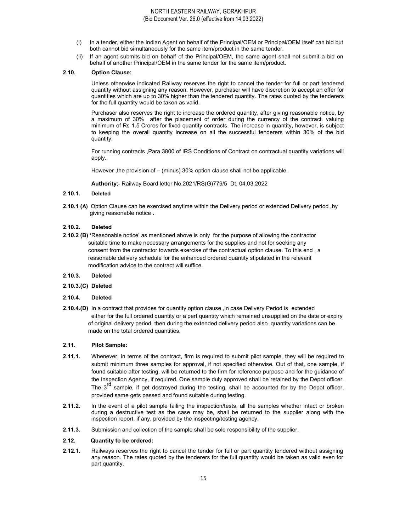- (i) In a tender, either the Indian Agent on behalf of the Principal/OEM or Principal/OEM itself can bid but both cannot bid simultaneously for the same item/product in the same tender.
- (ii) If an agent submits bid on behalf of the Principal/OEM, the same agent shall not submit a bid on behalf of another Principal/OEM in the same tender for the same item/product.

#### 2.10. Option Clause:

Unless otherwise indicated Railway reserves the right to cancel the tender for full or part tendered quantity without assigning any reason. However, purchaser will have discretion to accept an offer for quantities which are up to 30% higher than the tendered quantity. The rates quoted by the tenderers for the full quantity would be taken as valid.

Purchaser also reserves the right to increase the ordered quantity, after giving reasonable notice, by a maximum of 30% after the placement of order during the currency of the contract. valuing minimum of Rs 1.5 Crores for fixed quantity contracts. The increase in quantity, however, is subject to keeping the overall quantity increase on all the successful tenderers within 30% of the bid quantity.

For running contracts ,Para 3800 of IRS Conditions of Contract on contractual quantity variations will apply.

However ,the provision of – (minus) 30% option clause shall not be applicable.

Authority;- Railway Board letter No.2021/RS(G)779/5 Dt. 04.03.2022

#### $2.10.1.$ **Deleted**

2.10.1 (A) Option Clause can be exercised anytime within the Delivery period or extended Delivery period ,by giving reasonable notice .

#### 2.10.2. Deleted

- 2.10.2 (B) 'Reasonable notice' as mentioned above is only for the purpose of allowing the contractor suitable time to make necessary arrangements for the supplies and not for seeking any consent from the contractor towards exercise of the contractual option clause. To this end , a reasonable delivery schedule for the enhanced ordered quantity stipulated in the relevant modification advice to the contract will suffice.
- 2.10.3. Deleted
- 2.10.3.(C) Deleted
- 2.10.4. Deleted
- 2.10.4.(D) In a contract that provides for quantity option clause , in case Delivery Period is extended either for the full ordered quantity or a pert quantity which remained unsupplied on the date or expiry of original delivery period, then during the extended delivery period also ,quantity variations can be made on the total ordered quantities.

#### 2.11. Pilot Sample:

- 2.11.1. Whenever, in terms of the contract, firm is required to submit pilot sample, they will be required to submit minimum three samples for approval, if not specified otherwise. Out of that, one sample, if found suitable after testing, will be returned to the firm for reference purpose and for the guidance of the Inspection Agency, if required. One sample duly approved shall be retained by the Depot officer. The  $3^{rd}$  sample, if get destroyed during the testing, shall be accounted for by the Depot officer, provided same gets passed and found suitable during testing.
- 2.11.2. In the event of a pilot sample failing the inspection/tests, all the samples whether intact or broken during a destructive test as the case may be, shall be returned to the supplier along with the inspection report, if any, provided by the inspecting/testing agency.
- 2.11.3. Submission and collection of the sample shall be sole responsibility of the supplier.

#### 2.12. Quantity to be ordered:

2.12.1. Railways reserves the right to cancel the tender for full or part quantity tendered without assigning any reason. The rates quoted by the tenderers for the full quantity would be taken as valid even for part quantity.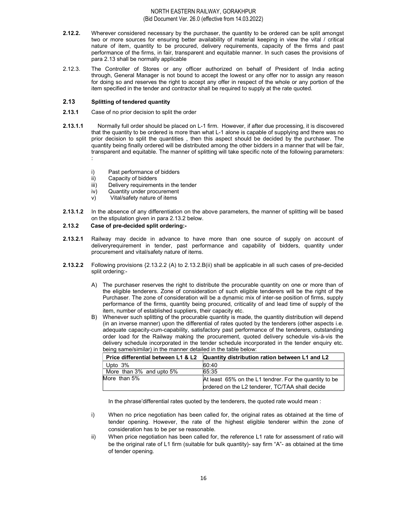- 2.12.2. Wherever considered necessary by the purchaser, the quantity to be ordered can be split amongst two or more sources for ensuring better availability of material keeping in view the vital / critical nature of item, quantity to be procured, delivery requirements, capacity of the firms and past performance of the firms, in fair, transparent and equitable manner. In such cases the provisions of para 2.13 shall be normally applicable
- 2.12.3. The Controller of Stores or any officer authorized on behalf of President of India acting through, General Manager is not bound to accept the lowest or any offer nor to assign any reason for doing so and reserves the right to accept any offer in respect of the whole or any portion of the item specified in the tender and contractor shall be required to supply at the rate quoted.

#### 2.13 Splitting of tendered quantity

- 2.13.1 Case of no prior decision to split the order
- 2.13.1.1 Normally full order should be placed on L-1 firm. However, if after due processing, it is discovered that the quantity to be ordered is more than what L-1 alone is capable of supplying and there was no prior decision to split the quantities , then this aspect should be decided by the purchaser. The quantity being finally ordered will be distributed among the other bidders in a manner that will be fair, transparent and equitable. The manner of splitting will take specific note of the following parameters: :
	- i) Past performance of bidders
	- ii) Capacity of bidders
	- iii) Delivery requirements in the tender
	- iv) Quantity under procurement
	- v) Vital/safety nature of items
- 2.13.1.2 In the absence of any differentiation on the above parameters, the manner of splitting will be based on the stipulation given in para 2.13.2 below.

#### 2.13.2 Case of pre-decided split ordering:-

- 2.13.2.1 Railway may decide in advance to have more than one source of supply on account of deliveryrequirement in tender, past performance and capability of bidders, quantity under procurement and vital/safety nature of items.
- 2.13.2.2 Following provisions {2.13.2.2 (A) to 2.13.2.B(ii) shall be applicable in all such cases of pre-decided split ordering:-
	- A) The purchaser reserves the right to distribute the procurable quantity on one or more than of the eligible tenderers. Zone of consideration of such eligible tenderers will be the right of the Purchaser. The zone of consideration will be a dynamic mix of inter-se position of firms, supply performance of the firms, quantity being procured, criticality of and lead time of supply of the item, number of established suppliers, their capacity etc.
	- B) Whenever such splitting of the procurable quantity is made, the quantity distribution will depend (in an inverse manner) upon the differential of rates quoted by the tenderers (other aspects i.e. adequate capacity-cum-capability, satisfactory past performance of the tenderers, outstanding order load for the Railway making the procurement, quoted delivery schedule vis-à-vis the delivery schedule incorporated in the tender schedule incorporated in the tender enquiry etc. being same/similar) in the manner detailed in the table below:

| Price differential between L1 & L2 | Quantity distribution ration between L1 and L2         |
|------------------------------------|--------------------------------------------------------|
| Upto $3\%$                         | 60:40                                                  |
| More than 3% and upto 5%           | 65:35                                                  |
| More than 5%                       | At least 65% on the L1 tendrer. For the quantity to be |
|                                    | ordered on the L2 tenderer, TC/TAA shall decide        |

In the phrase'differential rates quoted by the tenderers, the quoted rate would mean :

- i) When no price negotiation has been called for, the original rates as obtained at the time of tender opening. However, the rate of the highest eligible tenderer within the zone of consideration has to be per se reasonable.
- ii) When price negotiation has been called for, the reference L1 rate for assessment of ratio will be the original rate of L1 firm (suitable for bulk quantity)- say firm "A"- as obtained at the time of tender opening.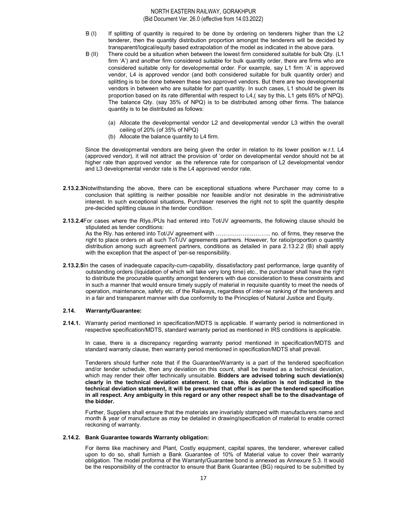- B (I) If splitting of quantity is required to be done by ordering on tenderers higher than the L2 tenderer, then the quantity distribution proportion amongst the tenderers will be decided by transparent/logical/equity based extrapolation of the model as indicated in the above para.
- B (II) There could be a situation when between the lowest firm considered suitable for bulk Qty. (L1 firm 'A') and another firm considered suitable for bulk quantity order, there are firms who are considered suitable only for developmental order. For example, say L1 firm 'A' is approved vendor, L4 is approved vendor (and both considered suitable for bulk quantity order) and splitting is to be done between these two approved vendors. But there are two developmental vendors in between who are suitable for part quantity. In such cases, L1 should be given its proportion based on its rate differential with respect to L4,( say by this, L1 gets 65% of NPQ). The balance Qty. (say 35% of NPQ) is to be distributed among other firms. The balance quantity is to be distributed as follows:
	- (a) Allocate the developmental vendor L2 and developmental vendor L3 within the overall ceiling of 20% (of 35% of NPQ)
	- (b) Allocate the balance quantity to L4 firm.

Since the developmental vendors are being given the order in relation to its lower position w.r.t. L4 (approved vendor), it will not attract the provision of 'order on developmental vendor should not be at higher rate than approved vendor as the reference rate for comparison of L2 developmental vendor and L3 developmental vendor rate is the L4 approved vendor rate.

- 2.13.2.3Notwithstanding the above, there can be exceptional situations where Purchaser may come to a conclusion that splitting is neither possible nor feasible and/or not desirable in the administrative interest. In such exceptional situations, Purchaser reserves the right not to split the quantity despite pre-decided splitting clause in the tender condition.
- 2.13.2.4For cases where the Rlys./PUs had entered into Tot/JV agreements, the following clause should be stipulated as tender conditions:

As the Rly. has entered into Tot/JV agreement with ……………………….. no. of firms, they reserve the right to place orders on all such ToT/JV agreements partners. However, for ratio/proportion o quantity distribution among such agreement partners, conditions as detailed in para 2.13.2.2 (B) shall apply with the exception that the aspect of 'per-se responsibility.

2.13.2.5In the cases of inadequate capacity-cum-capability, dissatisfactory past performance, large quantity of outstanding orders (liquidation of which will take very long time) etc., the purchaser shall have the right to distribute the procurable quantity amongst tenderers with due consideration to these constraints and in such a manner that would ensure timely supply of material in requisite quantity to meet the needs of operation, maintenance, safety etc. of the Railways, regardless of inter-se ranking of the tenderers and in a fair and transparent manner with due conformity to the Principles of Natural Justice and Equity.

#### 2.14. Warranty/Guarantee:

2.14.1. Warranty period mentioned in specification/MDTS is applicable. If warranty period is notmentioned in respective specification/MDTS, standard warranty period as mentioned in IRS conditions is applicable.

In case, there is a discrepancy regarding warranty period mentioned in specification/MDTS and standard warranty clause, then warranty period mentioned in specification/MDTS shall prevail.

Tenderers should further note that if the Guarantee/Warranty is a part of the tendered specification and/or tender schedule, then any deviation on this count, shall be treated as a technical deviation, which may render their offer technically unsuitable. Bidders are advised tobring such deviation(s) clearly in the technical deviation statement. In case, this deviation is not indicated in the technical deviation statement, it will be presumed that offer is as per the tendered specification in all respect. Any ambiguity in this regard or any other respect shall be to the disadvantage of the bidder.

Further, Suppliers shall ensure that the materials are invariably stamped with manufacturers name and month & year of manufacture as may be detailed in drawing/specification of material to enable correct reckoning of warranty.

#### 2.14.2. Bank Guarantee towards Warranty obligation:

For items like machinery and Plant, Costly equipment, capital spares, the tenderer, wherever called upon to do so, shall furnish a Bank Guarantee of 10% of Material value to cover their warranty obligation. The model proforma of the Warranty/Guarantee bond is annexed as Annexure 5.3. It would be the responsibility of the contractor to ensure that Bank Guarantee (BG) required to be submitted by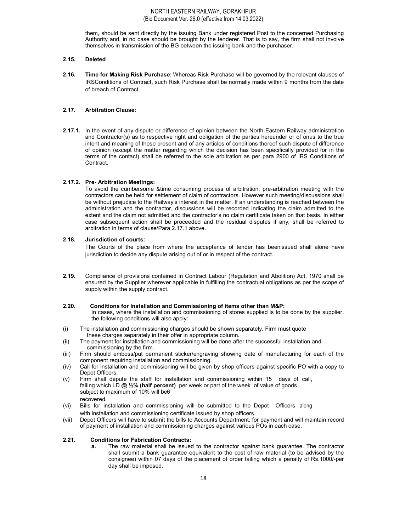them, should be sent directly by the issuing Bank under registered Post to the concerned Purchasing Authority and, in no case should be brought by the tenderer. That is to say, the firm shall not involve themselves in transmission of the BG between the issuing bank and the purchaser.

#### 2.15. Deleted

2.16. Time for Making Risk Purchase: Whereas Risk Purchase will be governed by the relevant clauses of IRSConditions of Contract, such Risk Purchase shall be normally made within 9 months from the date of breach of Contract.

# 2.17. Arbitration Clause:

2.17.1. In the event of any dispute or difference of opinion between the North-Eastern Railway administration and Contractor(s) as to respective right and obligation of the parties hereunder or of onus to the true intent and meaning of these present and of any articles of conditions thereof such dispute of difference of opinion (except the matter regarding which the decision has been specifically provided for in the terms of the contact) shall be referred to the sole arbitration as per para 2900 of IRS Conditions of Contract.

# 2.17.2. Pre- Arbitration Meetings:

To avoid the cumbersome &time consuming process of arbitration, pre-arbitration meeting with the contractors can be held for settlement of claim of contractors. However such meeting/discussions shall be without prejudice to the Railway's interest in the matter. If an understanding is reached between the administration and the contractor, discussions will be recorded indicating the claim admitted to the extent and the claim not admitted and the contractor's no claim certificate taken on that basis. In either case subsequent action shall be proceeded and the residual disputes if any, shall be referred to arbitration in terms of clause/Para 2.17.1 above.

#### 2.18. Jurisdiction of courts:

The Courts of the place from where the acceptance of tender has beenissued shall alone have jurisdiction to decide any dispute arising out of or in respect of the contract.

2.19. Compliance of provisions contained in Contract Labour (Regulation and Abolition) Act, 1970 shall be ensured by the Supplier wherever applicable in fulfilling the contractual obligations as per the scope of supply within the supply contract.

#### 2.20. Conditions for Installation and Commissioning of items other than M&P:

In cases, where the installation and commissioning of stores supplied is to be done by the supplier, the following conditions will also apply:

- (i) The installation and commissioning charges should be shown separately. Firm must quote these charges separately in their offer in appropriate column.
- (ii) The payment for installation and commissioning will be done after the successful installation and commissioning by the firm.
- (iii) Firm should emboss/put permanent sticker/engraving showing date of manufacturing for each of the component requiring installation and commissioning.
- (iv) Call for installation and commissioning will be given by shop officers against specific PO with a copy to Depot Officers.
- (v) Firm shall depute the staff for installation and commissioning within 15 days of call, failing which LD  $@$  1/2% (half percent) per week or part of the week of value of goods subject to maximum of 10% will be6 recovered.
- (vi) Bills for installation and commissioning will be submitted to the Depot Officers along with installation and commissioning certificate issued by shop officers.
- (vii) Depot Officers will have to submit the bills to Accounts Department. for payment and will maintain record of payment of installation and commissioning charges against various POs in each case.

# 2.21. Conditions for Fabrication Contracts:

a. The raw material shall be issued to the contractor against bank guarantee. The contractor shall submit a bank guarantee equivalent to the cost of raw material (to be advised by the consignee) within 07 days of the placement of order failing which a penalty of Rs.1000/-per day shall be imposed.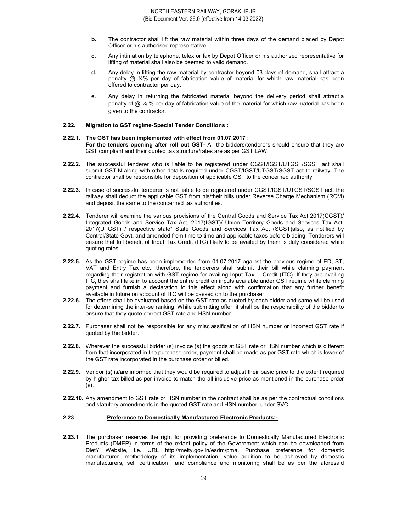- b. The contractor shall lift the raw material within three days of the demand placed by Depot Officer or his authorised representative.
- c. Any intimation by telephone, telex or fax by Depot Officer or his authorised representative for lifting of material shall also be deemed to valid demand.
- d. Any delay in lifting the raw material by contractor beyond 03 days of demand, shall attract a penalty  $\omega$  % per day of fabrication value of material for which raw material has been offered to contractor per day.
- e. Any delay in returning the fabricated material beyond the delivery period shall attract a penalty of  $@$  ¼ % per day of fabrication value of the material for which raw material has been given to the contractor.

#### 2.22. Migration to GST regime-Special Tender Conditions :

#### 2.22.1. The GST has been implemented with effect from 01.07.2017 : For the tenders opening after roll out GST- All the bidders/tenderers should ensure that they are GST compliant and their quoted tax structure/rates are as per GST LAW.

- 2.22.2. The successful tenderer who is liable to be registered under CGST/IGST/UTGST/SGST act shall submit GSTIN along with other details required under CGST/IGST/UTGST/SGST act to railway. The contractor shall be responsible for deposition of applicable GST to the concerned authority.
- 2.22.3. In case of successful tenderer is not liable to be registered under CGST/IGST/UTGST/SGST act, the railway shall deduct the applicable GST from his/their bills under Reverse Charge Mechanism (RCM) and deposit the same to the concerned tax authorities.
- 2.22.4. Tenderer will examine the various provisions of the Central Goods and Service Tax Act 2017(CGST)/ Integrated Goods and Service Tax Act, 2017(IGST)/ Union Territory Goods and Services Tax Act, 2017(UTGST) / respective state" State Goods and Services Tax Act (SGST)also, as notified by Central/State Govt. and amended from time to time and applicable taxes before bidding. Tenderers will ensure that full benefit of Input Tax Credit (ITC) likely to be availed by them is duly considered while quoting rates.
- 2.22.5. As the GST regime has been implemented from 01.07.2017 against the previous regime of ED, ST, VAT and Entry Tax etc., therefore, the tenderers shall submit their bill while claiming payment regarding their registration with GST regime for availing Input Tax Credit (ITC). If they are availing ITC, they shall take in to account the entire credit on inputs available under GST regime while claiming payment and furnish a declaration to this effect along with confirmation that any further benefit available in future on account of ITC will be passed on to the purchaser.
- 2.22.6. The offers shall be evaluated based on the GST rate as quoted by each bidder and same will be used for determining the inter-se ranking. While submitting offer, it shall be the responsibility of the bidder to ensure that they quote correct GST rate and HSN number.
- 2.22.7. Purchaser shall not be responsible for any misclassification of HSN number or incorrect GST rate if quoted by the bidder.
- 2.22.8. Wherever the successful bidder (s) invoice (s) the goods at GST rate or HSN number which is different from that incorporated in the purchase order, payment shall be made as per GST rate which is lower of the GST rate incorporated in the purchase order or billed.
- 2.22.9. Vendor (s) is/are informed that they would be required to adjust their basic price to the extent required by higher tax billed as per invoice to match the all inclusive price as mentioned in the purchase order (s).
- 2.22.10. Any amendment to GST rate or HSN number in the contract shall be as per the contractual conditions and statutory amendments in the quoted GST rate and HSN number, under SVC.

#### 2.23 Preference to Domestically Manufactured Electronic Products:-

2.23.1 The purchaser reserves the right for providing preference to Domestically Manufactured Electronic Products (DMEP) in terms of the extant policy of the Government which can be downloaded from DietY Website, i.e. URL http://meity.gov.in/esdm/pma. Purchase preference for domestic manufacturer, methodology of its implementation, value addition to be achieved by domestic manufacturers, self certification and compliance and monitoring shall be as per the aforesaid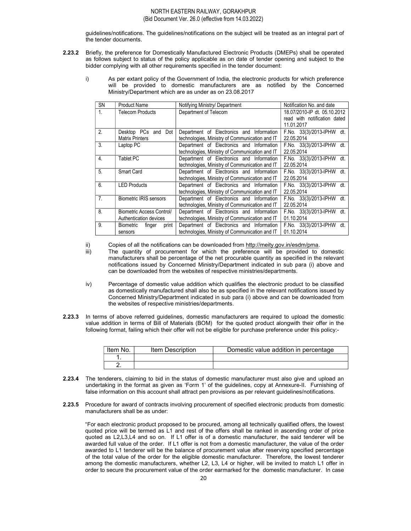guidelines/notifications. The guidelines/notifications on the subject will be treated as an integral part of the tender documents.

- 2.23.2 Briefly, the preference for Domestically Manufactured Electronic Products (DMEPs) shall be operated as follows subject to status of the policy applicable as on date of tender opening and subject to the bidder complying with all other requirements specified in the tender document:
	- i) As per extant policy of the Government of India, the electronic products for which preference will be provided to domestic manufacturers are as notified by the Concerned Ministry/Department which are as under as on 23.08.2017

| <b>SN</b>      | <b>Product Name</b>                 | Notifying Ministry/ Department                 | Notification No. and date    |
|----------------|-------------------------------------|------------------------------------------------|------------------------------|
| $\mathbf{1}$ . | <b>Telecom Products</b>             | Department of Telecom                          | 18.07/2010-IP dt. 05.10.2012 |
|                |                                     |                                                | read with notification dated |
|                |                                     |                                                | 11.01.2017                   |
| 2.             | Desktop PCs<br>Dot<br>and           | Department of Electronics and Information      | F.No. 33(3)/2013-IPHW dt.    |
|                | <b>Matrix Printers</b>              | technologies, Ministry of Communication and IT | 22.05.2014                   |
| 3.             | Laptop PC                           | Department of Electronics and Information      | F.No. 33(3)/2013-IPHW dt.    |
|                |                                     | technologies, Ministry of Communication and IT | 22.05.2014                   |
| $\overline{4}$ | <b>Tablet PC</b>                    | Department of Electronics and Information      | F.No. 33(3)/2013-IPHW dt.    |
|                |                                     | technologies, Ministry of Communication and IT | 22.05.2014                   |
| 5.             | Smart Card                          | Department of Electronics and Information      | F.No. 33(3)/2013-IPHW dt.    |
|                |                                     | technologies, Ministry of Communication and IT | 22.05.2014                   |
| 6.             | <b>LED Products</b>                 | Department of Electronics and Information      | F.No. 33(3)/2013-IPHW dt.    |
|                |                                     | technologies, Ministry of Communication and IT | 22.05.2014                   |
| 7 <sub>1</sub> | <b>Biometric IRIS sensors</b>       | Department of Electronics and Information      | F.No. 33(3)/2013-IPHW dt.    |
|                |                                     | technologies, Ministry of Communication and IT | 22.05.2014                   |
| 8.             | Biometric Access Control/           | Department of Electronics and Information      | F.No. 33(3)/2013-IPHW dt.    |
|                | Authentication devices              | technologies, Ministry of Communication and IT | 01.10.2014                   |
| 9              | <b>Biometric</b><br>finger<br>print | Department of Electronics and Information      | F.No. 33(3)/2013-IPHW dt.    |
|                | sensors                             | technologies, Ministry of Communication and IT | 01.10.2014                   |

ii) Copies of all the notifications can be downloaded from http://meity.gov.in/esdm/pma.

- iii) The quantity of procurement for which the preference will be provided to domestic manufacturers shall be percentage of the net procurable quantity as specified in the relevant notifications issued by Concerned Ministry/Department indicated in sub para (i) above and can be downloaded from the websites of respective ministries/departments.
- iv) Percentage of domestic value addition which qualifies the electronic product to be classified as domestically manufactured shall also be as specified in the relevant notifications issued by Concerned Ministry/Department indicated in sub para (i) above and can be downloaded from the websites of respective ministries/departments.
- 2.23.3 In terms of above referred guidelines, domestic manufacturers are required to upload the domestic value addition in terms of Bill of Materials (BOM) for the quoted product alongwith their offer in the following format, failing which their offer will not be eligible for purchase preference under this policy:-

| Item No. | <b>Item Description</b> | Domestic value addition in percentage |
|----------|-------------------------|---------------------------------------|
|          |                         |                                       |
|          |                         |                                       |

- 2.23.4 The tenderers, claiming to bid in the status of domestic manufacturer must also give and upload an undertaking in the format as given as 'Form 1' of the guidelines, copy at Annexure-II. Furnishing of false information on this account shall attract pen provisions as per relevant guidelines/notifications.
- 2.23.5 Procedure for award of contracts involving procurement of specified electronic products from domestic manufacturers shall be as under:

 "For each electronic product proposed to be procured, among all technically qualified offers, the lowest quoted price will be termed as L1 and rest of the offers shall be ranked in ascending order of price quoted as L2,L3,L4 and so on. If L1 offer is of a domestic manufacturer, the said tenderer will be awarded full value of the order. If L1 offer is not from a domestic manufacturer, the value of the order awarded to L1 tenderer will be the balance of procurement value after reserving specified percentage of the total value of the order for the eligible domestic manufacturer. Therefore, the lowest tenderer among the domestic manufacturers, whether L2, L3, L4 or higher, will be invited to match L1 offer in order to secure the procurement value of the order earmarked for the domestic manufacturer. In case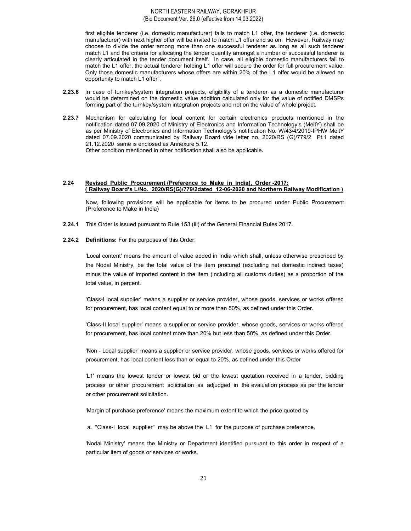first eligible tenderer (i.e. domestic manufacturer) fails to match L1 offer, the tenderer (i.e. domestic manufacturer) with next higher offer will be invited to match L1 offer and so on. However, Railway may choose to divide the order among more than one successful tenderer as long as all such tenderer match L1 and the criteria for allocating the tender quantity amongst a number of successful tenderer is clearly articulated in the tender document itself. In case, all eligible domestic manufacturers fail to match the L1 offer, the actual tenderer holding L1 offer will secure the order for full procurement value. Only those domestic manufacturers whose offers are within 20% of the L1 offer would be allowed an opportunity to match L1 offer".

- 2.23.6 In case of turnkey/system integration projects, eligibility of a tenderer as a domestic manufacturer would be determined on the domestic value addition calculated only for the value of notified DMSPs forming part of the turnkey/system integration projects and not on the value of whole project.
- 2.23.7 Mechanism for calculating for local content for certain electronics products mentioned in the notification dated 07.09.2020 of Ministry of Electronics and Information Technology's (MeitY) shall be as per Ministry of Electronics and Information Technology's notification No. W/43/4/2019-IPHW MeitY dated 07.09.2020 communicated by Railway Board vide letter no. 2020/RS (G)/779/2 Pt.1 dated 21.12.2020 same is enclosed as Annexure 5.12.

Other condition mentioned in other notification shall also be applicable.

#### 2.24 Revised Public Procurement (Preference to Make in India), Order -2017: ( Railway Board's L/No. 2020/RS(G)/779/2dated 12-06-2020 and Northern Railway Modification )

 Now, following provisions will be applicable for items to be procured under Public Procurement (Preference to Make in India)

2.24.1 This Order is issued pursuant to Rule 153 (iii) of the General Financial Rules 2017.

#### 2.24.2 Definitions: For the purposes of this Order:

'Local content' means the amount of value added in India which shall, unless otherwise prescribed by the Nodal Ministry, be the total value of the item procured (excluding net domestic indirect taxes) minus the value of imported content in the item (including all customs duties) as a proportion of the total value, in percent.

'Class-I local supplier' means a supplier or service provider, whose goods, services or works offered for procurement, has local content equal to or more than 50%, as defined under this Order.

'Class-II local supplier' means a supplier or service provider, whose goods, services or works offered for procurement, has local content more than 20% but less than 50%, as defined under this Order.

'Non - Local supplier' means a supplier or service provider, whose goods, services or works offered for procurement, has local content less than or equal to 20%, as defined under this Order

'L1' means the lowest tender or lowest bid or the lowest quotation received in a tender, bidding process or other procurement solicitation as adjudged in the evaluation process as per the tender or other procurement solicitation.

'Margin of purchase preference' means the maximum extent to which the price quoted by

a. "Class-I local supplier" may be above the L1 for the purpose of purchase preference.

'Nodal Ministry' means the Ministry or Department identified pursuant to this order in respect of a particular item of goods or services or works.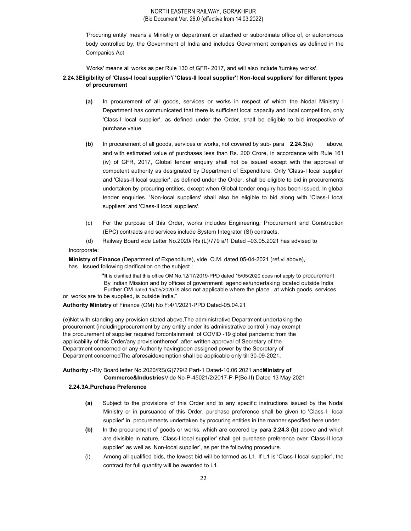'Procuring entity' means a Ministry or department or attached or subordinate office of, or autonomous body controlled by, the Government of India and includes Government companies as defined in the Companies Act

'Works' means all works as per Rule 130 of GFR- 2017, and will also include 'turnkey works'.

2.24.3Eligibility of 'Class-I local supplier'/ 'Class-II local supplier'! Non-local suppliers' for different types of procurement

- (a) In procurement of all goods, services or works in respect of which the Nodal Ministry I Department has communicated that there is sufficient local capacity and local competition, only 'Class-I local supplier', as defined under the Order, shall be eligible to bid irrespective of purchase value.
- (b) In procurement of all goods, services or works, not covered by sub- para 2.24.3(a) above, and with estimated value of purchases less than Rs. 200 Crore, in accordance with Rule 161 (iv) of GFR, 2017, Global tender enquiry shall not be issued except with the approval of competent authority as designated by Department of Expenditure. Only 'Class-I local supplier' and 'Class-Il local supplier', as defined under the Order, shall be eligible to bid in procurements undertaken by procuring entities, except when Global tender enquiry has been issued. In global tender enquiries. 'Non-local suppliers' shall also be eligible to bid along with 'Class-I local suppliers' and 'Class-II local suppliers'.
- (c) For the purpose of this Order, works includes Engineering, Procurement and Construction (EPC) contracts and services include System Integrator (SI) contracts.
- (d) Railway Board vide Letter No.2020/ Rs (L)/779 a/1 Dated –03.05.2021 has advised to

Incorporate:

Ministry of Finance (Department of Expenditure), vide O.M. dated 05-04-2021 (ref.vi above), has Issued following clarification on the subject :

 "It is clarified that this office OM No.12/17/2019-PPD dated 15/05/2020 does not apply to procurement By Indian Mission and by offices of government agencies/undertaking located outside India Further,OM dated 15/05/2020 is also not applicable where the place , at which goods, services or works are to be supplied, is outside India."

Authority Ministry of Finance (OM) No F:4/1/2021-PPD Dated-05.04.21

(e)Not with standing any provision stated above,The administrative Department undertaking the procurement (includingprocurement by any entity under its administrative control ) may exempt the procurement of supplier required forcontainment of COVID -19 global pandemic from the applicability of this Order/any provisionthereof ,after written approval of Secretary of the Department concerned or any Authority havingbeen assigned power by the Secretary of Department concernedThe aforesaidexemption shall be applicable only till 30-09-2021.

Authority :-Rly Board letter No.2020/RS(G)779/2 Part-1 Dated-10.06.2021 andMinistry of Commerce&IndustriesVide No-P-45021/2/2017-P-P(Be-II) Dated 13 May 2021

#### 2.24.3A.Purchase Preference

- (a) Subject to the provisions of this Order and to any specific instructions issued by the Nodal Ministry or in pursuance of this Order, purchase preference shall be given to 'Class-I local supplier' in procurements undertaken by procuring entities in the manner specified here under.
- (b) In the procurement of goods or works, which are covered by para 2.24.3 (b) above and which are divisible in nature, 'Class-I local supplier' shall get purchase preference over 'Class-II local supplier' as well as 'Non-local supplier', as per the following procedure.
- (i) Among all qualified bids, the lowest bid will be termed as L1. If L1 is 'Class-I local supplier', the contract for full quantity will be awarded to L1.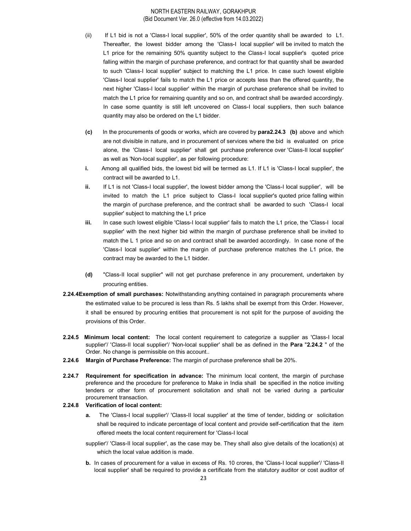- (ii) If L1 bid is not a 'Class-I local supplier', 50% of the order quantity shall be awarded to L1. Thereafter, the lowest bidder among the 'Class-I local supplier' will be invited to match the L1 price for the remaining 50% quantity subject to the Class-I local supplier's quoted price falling within the margin of purchase preference, and contract for that quantity shall be awarded to such 'Class-I local supplier' subject to matching the L1 price. In case such lowest eligible 'Class-I local supplier' fails to match the L1 price or accepts less than the offered quantity, the next higher 'Class-I local supplier' within the margin of purchase preference shall be invited to match the L1 price for remaining quantity and so on, and contract shall be awarded accordingly. In case some quantity is still left uncovered on Class-I local suppliers, then such balance quantity may also be ordered on the L1 bidder.
- (c) In the procurements of goods or works, which are covered by para2.24.3 (b) above and which are not divisible in nature, and in procurement of services where the bid is evaluated on price alone, the 'Class-I local supplier' shall get purchase preference over 'Class-II local supplier' as well as 'Non-local supplier', as per following procedure:
- i. Among all qualified bids, the lowest bid will be termed as L1. If L1 is 'Class-I local supplier', the contract will be awarded to L1.
- ii. If L1 is not 'Class-I local supplier', the lowest bidder among the 'Class-I local supplier', will be invited to match the L1 price subject to Class-I local supplier's quoted price falling within the margin of purchase preference, and the contract shall be awarded to such 'Class-I local supplier' subject to matching the L1 price
- iii. In case such lowest eligible 'Class-I local supplier' fails to match the L1 price, the 'Class-I local supplier' with the next higher bid within the margin of purchase preference shall be invited to match the L 1 price and so on and contract shall be awarded accordingly. In case none of the 'Class-I local supplier' within the margin of purchase preference matches the L1 price, the contract may be awarded to the L1 bidder.
- (d) "Class-II local supplier" will not get purchase preference in any procurement, undertaken by procuring entities.
- 2.24.4Exemption of small purchases: Notwithstanding anything contained in paragraph procurements where the estimated value to be procured is less than Rs. 5 lakhs shall be exempt from this Order. However, it shall be ensured by procuring entities that procurement is not split for the purpose of avoiding the provisions of this Order.
- 2.24.5 Minimum local content: The local content requirement to categorize a supplier as 'Class-I local supplier'/ 'Class-II local supplier'/ 'Non-local supplier' shall be as defined in the **Para "2.24.2**" of the Order. No change is permissible on this account..
- 2.24.6 Margin of Purchase Preference: The margin of purchase preference shall be 20%.
- 2.24.7 Requirement for specification in advance: The minimum local content, the margin of purchase preference and the procedure for preference to Make in India shall be specified in the notice inviting tenders or other form of procurement solicitation and shall not be varied during a particular procurement transaction.

#### 2.24.8 Verification of local content:

- a. The 'Class-I local supplier'/ 'Class-II local supplier' at the time of tender, bidding or solicitation shall be required to indicate percentage of local content and provide self-certification that the item offered meets the local content requirement for 'Class-I local
- supplier'/ 'Class-II local supplier', as the case may be. They shall also give details of the location(s) at which the local value addition is made.
- b. In cases of procurement for a value in excess of Rs. 10 crores, the 'Class-I local supplier'/ 'Class-II local supplier' shall be required to provide a certificate from the statutory auditor or cost auditor of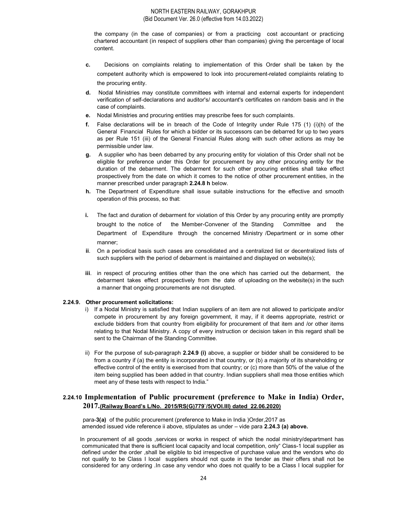the company (in the case of companies) or from a practicing cost accountant or practicing chartered accountant (in respect of suppliers other than companies) giving the percentage of local content.

- c. Decisions on complaints relating to implementation of this Order shall be taken by the competent authority which is empowered to look into procurement-related complaints relating to the procuring entity.
- d. Nodal Ministries may constitute committees with internal and external experts for independent verification of self-declarations and auditor's/ accountant's certificates on random basis and in the case of complaints.
- e. Nodal Ministries and procuring entities may prescribe fees for such complaints.
- f. False declarations will be in breach of the Code of Integrity under Rule 175 (1) (i)(h) of the General Financial Rules for which a bidder or its successors can be debarred for up to two years as per Rule 151 (iii) of the General Financial Rules along with such other actions as may be permissible under law.
- g. A supplier who has been debarred by any procuring entity for violation of this Order shall not be eligible for preference under this Order for procurement by any other procuring entity for the duration of the debarment. The debarment for such other procuring entities shall take effect prospectively from the date on which it comes to the notice of other procurement entities, in the manner prescribed under paragraph 2.24.8 h below.
- h. The Department of Expenditure shall issue suitable instructions for the effective and smooth operation of this process, so that:
- i. The fact and duration of debarment for violation of this Order by any procuring entity are promptly brought to the notice of the Member-Convener of the Standing Committee and the Department of Expenditure through the concerned Ministry /Department or in some other manner;
- ii. On a periodical basis such cases are consolidated and a centralized list or decentralized lists of such suppliers with the period of debarment is maintained and displayed on website(s);
- iii. in respect of procuring entities other than the one which has carried out the debarment, the debarment takes effect prospectively from the date of uploading on the website(s) in the such a manner that ongoing procurements are not disrupted.

#### 2.24.9. Other procurement solicitations:

- i) If a Nodal Ministry is satisfied that Indian suppliers of an item are not allowed to participate and/or compete in procurement by any foreign government, it may, if it deems appropriate, restrict or exclude bidders from that country from eligibility for procurement of that item and /or other items relating to that Nodal Ministry. A copy of every instruction or decision taken in this regard shall be sent to the Chairman of the Standing Committee.
- ii) For the purpose of sub-paragraph 2.24.9 (i) above, a supplier or bidder shall be considered to be from a country if (a) the entity is incorporated in that country, or (b) a majority of its shareholding or effective control of the entity is exercised from that country; or (c) more than 50% of the value of the item being supplied has been added in that country. Indian suppliers shall mea those entities which meet any of these tests with respect to India."

# 2.24.10 Implementation of Public procurement (preference to Make in India) Order, 2017.(Railway Board's L/No. 2015/RS(G)779`/5(VOI.III) dated 22.06.2020)

para-3(a) of the public procurement (preference to Make in India )Order,2017 as amended issued vide reference ii above, stipulates as under – vide para 2.24.3 (a) above.

In procurement of all goods ,services or works in respect of which the nodal ministry/department has communicated that there is sufficient local capacity and local competition, only" Class-1 local supplier as defined under the order ,shall be eligible to bid irrespective of purchase value and the vendors who do not qualify to be Class I local suppliers should not quote in the tender as their offers shall not be considered for any ordering .In case any vendor who does not qualify to be a Class I local supplier for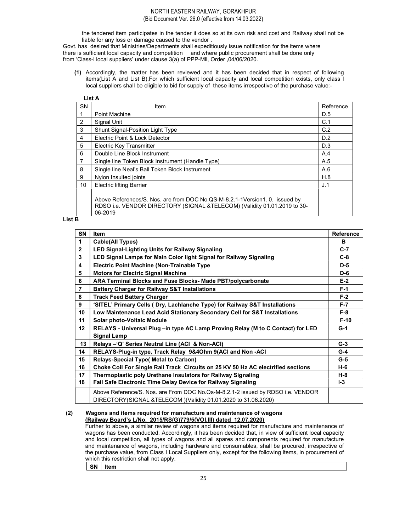the tendered item participates in the tender it does so at its own risk and cost and Railway shall not be liable for any loss or damage caused to the vendor .

Govt. has desired that Ministries/Departments shall expeditiously issue notification for the items where there is sufficient local capacity and competition and where public procurement shall be done only from 'Class-l local suppliers' under clause 3(a) of PPP-Mll, Order ,04/06/2020.

(1) Accordingly, the matter has been reviewed and it has been decided that in respect of following items(List A and List B),For which sufficient local capacity and local competition exists, only class l local suppliers shall be eligible to bid for supply of these items irrespective of the purchase value:-

| <b>SN</b>       | Item                                                                                                                                                               | Reference |
|-----------------|--------------------------------------------------------------------------------------------------------------------------------------------------------------------|-----------|
|                 | Point Machine                                                                                                                                                      | D.5       |
| 2               | Signal Unit                                                                                                                                                        | C.1       |
| 3               | <b>Shunt Signal-Position Light Type</b>                                                                                                                            | C.2       |
| 4               | Electric Point & Lock Detector                                                                                                                                     | D.2       |
| 5               | <b>Electric Key Transmitter</b>                                                                                                                                    | D.3       |
| 6               | Double Line Block Instrument                                                                                                                                       | A.4       |
| 7               | Single line Token Block Instrument (Handle Type)                                                                                                                   | A.5       |
| 8               | Single line Neal's Ball Token Block Instrument                                                                                                                     | A.6       |
| 9               | Nylon Insulted joints                                                                                                                                              | H.8       |
| 10 <sup>1</sup> | <b>Electric lifting Barrier</b>                                                                                                                                    | J.1       |
|                 | Above References/S. Nos. are from DOC No.QS-M-8.2.1-1Version1. 0. issued by<br>RDSO i.e. VENDOR DIRECTORY (SIGNAL &TELECOM) (Validity 01.01.2019 to 30-<br>06-2019 |           |

List B

| <b>SN</b>       | <b>Item</b>                                                                                                                                       | <b>Reference</b> |
|-----------------|---------------------------------------------------------------------------------------------------------------------------------------------------|------------------|
| 1               | <b>Cable(All Types)</b>                                                                                                                           | в                |
| $\overline{2}$  | <b>LED Signal-Lighting Units for Railway Signaling</b>                                                                                            | $C-7$            |
| 3               | LED Signal Lamps for Main Color light Signal for Railway Signaling                                                                                | $C-8$            |
| 4               | <b>Electric Point Machine (Non-Trainable Type)</b>                                                                                                | $D-5$            |
| 5               | <b>Motors for Electric Signal Machine</b>                                                                                                         | $D-6$            |
| 6               | ARA Terminal Blocks and Fuse Blocks- Made PBT/polycarbonate                                                                                       | $E-2$            |
| $\overline{7}$  | <b>Battery Charger for Railway S&amp;T Installations</b>                                                                                          | $F-1$            |
| 8               | <b>Track Feed Battery Charger</b>                                                                                                                 | $F-2$            |
| 9               | 'SITEL' Primary Cells (Dry, Lachlanche Type) for Railway S&T Installations                                                                        | $F-7$            |
| 10              | Low Maintenance Lead Acid Stationary Secondary Cell for S&T Installations                                                                         | $F-8$            |
| 11              | Solar photo-Voltaic Module                                                                                                                        | $F-10$           |
| 12 <sup>2</sup> | RELAYS - Universal Plug -in type AC Lamp Proving Relay (M to C Contact) for LED                                                                   | $G-1$            |
|                 | <b>Signal Lamp</b>                                                                                                                                |                  |
| 13              | Relays - 'Q' Series Neutral Line (ACI & Non-ACI)                                                                                                  | $G-3$            |
| 14              | RELAYS-Plug-in type, Track Relay 9&4Ohm 9(ACI and Non -ACI                                                                                        | $G-4$            |
| 15              | <b>Relays-Special Type (Metal to Carbon)</b>                                                                                                      | $G-5$            |
| 16              | Choke Coil For Single Rail Track Circuits on 25 KV 50 Hz AC electrified sections                                                                  |                  |
| 17              | Thermoplastic poly Urethane Insulators for Railway Signaling                                                                                      |                  |
| 18              | Fail Safe Electronic Time Delay Device for Railway Signaling                                                                                      | $-3$             |
|                 | Above Reference/S. Nos. are From DOC No. Qs-M-8.2.1-2 issued by RDSO i.e. VENDOR<br>DIRECTORY(SIGNAL &TELECOM)(Validity 01.01.2020 to 31.06.2020) |                  |

#### (2) Wagons and items required for manufacture and maintenance of wagons (Railway Board's L/No. 2015/RS(G)779/5(VOI.III) dated 12.07.2020)

 Further to above, a similar review of wagons and items required for manufacture and maintenance of wagons has been conducted. Accordingly, it has been decided that, in view of sufficient local capacity and local competition, all types of wagons and all spares and components required for manufacture and maintenance of wagons, including hardware and consumables, shall be procured, irrespective of the purchase value, from Class I Local Suppliers only, except for the following items, in procurement of which this restriction shall not apply.

SN | Item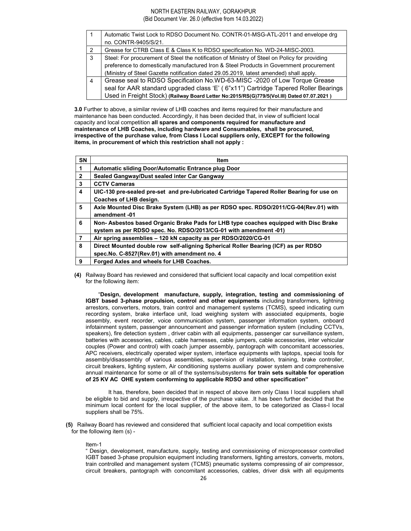# NORTH EASTERN RAILWAY, GORAKHPUR

(Bid Document Ver. 26.0 (effective from 14.03.2022)

|               | Automatic Twist Lock to RDSO Document No. CONTR-01-MSG-ATL-2011 and envelope drg              |
|---------------|-----------------------------------------------------------------------------------------------|
|               | no. CONTR-9405/S/21.                                                                          |
| $\mathcal{P}$ | Grease for CTRB Class E & Class K to RDSO specification No. WD-24-MISC-2003.                  |
| 3             | Steel: For procurement of Steel the notification of Ministry of Steel on Policy for providing |
|               | preference to domestically manufactured Iron & Steel Products in Government procurement       |
|               | (Ministry of Steel Gazette notification dated 29.05.2019, latest amended) shall apply.        |
| 4             | Grease seal to RDSO Specification No.WD-63-MISC -2020 of Low Torque Grease                    |
|               | seal for AAR standard upgraded class 'E' (6"x11") Cartridge Tapered Roller Bearings           |
|               | Used in Freight Stock) (Railway Board Letter No:2015/RS(G)779/5(Vol.III) Dated 07.07.2021)    |

3.0 Further to above, a similar review of LHB coaches and items required for their manufacture and maintenance has been conducted. Accordingly, it has been decided that, in view of sufficient local capacity and local competition all spares and components required for manufacture and maintenance of LHB Coaches, including hardware and Consumables, shall be procured, irrespective of the purchase value, from Class I Local suppliers only, EXCEPT for the following items, in procurement of which this restriction shall not apply :

| SN           | <b>Item</b>                                                                                                                                             |  |  |
|--------------|---------------------------------------------------------------------------------------------------------------------------------------------------------|--|--|
| 1            | Automatic sliding Door/Automatic Entrance plug Door                                                                                                     |  |  |
| $\mathbf{2}$ | Sealed Gangway/Dust sealed inter Car Gangway                                                                                                            |  |  |
| 3            | <b>CCTV Cameras</b>                                                                                                                                     |  |  |
| 4            | UIC-130 pre-sealed pre-set and pre-lubricated Cartridge Tapered Roller Bearing for use on<br>Coaches of LHB design.                                     |  |  |
| 5            | Axle Mounted Disc Brake System (LHB) as per RDSO spec. RDSO/2011/CG-04(Rev.01) with<br>amendment-01                                                     |  |  |
| 6            | Non-Asbestos based Organic Brake Pads for LHB type coaches equipped with Disc Brake<br>system as per RDSO spec. No. RDSO/2013/CG-01 with amendment -01) |  |  |
| 7            | Air spring assemblies - 120 kN capacity as per RDSO/2020/CG-01                                                                                          |  |  |
| 8            | Direct Mounted double row self-aligning Spherical Roller Bearing (ICF) as per RDSO<br>spec. No. C-8527 (Rev. 01) with amendment no. 4                   |  |  |
| 9            | Forged Axles and wheels for LHB Coaches.                                                                                                                |  |  |

(4) Railway Board has reviewed and considered that sufficient local capacity and local competition exist for the following item:

 "Design, development manufacture, supply, integration, testing and commissioning of IGBT based 3-phase propulsion, control and other equipments including transformers, lightning arrestors, converters, motors, train control and management systems (TCMS), speed indicating cum recording system, brake interface unit, load weighing system with associated equipments, bogie assembly, event recorder, voice communication system, passenger information system, onboard infotainment system, passenger announcement and passenger information system (including CCTVs, speakers), fire detection system , driver cabin with all equipments, passenger car surveillance system, batteries with accessories, cables, cable harnesses, cable jumpers, cable accessories, inter vehicular couples (Power and control) with coach jumper assembly, pantograph with concomitant accessories, APC receivers, electrically operated wiper system, interface equipments with laptops, special tools for assembly/disassembly of various assemblies, supervision of installation, training, brake controller, circuit breakers, lighting system, Air conditioning systems auxiliary power system and comprehensive annual maintenance for some or all of the systems/subsystems for train sets suitable for operation of 25 KV AC OHE system conforming to applicable RDSO and other specification"

 It has, therefore, been decided that in respect of above item only Class I local suppliers shall be eligible to bid and supply, irrespective of the purchase value. .It has been further decided that the minimum local content for the local supplier, of the above item, to be categorized as Class-I local suppliers shall be 75%.

(5) Railway Board has reviewed and considered that sufficient local capacity and local competition exists for the following item (s) -

#### Item-1

" Design, development, manufacture, supply, testing and commissioning of microprocessor controlled IGBT based 3-phase propulsion equipment including transformers, lighting arrestors, converts, motors, train controlled and management system (TCMS) pneumatic systems compressing of air compressor, circuit breakers, pantograph with concomitant accessories, cables, driver disk with all equipments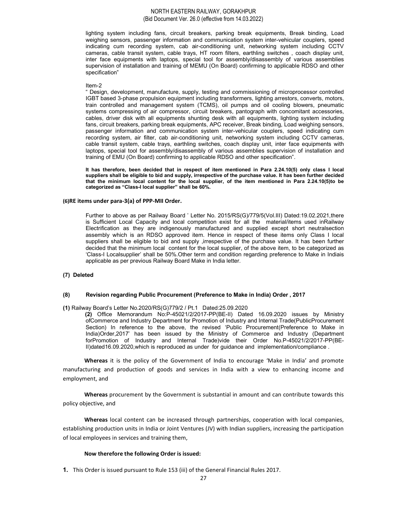lighting system including fans, circuit breakers, parking break equipments, Break binding, Load weighing sensors, passenger information and communication system inter-vehicular couplers, speed indicating cum recording system, cab air-conditioning unit, networking system including CCTV cameras, cable transit system, cable trays, HT room filters, earthling switches , coach display unit, inter face equipments with laptops, special tool for assembly/disassembly of various assemblies supervision of installation and training of MEMU (On Board) confirming to applicable RDSO and other specification"

#### Item-2

" Design, development, manufacture, supply, testing and commissioning of microprocessor controlled IGBT based 3-phase propulsion equipment including transformers, lighting arrestors, converts, motors, train controlled and management system (TCMS), oil pumps and oil cooling blowers, pneumatic systems compressing of air compressor, circuit breakers, pantograph with concomitant accessories, cables, driver disk with all equipments shunting desk with all equipments, lighting system including fans, circuit breakers, parking break equipments, APC receiver, Break binding, Load weighing sensors, passenger information and communication system inter-vehicular couplers, speed indicating cum recording system, air filter, cab air-conditioning unit, networking system including CCTV cameras, cable transit system, cable trays, earthling switches, coach display unit, inter face equipments with laptops, special tool for assembly/disassembly of various assemblies supervision of installation and training of EMU (On Board) confirming to applicable RDSO and other specification".

It has therefore, been decided that in respect of item mentioned in Para 2.24.10(5) only class I local suppliers shall be eligible to bid and supply, irrespective of the purchase value. It has been further decided that the minimum local content for the local supplier, of the item mentioned in Para 2.24.10(5)to be categorized as "Class-I local supplier" shall be 60%.

#### (6)RE items under para-3(a) of PPP-MII Order.

Further to above as per Railway Board ' Letter No. 2015/RS(G)/779/5(Vol.III) Dated:19.02.2021,there is Sufficient Local Capacity and local competition exist for all the material/items used inRailway Electrification as they are indigenously manufactured and supplied except short neutralsection assembly which is an RDSO approved item. Hence in respect of these items only Class I local suppliers shall be eligible to bid and supply ,irrespective of the purchase value. It has been further decided that the minimum local content for the local supplier, of the above item, to be categorized as 'Class-I Localsupplier' shall be 50%.Other term and condition regarding preference to Make in Indiais applicable as per previous Railway Board Make in India letter.

#### (7) Deleted

#### (8) Revision regarding Public Procurement (Preference to Make in India) Order , 2017

#### (1) Railway Board's Letter No.2020/RS(G)779/2 / Pt.1 Dated:25.09.2020

 (2) Office Memorandum No:P-45021/2/2017-PP(BE-II) Dated 16.09.2020 issues by Ministry ofCommerce and Industry Department for Promotion of Industry and Internal Trade(PublicProcurement Section) In reference to the above, the revised 'Public Procurement(Preference to Make in India)Order,2017' has been issued by the Ministry of Commerce and Industry (Department forPromotion of Industry and Internal Trade)vide their Order No.P-45021/2/2017-PP(BE-II)dated16.09.2020,which is reproduced as under for guidance and implementation/compliance .

Whereas it is the policy of the Government of India to encourage 'Make in India' and promote manufacturing and production of goods and services in India with a view to enhancing income and employment, and

Whereas procurement by the Government is substantial in amount and can contribute towards this policy objective, and

Whereas local content can be increased through partnerships, cooperation with local companies, establishing production units in India or Joint Ventures (JV) with Indian suppliers, increasing the participation of local employees in services and training them,

# Now therefore the following Order is issued:

1. This Order is issued pursuant to Rule 153 (iii) of the General Financial Rules 2017.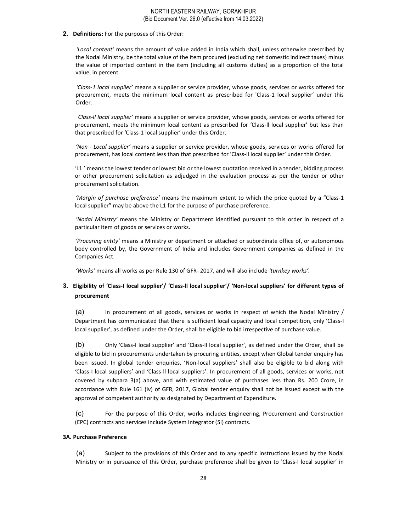# 2. Definitions: For the purposes of this Order:

'Local content' means the amount of value added in India which shall, unless otherwise prescribed by the Nodal Ministry, be the total value of the item procured (excluding net domestic indirect taxes) minus the value of imported content in the item (including all customs duties) as a proportion of the total value, in percent.

'Class-1 local supplier' means a supplier or service provider, whose goods, services or works offered for procurement, meets the minimum local content as prescribed for 'Class-1 local supplier' under this Order.

Class-ll local supplier' means a supplier or service provider, whose goods, services or works offered for procurement, meets the minimum local content as prescribed for 'Class-ll local supplier' but less than that prescribed for 'Class-1 local supplier' under this Order.

'Non - Local supplier' means a supplier or service provider, whose goods, services or works offered for procurement, has local content less than that prescribed for 'Class-ll local supplier' under this Order.

'L1 ' means the lowest tender or lowest bid or the lowest quotation received in a tender, bidding process or other procurement solicitation as adjudged in the evaluation process as per the tender or other procurement solicitation.

'Margin of purchase preference' means the maximum extent to which the price quoted by a "Class-1 local supplier" may be above the L1 for the purpose of purchase preference.

'Nodal Ministry' means the Ministry or Department identified pursuant to this order in respect of a particular item of goods or services or works.

'Procuring entity' means a Ministry or department or attached or subordinate office of, or autonomous body controlled by, the Government of India and includes Government companies as defined in the Companies Act.

'Works' means all works as per Rule 130 of GFR- 2017, and will also include 'turnkey works'.

# 3. Eligibility of 'Class-I local supplier'/ 'Class-ll local supplier'/ 'Non-local suppliers' for different types of procurement

(a) In procurement of all goods, services or works in respect of which the Nodal Ministry / Department has communicated that there is sufficient local capacity and local competition, only 'Class-I local supplier', as defined under the Order, shall be eligible to bid irrespective of purchase value.

(b) Only 'Class-I local supplier' and 'Class-ll local supplier', as defined under the Order, shall be eligible to bid in procurements undertaken by procuring entities, except when Global tender enquiry has been issued. In global tender enquiries, 'Non-local suppliers' shall also be eligible to bid along with 'Class-I local suppliers' and 'Class-ll local suppliers'. In procurement of all goods, services or works, not covered by subpara 3(a) above, and with estimated value of purchases less than Rs. 200 Crore, in accordance with Rule 161 (iv) of GFR, 2017, Global tender enquiry shall not be issued except with the approval of competent authority as designated by Department of Expenditure.

(c) For the purpose of this Order, works includes Engineering, Procurement and Construction (EPC) contracts and services include System Integrator (SI) contracts.

# 3A. Purchase Preference

(a) Subject to the provisions of this Order and to any specific instructions issued by the Nodal Ministry or in pursuance of this Order, purchase preference shall be given to 'Class-I local supplier' in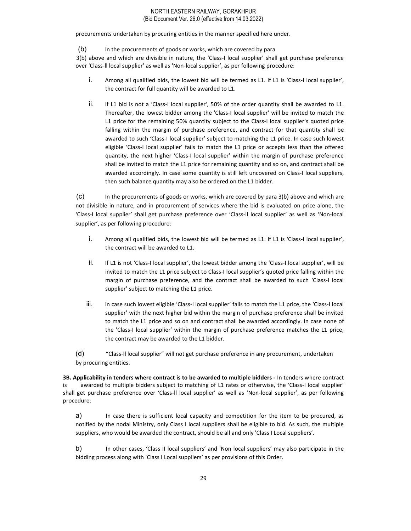procurements undertaken by procuring entities in the manner specified here under.

(b) In the procurements of goods or works, which are covered by para

3(b) above and which are divisible in nature, the 'Class-I local supplier' shall get purchase preference over 'Class-ll local supplier' as well as 'Non-local supplier', as per following procedure:

- i. Among all qualified bids, the lowest bid will be termed as L1. If L1 is 'Class-I local supplier', the contract for full quantity will be awarded to L1.
- ii. If L1 bid is not a 'Class-I local supplier', 50% of the order quantity shall be awarded to L1. Thereafter, the lowest bidder among the 'Class-I local supplier' will be invited to match the L1 price for the remaining 50% quantity subject to the Class-I local supplier's quoted price falling within the margin of purchase preference, and contract for that quantity shall be awarded to such 'Class-I local supplier' subject to matching the L1 price. In case such lowest eligible 'Class-I local supplier' fails to match the L1 price or accepts less than the offered quantity, the next higher 'Class-I local supplier' within the margin of purchase preference shall be invited to match the L1 price for remaining quantity and so on, and contract shall be awarded accordingly. In case some quantity is still left uncovered on Class-I local suppliers, then such balance quantity may also be ordered on the L1 bidder.

(c) In the procurements of goods or works, which are covered by para 3(b) above and which are not divisible in nature, and in procurement of services where the bid is evaluated on price alone, the 'Class-I local supplier' shall get purchase preference over 'Class-ll local supplier' as well as 'Non-local supplier', as per following procedure:

- i. Among all qualified bids, the lowest bid will be termed as L1. If L1 is 'Class-I local supplier', the contract will be awarded to L1.
- ii. If L1 is not 'Class-I local supplier', the lowest bidder among the 'Class-I local supplier', will be invited to match the L1 price subject to Class-I local supplier's quoted price falling within the margin of purchase preference, and the contract shall be awarded to such 'Class-I local supplier' subject to matching the L1 price.
- iii. In case such lowest eligible 'Class-I local supplier' fails to match the L1 price, the 'Class-I local supplier' with the next higher bid within the margin of purchase preference shall be invited to match the L1 price and so on and contract shall be awarded accordingly. In case none of the 'Class-I local supplier' within the margin of purchase preference matches the L1 price, the contract may be awarded to the L1 bidder.

(d) "Class-ll local supplier" will not get purchase preference in any procurement, undertaken by procuring entities.

3B. Applicability in tenders where contract is to be awarded to multiple bidders - In tenders where contract is awarded to multiple bidders subject to matching of L1 rates or otherwise, the 'Class-I local supplier' shall get purchase preference over 'Class-ll local supplier' as well as 'Non-local supplier', as per following procedure:

a) In case there is sufficient local capacity and competition for the item to be procured, as notified by the nodal Ministry, only Class I local suppliers shall be eligible to bid. As such, the multiple suppliers, who would be awarded the contract, should be all and only 'Class I Local suppliers'.

b) In other cases, 'Class II local suppliers' and 'Non local suppliers' may also participate in the bidding process along with 'Class I Local suppliers' as per provisions of this Order.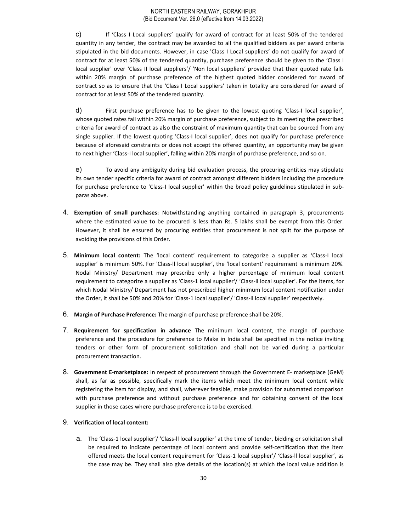c) If 'Class I Local suppliers' qualify for award of contract for at least 50% of the tendered quantity in any tender, the contract may be awarded to all the qualified bidders as per award criteria stipulated in the bid documents. However, in case 'Class I Local suppliers' do not qualify for award of contract for at least 50% of the tendered quantity, purchase preference should be given to the 'Class I local supplier' over 'Class II local suppliers'/ 'Non local suppliers' provided that their quoted rate falls within 20% margin of purchase preference of the highest quoted bidder considered for award of contract so as to ensure that the 'Class I Local suppliers' taken in totality are considered for award of contract for at least 50% of the tendered quantity.

d) First purchase preference has to be given to the lowest quoting 'Class-I local supplier', whose quoted rates fall within 20% margin of purchase preference, subject to its meeting the prescribed criteria for award of contract as also the constraint of maximum quantity that can be sourced from any single supplier. If the lowest quoting 'Class-I local supplier', does not qualify for purchase preference because of aforesaid constraints or does not accept the offered quantity, an opportunity may be given to next higher 'Class-I local supplier', falling within 20% margin of purchase preference, and so on.

e) To avoid any ambiguity during bid evaluation process, the procuring entities may stipulate its own tender specific criteria for award of contract amongst different bidders including the procedure for purchase preference to 'Class-I local supplier' within the broad policy guidelines stipulated in subparas above.

- 4. Exemption of small purchases: Notwithstanding anything contained in paragraph 3, procurements where the estimated value to be procured is less than Rs. 5 lakhs shall be exempt from this Order. However, it shall be ensured by procuring entities that procurement is not split for the purpose of avoiding the provisions of this Order.
- 5. Minimum local content: The 'local content' requirement to categorize a supplier as 'Class-I local supplier' is minimum 50%. For 'Class-ll local supplier', the 'local content' requirement is minimum 20%. Nodal Ministry/ Department may prescribe only a higher percentage of minimum local content requirement to categorize a supplier as 'Class-1 local supplier'/ 'Class-ll local supplier'. For the items, for which Nodal Ministry/ Department has not prescribed higher minimum local content notification under the Order, it shall be 50% and 20% for 'Class-1 local supplier'/ 'Class-ll local supplier' respectively.
- 6. Margin of Purchase Preference: The margin of purchase preference shall be 20%.
- 7. Requirement for specification in advance The minimum local content, the margin of purchase preference and the procedure for preference to Make in India shall be specified in the notice inviting tenders or other form of procurement solicitation and shall not be varied during a particular procurement transaction.
- 8. Government E-marketplace: In respect of procurement through the Government E- marketplace (GeM) shall, as far as possible, specifically mark the items which meet the minimum local content while registering the item for display, and shall, wherever feasible, make provision for automated comparison with purchase preference and without purchase preference and for obtaining consent of the local supplier in those cases where purchase preference is to be exercised.

# 9. Verification of local content:

a. The 'Class-1 local supplier'/ 'Class-ll local supplier' at the time of tender, bidding or solicitation shall be required to indicate percentage of local content and provide self-certification that the item offered meets the local content requirement for 'Class-1 local supplier'/ 'Class-ll local supplier', as the case may be. They shall also give details of the location(s) at which the local value addition is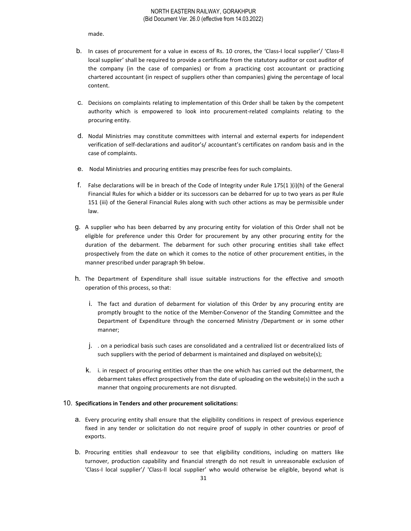made.

- b. In cases of procurement for a value in excess of Rs. 10 crores, the 'Class-I local supplier'/ 'Class-ll local supplier' shall be required to provide a certificate from the statutory auditor or cost auditor of the company (in the case of companies) or from a practicing cost accountant or practicing chartered accountant (in respect of suppliers other than companies) giving the percentage of local content.
- c. Decisions on complaints relating to implementation of this Order shall be taken by the competent authority which is empowered to look into procurement-related complaints relating to the procuring entity.
- d. Nodal Ministries may constitute committees with internal and external experts for independent verification of self-declarations and auditor's/ accountant's certificates on random basis and in the case of complaints.
- e. Nodal Ministries and procuring entities may prescribe fees for such complaints.
- f. False declarations will be in breach of the Code of Integrity under Rule 175(1 )(i)(h) of the General Financial Rules for which a bidder or its successors can be debarred for up to two years as per Rule 151 (iii) of the General Financial Rules along with such other actions as may be permissible under law.
- g. A supplier who has been debarred by any procuring entity for violation of this Order shall not be eligible for preference under this Order for procurement by any other procuring entity for the duration of the debarment. The debarment for such other procuring entities shall take effect prospectively from the date on which it comes to the notice of other procurement entities, in the manner prescribed under paragraph 9h below.
- h. The Department of Expenditure shall issue suitable instructions for the effective and smooth operation of this process, so that:
	- i. The fact and duration of debarment for violation of this Order by any procuring entity are promptly brought to the notice of the Member-Convenor of the Standing Committee and the Department of Expenditure through the concerned Ministry /Department or in some other manner;
	- j. . on a periodical basis such cases are consolidated and a centralized list or decentralized lists of such suppliers with the period of debarment is maintained and displayed on website(s);
	- k. i. in respect of procuring entities other than the one which has carried out the debarment, the debarment takes effect prospectively from the date of uploading on the website(s) in the such a manner that ongoing procurements are not disrupted.

#### 10. Specifications in Tenders and other procurement solicitations:

- a. Every procuring entity shall ensure that the eligibility conditions in respect of previous experience fixed in any tender or solicitation do not require proof of supply in other countries or proof of exports.
- b. Procuring entities shall endeavour to see that eligibility conditions, including on matters like turnover, production capability and financial strength do not result in unreasonable exclusion of 'Class-I local supplier'/ 'Class-ll local supplier' who would otherwise be eligible, beyond what is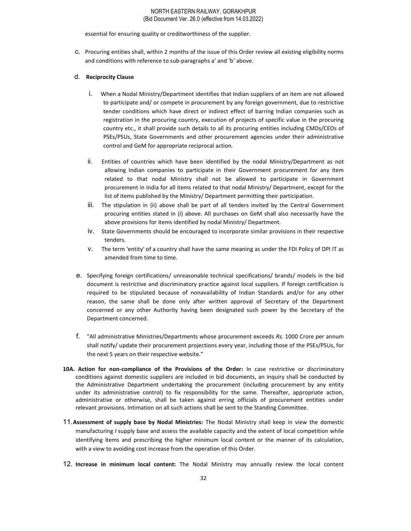essential for ensuring quality or creditworthiness of the supplier.

c. Procuring entities shall, within 2 months of the issue of this Order review all existing eligibility norms and conditions with reference to sub-paragraphs a' and 'b' above.

# d. Reciprocity Clause

- i. When a Nodal Ministry/Department identifies that Indian suppliers of an item are not allowed to participate and/ or compete in procurement by any foreign government, due to restrictive tender conditions which have direct or indirect effect of barring Indian companies such as registration in the procuring country, execution of projects of specific value in the procuring country etc., it shall provide such details to all its procuring entities including CMDs/CEOs of PSEs/PSUs, State Governments and other procurement agencies under their administrative control and GeM for appropriate reciprocal action.
- ii. Entities of countries which have been identified by the nodal Ministry/Department as not allowing Indian companies to participate in their Government procurement for any item related to that nodal Ministry shall not be allowed to participate in Government procurement in India for all items related to that nodal Ministry/ Department, except for the list of items published by the Ministry/ Department permitting their participation.
- iii. The stipulation in (ii) above shall be part of all tenders invited by the Central Government procuring entities stated in (i) above. All purchases on GeM shall also necessarily have the above provisions for items identified by nodal Ministry/ Department.
- iv. State Governments should be encouraged to incorporate similar provisions in their respective tenders.
- v. The term 'entity' of a country shall have the same meaning as under the FDI Policy of DPI IT as amended from time to time.
- e. Specifying foreign certifications/ unreasonable technical specifications/ brands/ models in the bid document is restrictive and discriminatory practice against local suppliers. If foreign certification is required to be stipulated because of nonavailability of Indian Standards and/or for any other reason, the same shall be done only after written approval of Secretary of the Department concerned or any other Authority having been designated such power by the Secretary of the Department concerned.
- f. "All administrative Ministries/Departments whose procurement exceeds Rs. 1000 Crore per annum shall notify/ update their procurement projections every year, including those of the PSEs/PSUs, for the next 5 years on their respective website."
- 10A. Action for non-compliance of the Provisions of the Order: In case restrictive or discriminatory conditions against domestic suppliers are included in bid documents, an inquiry shall be conducted by the Administrative Department undertaking the procurement (including procurement by any entity under its administrative control) to fix responsibility for the same. Thereafter, appropriate action, administrative or otherwise, shall be taken against erring officials of procurement entities under relevant provisions. Intimation on all such actions shall be sent to the Standing Committee.
- 11. Assessment of supply base by Nodal Ministries: The Nodal Ministry shall keep in view the domestic manufacturing I supply base and assess the available capacity and the extent of local competition while identifying items and prescribing the higher minimum local content or the manner of its calculation, with a view to avoiding cost increase from the operation of this Order.
- 12. Increase in minimum local content: The Nodal Ministry may annually review the local content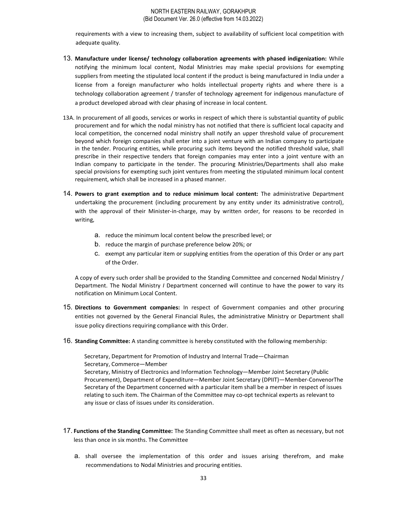requirements with a view to increasing them, subject to availability of sufficient local competition with adequate quality.

- 13. Manufacture under license/ technology collaboration agreements with phased indigenization: While notifying the minimum local content, Nodal Ministries may make special provisions for exempting suppliers from meeting the stipulated local content if the product is being manufactured in India under a license from a foreign manufacturer who holds intellectual property rights and where there is a technology collaboration agreement / transfer of technology agreement for indigenous manufacture of a product developed abroad with clear phasing of increase in local content.
- 13A. In procurement of all goods, services or works in respect of which there is substantial quantity of public procurement and for which the nodal ministry has not notified that there is sufficient local capacity and local competition, the concerned nodal ministry shall notify an upper threshold value of procurement beyond which foreign companies shall enter into a joint venture with an Indian company to participate in the tender. Procuring entities, while procuring such items beyond the notified threshold value, shall prescribe in their respective tenders that foreign companies may enter into a joint venture with an Indian company to participate in the tender. The procuring Ministries/Departments shall also make special provisions for exempting such joint ventures from meeting the stipulated minimum local content requirement, which shall be increased in a phased manner.
- 14. Powers to grant exemption and to reduce minimum local content: The administrative Department undertaking the procurement (including procurement by any entity under its administrative control), with the approval of their Minister-in-charge, may by written order, for reasons to be recorded in writing,
	- a. reduce the minimum local content below the prescribed level; or
	- b. reduce the margin of purchase preference below 20%; or
	- c. exempt any particular item or supplying entities from the operation of this Order or any part of the Order.

A copy of every such order shall be provided to the Standing Committee and concerned Nodal Ministry / Department. The Nodal Ministry I Department concerned will continue to have the power to vary its notification on Minimum Local Content.

- 15. Directions to Government companies: In respect of Government companies and other procuring entities not governed by the General Financial Rules, the administrative Ministry or Department shall issue policy directions requiring compliance with this Order.
- 16. Standing Committee: A standing committee is hereby constituted with the following membership:

Secretary, Department for Promotion of Industry and Internal Trade—Chairman Secretary, Commerce—Member

Secretary, Ministry of Electronics and Information Technology—Member Joint Secretary (Public Procurement), Department of Expenditure—Member Joint Secretary (DPIIT)—Member-ConvenorThe Secretary of the Department concerned with a particular item shall be a member in respect of issues relating to such item. The Chairman of the Committee may co-opt technical experts as relevant to any issue or class of issues under its consideration.

- 17. Functions of the Standing Committee: The Standing Committee shall meet as often as necessary, but not less than once in six months. The Committee
	- a. shall oversee the implementation of this order and issues arising therefrom, and make recommendations to Nodal Ministries and procuring entities.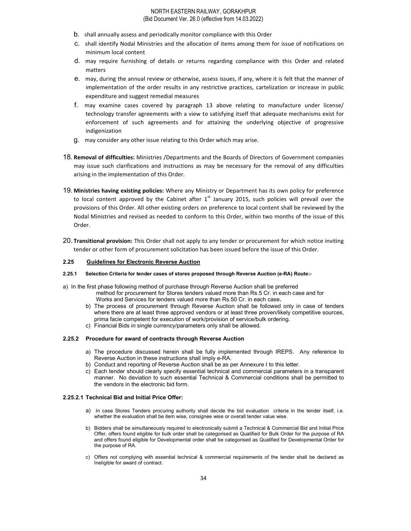- b. shall annually assess and periodically monitor compliance with this Order
- c. shall identify Nodal Ministries and the allocation of items among them for issue of notifications on minimum local content
- d. may require furnishing of details or returns regarding compliance with this Order and related matters
- e. may, during the annual review or otherwise, assess issues, if any, where it is felt that the manner of implementation of the order results in any restrictive practices, cartelization or increase in public expenditure and suggest remedial measures
- f. may examine cases covered by paragraph 13 above relating to manufacture under license/ technology transfer agreements with a view to satisfying itself that adequate mechanisms exist for enforcement of such agreements and for attaining the underlying objective of progressive indigenization
- g. may consider any other issue relating to this Order which may arise.
- 18. Removal of difficulties: Ministries /Departments and the Boards of Directors of Government companies may issue such clarifications and instructions as may be necessary for the removal of any difficulties arising in the implementation of this Order.
- 19. Ministries having existing policies: Where any Ministry or Department has its own policy for preference to local content approved by the Cabinet after  $1<sup>st</sup>$  January 2015, such policies will prevail over the provisions of this Order. All other existing orders on preference to local content shall be reviewed by the Nodal Ministries and revised as needed to conform to this Order, within two months of the issue of this Order.
- 20. Transitional provision: This Order shall not apply to any tender or procurement for which notice inviting tender or other form of procurement solicitation has been issued before the issue of this Order.

#### 2.25 Guidelines for Electronic Reverse Auction

#### 2.25.1 Selection Criteria for tender cases of stores proposed through Reverse Auction (e-RA) Route:-

- a) In the first phase following method of purchase through Reverse Auction shall be preferred method for procurement for Stores tenders valued more than Rs.5 Cr. in each case and for Works and Services for tenders valued more than Rs.50 Cr. in each case.
	- b) The process of procurement through Reverse Auction shall be followed only in case of tenders where there are at least three approved vendors or at least three proven/likely competitive sources, prima facie competent for execution of work/provision of service/bulk ordering.
	- c) Financial Bids in single currency/parameters only shall be allowed.

#### 2.25.2 Procedure for award of contracts through Reverse Auction

- a) The procedure discussed herein shall be fully implemented through IREPS. Any reference to Reverse Auction in these instructions shall imply e-RA.
- b) Conduct and reporting of Reverse Auction shall be as per Annexure I to this letter.
- c) Each tender should clearly specify essential technical and commercial parameters in a transparent manner. No deviation to such essential Technical & Commercial conditions shall be permitted to the vendors in the electronic bid form.

#### 2.25.2.1 Technical Bid and Initial Price Offer:

- a) In case Stores Tenders procuring authority shall decide the bid evaluation criteria in the tender itself, i.e. whether the evaluation shall be item wise, consignee wise or overall tender value wise.
- b) Bidders shall be simultaneously required to electronically submit a Technical & Commercial Bid and Initial Price Offer, offers found eligible for bulk order shall be categorised as Qualified for Bulk Order for the purpose of RA and offers found eligible for Developmental order shall be categorised as Qualified for Developmental Order for the purpose of RA.
- c) Offers not complying with essential technical & commercial requirements of the tender shall be declared as Ineligible for award of contract.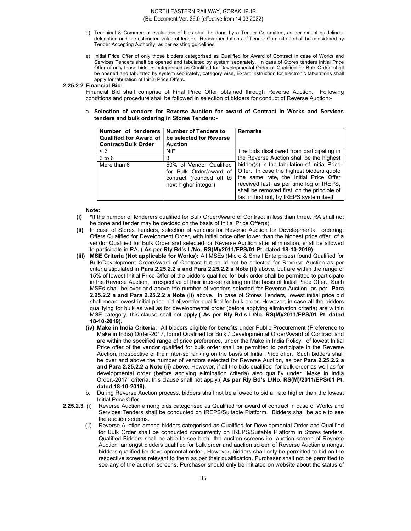- d) Technical & Commercial evaluation of bids shall be done by a Tender Committee, as per extant guidelines, delegation and the estimated value of tender. Recommendations of Tender Committee shall be considered by Tender Accepting Authority, as per existing guidelines.
- e) Initial Price Offer of only those bidders categorised as Qualified for Award of Contract in case of Works and Services Tenders shall be opened and tabulated by system separately. In case of Stores tenders Initial Price Offer of only those bidders categorised as Qualified for Developmental Order or Qualified for Bulk Order, shall be opened and tabulated by system separately, category wise, Extant instruction for electronic tabulations shall apply for tabulation of Initial Price Offers.

#### 2.25.2.2 Financial Bid:

Financial Bid shall comprise of Final Price Offer obtained through Reverse Auction. Following conditions and procedure shall be followed in selection of bidders for conduct of Reverse Auction:-

#### a. Selection of vendors for Reverse Auction for award of Contract in Works and Services tenders and bulk ordering in Stores Tenders:-

| Number of tenderers<br><b>Qualified for Award of</b><br><b>Contract/Bulk Order</b> | <b>Number of Tenders to</b><br>be selected for Reverse<br><b>Auction</b>                               | <b>Remarks</b>                                                                                                                                                                                                                                                              |
|------------------------------------------------------------------------------------|--------------------------------------------------------------------------------------------------------|-----------------------------------------------------------------------------------------------------------------------------------------------------------------------------------------------------------------------------------------------------------------------------|
| $\leq 3$                                                                           | $Nil^*$                                                                                                | The bids disallowed from participating in                                                                                                                                                                                                                                   |
| $3$ to $6$                                                                         |                                                                                                        | the Reverse Auction shall be the highest                                                                                                                                                                                                                                    |
| More than 6                                                                        | 50% of Vendor Qualified<br>for Bulk Order/award of<br>contract (rounded off to<br>next higher integer) | bidder(s) in the tabulation of Initial Price<br>Offer. In case the highest bidders quote<br>the same rate, the Initial Price Offer<br>received last, as per time log of IREPS,<br>shall be removed first, on the principle of<br>last in first out, by IREPS system itself. |

#### Note:

- (i) \*If the number of tenderers qualified for Bulk Order/Award of Contract in less than three, RA shall not be done and tender may be decided on the basis of Initial Price Offer(s).
- (ii) In case of Stores Tenders, selection of vendors for Reverse Auction for Developmental ordering: Offers Qualified for Development Order, with initial price offer lower than the highest price offer of a vendor Qualified for Bulk Order and selected for Reverse Auction after elimination, shall be allowed to participate in RA. ( As per Rly Bd's L/No. RS(M)/2011/EPS/01 Pt. dated 18-10-2019).
- (iii) MSE Criteria (Not applicable for Works): All MSEs (Micro & Small Enterprises) found Qualified for Bulk/Development Order/Award of Contract but could not be selected for Reverse Auction as per criteria stipulated in Para 2.25.2.2 a and Para 2.25.2.2 a Note (ii) above, but are within the range of 15% of lowest Initial Price Offer of the bidders qualified for bulk order shall be permitted to participate in the Reverse Auction, irrespective of their inter-se ranking on the basis of Initial Price Offer. Such MSEs shall be over and above the number of vendors selected for Reverse Auction, as per Para 2.25.2.2 a and Para 2.25.2.2 a Note (ii) above. In case of Stores Tenders, lowest initial price bid shall mean lowest initial price bid of vendor qualified for bulk order. However, in case all the bidders qualifying for bulk as well as for developmental order (before applying elimination criteria) are within MSE category, this clause shall not apply.( As per Rly Bd's L/No. RS(M)/2011/EPS/01 Pt. dated 18-10-2019).
	- (iv) Make in India Criteria: All bidders eligible for benefits under Public Procurement (Preference to Make in India) Order-2017, found Qualified for Bulk / Developmental Order/Award of Contract and are within the specified range of price preference, under the Make in India Policy, of lowest Initial Price offer of the vendor qualified for bulk order shall be permitted to participate in the Reverse Auction, irrespective of their inter-se ranking on the basis of Initial Price offer. Such bidders shall be over and above the number of vendors selected for Reverse Auction, as per Para 2.25.2.2 a and Para 2.25.2.2 a Note (ii) above. However, if all the bids qualified for bulk order as well as for developmental order (before applying elimination criteria) also qualifiy under "Make in India Order,-2017" criteria, this clause shall not apply.( As per Rly Bd's L/No. RS(M)/2011/EPS/01 Pt. dated 18-10-2019).
	- b. During Reverse Auction process, bidders shall not be allowed to bid a rate higher than the lowest Initial Price Offer.
- 2.25.2.3 (i) Reverse Auction among bids categorised as Qualified for award of contract in case of Works and Services Tenders shall be conducted on IREPS/Suitable Platform. Bidders shall be able to see the auction screens.
	- (ii) Reverse Auction among bidders categorised as Qualified for Developmental Order and Qualified for Bulk Order shall be conducted concurrently on IREPS/Suitable Platform in Stores tenders. Qualified Bidders shall be able to see both the auction screens i.e. auction screen of Reverse Auction amongst bidders qualified for bulk order and auction screen of Reverse Auction amongst bidders qualified for developmental order.. However, bidders shall only be permitted to bid on the respective screens relevant to them as per their qualification. Purchaser shall not be permitted to see any of the auction screens. Purchaser should only be initiated on website about the status of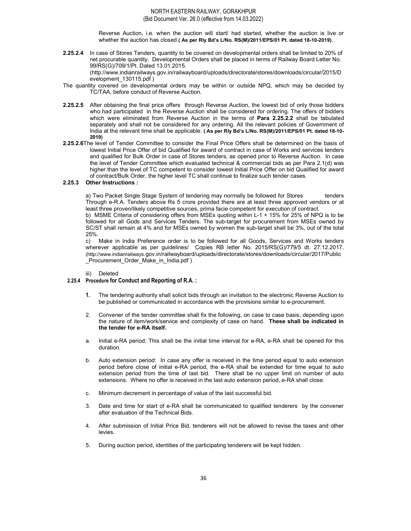Reverse Auction, i.e. when the auction will start/ had started, whether the auction is live or whether the auction has closed.( As per Rly Bd's L/No. RS(M)/2011/EPS/01 Pt. dated 18-10-2019).

2.25.2.4 In case of Stores Tenders, quantity to be covered on developmental orders shall be limited to 20% of net procurable quantity. Developmental Orders shall be placed in terms of Railway Board Letter No. 99/RS(G)/709/1/Pt. Dated 13.01.2015.

(http://www.indianrailways.gov.in/railwayboard/uploads/directorate/stores/downloads/circular/2015/D evelopment\_130115.pdf )

- The quantity covered on developmental orders may be within or outside NPQ, which may be decided by TC/TAA, before conduct of Reverse Auction.
- 2.25.2.5 After obtaining the final price offers through Reverse Auction, the lowest bid of only those bidders who had participated in the Reverse Auction shall be considered for ordering. The offers of bidders which were eliminated from Reverse Auction in the terms of Para 2.25.2.2 shall be tabulated separately and shall not be considered for any ordering. All the relevant policies of Government of India at the relevant time shall be applicable. ( As per Rly Bd's L/No. RS(M)/2011/EPS/01 Pt. dated 18-10- 2019)
- 2.25.2.6The level of Tender Committee to consider the Final Price Offers shall be determined on the basis of lowest Initial Price Offer of bid Qualified for award of contract in case of Works and services tenders and qualified for Bulk Order in case of Stores tenders, as opened prior to Reverse Auction. In case the level of Tender Committee which evaluated technical & commercial bids as per Para 2.1(d) was higher than the level of TC competent to consider lowest Initial Price Offer on bid Qualified for award of contract/Bulk Order, the higher level TC shall continue to finalize such tender cases.

#### 2.25.3 Other Instructions :

a) Two Packet Single Stage System of tendering may normally be followed for Stores tenders Through e-R.A. Tenders above Rs 5 crore provided there are at least three approved vendors or at least three proven/likely competitive sources, prima facie competent for execution of contract.

b) MSME Criteria of considering offers from MSEs quoting within L-1 + 15% for 25% of NPQ is to be followed for all Gods and Services Tenders. The sub-target for procurement from MSEs owned by SC/ST shall remain at 4% and for MSEs owned by women the sub-target shall be 3%, out of the total 25%.

c) Make in India Preference order is to be followed for all Goods, Services and Works tenders wherever applicable as per guidelines/ Copies RB letter No. 2015/RS(G)/779/5 dt. 27.12.2017. (http://www.indianrailways.gov.in/railwayboard/uploads/directorate/stores/downloads/circular/2017/Public \_Procurement\_Order\_Make\_in\_India.pdf )

#### iii) Deleted

#### 2.25.4 Procedure for Conduct and Reporting of R.A. :

- 1. The tendering authority shall solicit bids through an invitation to the electronic Reverse Auction to be published or communicated in accordance with the provisions similar to e-procurement.
- 2. Convener of the tender committee shall fix the following, on case to case basis, depending upon the nature of item/work/service and complexity of case on hand. These shall be indicated in the tender for e-RA itself.
- a. Initial e-RA period: This shall be the initial time interval for e-RA, e-RA shall be opened for this duration.
- b. Auto extension period: In case any offer is received in the time period equal to auto extension period before close of initial e-RA period, the e-RA shall be extended for time equal to auto extension period from the time of last bid. There shall be no upper limit on number of auto extensions. Where no offer is received in the last auto extension period, e-RA shall close.
- c. Minimum decrement in percentage of value of the last successful bid.
- 3. Date and time for start of e-RA shall be communicated to qualified tenderers by the convener after evaluation of the Technical Bids.
- 4. After submission of Initial Price Bid, tenderers will not be allowed to revise the taxes and other levies.
- 5. During auction period, identities of the participating tenderers will be kept hidden.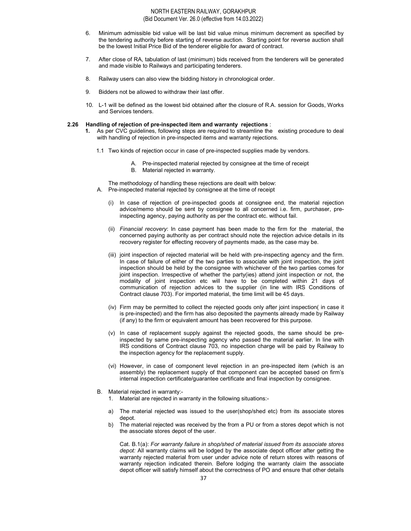- 6. Minimum admissible bid value will be last bid value minus minimum decrement as specified by the tendering authority before starting of reverse auction. Starting point for reverse auction shall be the lowest Initial Price Bid of the tenderer eligible for award of contract.
- 7. After close of RA, tabulation of last (minimum) bids received from the tenderers will be generated and made visible to Railways and participating tenderers.
- 8. Railway users can also view the bidding history in chronological order.
- 9. Bidders not be allowed to withdraw their last offer.
- 10. L-1 will be defined as the lowest bid obtained after the closure of R.A. session for Goods, Works and Services tenders.

#### 2.26 Handling of rejection of pre-inspected item and warranty rejections :

- 1. As per CVC guidelines, following steps are required to streamline the existing procedure to deal with handling of rejection in pre-inspected items and warranty rejections.
	- 1.1 Two kinds of rejection occur in case of pre-inspected supplies made by vendors.
		- A. Pre-inspected material rejected by consignee at the time of receipt
		- B. Material rejected in warranty.

The methodology of handling these rejections are dealt with below: A. Pre-inspected material rejected by consignee at the time of receipt

- (i) In case of rejection of pre-inspected goods at consignee end, the material rejection advice/memo should be sent by consignee to all concerned i.e. firm, purchaser, preinspecting agency, paying authority as per the contract etc. without fail.
- (ii) Financial recovery: In case payment has been made to the firm for the material, the concerned paying authority as per contract should note the rejection advice details in its recovery register for effecting recovery of payments made, as the case may be.
- (iii) joint inspection of rejected material will be held with pre-inspecting agency and the firm. In case of failure of either of the two parties to associate with joint inspection, the joint inspection should be held by the consignee with whichever of the two parties comes for joint inspection. Irrespective of whether the party(ies) attend joint inspection or not, the modality of joint inspection etc will have to be completed within 21 days of communication of rejection advices to the supplier (in line with IRS Conditions of Contract clause 703). For imported material, the time limit will be 45 days.
- (iv) Firm may be permitted to collect the rejected goods only after joint inspection( in case it is pre-inspected) and the firm has also deposited the payments already made by Railway (if any) to the firm or equivalent amount has been recovered for this purpose.
- (v) In case of replacement supply against the rejected goods, the same should be preinspected by same pre-inspecting agency who passed the material earlier. In line with IRS conditions of Contract clause 703, no inspection charge will be paid by Railway to the inspection agency for the replacement supply.
- (vi) However, in case of component level rejection in an pre-inspected item (which is an assembly) the replacement supply of that component can be accepted based on firm's internal inspection certificate/guarantee certificate and final inspection by consignee.
- B. Material rejected in warranty:-
	- 1. Material are rejected in warranty in the following situations:-
	- a) The material rejected was issued to the user(shop/shed etc) from its associate stores depot.
	- b) The material rejected was received by the from a PU or from a stores depot which is not the associate stores depot of the user.

Cat. B.1(a): For warranty failure in shop/shed of material issued from its associate stores depot: All warranty claims will be lodged by the associate depot officer after getting the warranty rejected material from user under advice note of return stores with reasons of warranty rejection indicated therein. Before lodging the warranty claim the associate depot officer will satisfy himself about the correctness of PO and ensure that other details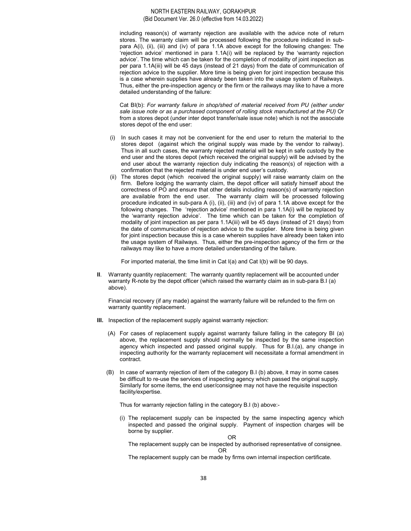including reason(s) of warranty rejection are available with the advice note of return stores. The warranty claim will be processed following the procedure indicated in subpara A(i), (ii), (iii) and (iv) of para 1.1A above except for the following changes: The 'rejection advice' mentioned in para 1.1A(i) will be replaced by the 'warranty rejection advice'. The time which can be taken for the completion of modalilty of joint inspection as per para 1.1A(iii) will be 45 days (instead of 21 days) from the date of communication of rejection advice to the supplier. More time is being given for joint inspection because this is a case wherein supplies have already been taken into the usage system of Railways. Thus, either the pre-inspection agency or the firm or the railways may like to have a more detailed understanding of the failure:

Cat BI(b): For warranty failure in shop/shed of material received from PU (either under sale issue note or as a purchased component of rolling stock manufactured at the PU) Or from a stores depot (under inter depot transfer/sale issue note) which is not the associate stores depot of the end user:

- (i) In such cases it may not be convenient for the end user to return the material to the stores depot (against which the original supply was made by the vendor to railway). Thus in all such cases, the warranty rejected material will be kept in safe custody by the end user and the stores depot (which received the original supply) will be advised by the end user about the warranty rejection duly indicating the reason(s) of rejection with a confirmation that the rejected material is under end user's custody.
- (ii) The stores depot (which received the original supply) will raise warranty claim on the firm. Before lodging the warranty claim, the depot officer will satisfy himself about the correctness of PO and ensure that other details including reason(s) of warranty rejection are available from the end user. The warranty claim will be processed following procedure indicated in sub-para A (i), (ii), (iii) and (iv) of para 1.1A above except for the following changes. The 'rejection advice' mentioned in para 1.1A(i) will be replaced by the 'warranty rejection advice'. The time which can be taken for the completion of modality of joint inspection as per para 1.1A(iii) will be 45 days (instead of 21 days) from the date of communication of rejection advice to the supplier. More time is being given for joint inspection because this is a case wherein supplies have already been taken into the usage system of Railways. Thus, either the pre-inspection agency of the firm or the railways may like to have a more detailed understanding of the failure.

For imported material, the time limit in Cat I(a) and Cat I(b) will be 90 days.

II. Warranty quantity replacement: The warranty quantity replacement will be accounted under warranty R-note by the depot officer (which raised the warranty claim as in sub-para B.I (a) above).

 Financial recovery (if any made) against the warranty failure will be refunded to the firm on warranty quantity replacement.

- III. Inspection of the replacement supply against warranty rejection:
	- (A) For cases of replacement supply against warranty failure falling in the category BI (a) above, the replacement supply should normally be inspected by the same inspection agency which inspected and passed original supply. Thus for B.I.(a), any change in inspecting authority for the warranty replacement will necessitate a formal amendment in contract.
	- (B) In case of warranty rejection of item of the category B.I (b) above, it may in some cases be difficult to re-use the services of inspecting agency which passed the original supply. Similarly for some items, the end user/consignee may not have the requisite inspection facility/expertise.

Thus for warranty rejection falling in the category B.I (b) above:-

(i) The replacement supply can be inspected by the same inspecting agency which inspected and passed the original supply. Payment of inspection charges will be borne by supplier.

OR

The replacement supply can be inspected by authorised representative of consignee. **OR OR** 

The replacement supply can be made by firms own internal inspection certificate.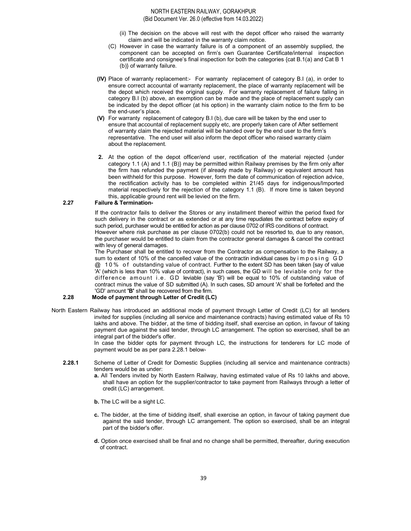- (ii) The decision on the above will rest with the depot officer who raised the warranty claim and will be indicated in the warranty claim notice.
- (C) However in case the warranty failure is of a component of an assembly supplied, the component can be accepted on firm's own Guarantee Certificate/internal inspection certificate and consignee's final inspection for both the categories {cat B.1(a) and Cat B 1 (b)} of warranty failure.
- (IV) Place of warranty replacement:- For warranty replacement of category B.I (a), in order to ensure correct accountal of warranty replacement, the place of warranty replacement will be the depot which received the original supply. For warranty replacement of failure falling in category B.I (b) above, an exemption can be made and the place of replacement supply can be indicated by the depot officer (at his option) in the warranty claim notice to the firm to be the end-user's place.
- (V) For warranty replacement of category B.I (b), due care will be taken by the end user to ensure that accountal of replacement supply etc, are properly taken care of After settlement of warranty claim the rejected material will be handed over by the end user to the firm's representative. The end user will also inform the depot officer who raised warranty claim about the replacement.
- 2. At the option of the depot officer/end user, rectification of the material rejected {under category 1.1 (A) and 1.1 (B)} may be permitted within Railway premises by the firm only after the firm has refunded the payment (if already made by Railway) or equivalent amount has been withheld for this purpose. However, form the date of communication of rejection advice, the rectification activity has to be completed within 21/45 days for indigenous/Imported material respectively for the rejection of the category 1.1 (B). If more time is taken beyond this, applicable ground rent will be levied on the firm.

# 2.27 Failure & Termination-

If the contractor fails to deliver the Stores or any installment thereof within the period fixed for such delivery in the contract or as extended or at any time repudiates the contract before expiry of such period, purchaser would be entitled for action as per clause 0702 of IRS conditions of contract. However where risk purchase as per clause 0702(b) could not be resorted to, due to any reason, the purchaser would be entitled to claim from the contractor general damages & cancel the contract with levy of general damages.

The Purchaser shall be entitled to recover from the Contractor as compensation to the Railway, a sum to extent of 10% of the cancelled value of the contractin individual cases by imposing GD @ 1 0 % o f outstanding value of contract. Further to the extent SD has been taken {say of value 'A' (which is less than 10% value of contract), in such cases, the GD will be leviable only for the difference amount i.e. GD leviable (say 'B') will be equal to 10% of outstanding value of contract minus the value of SD submitted (A). In such cases, SD amount 'A' shall be forfeited and the 'GD' amount 'B' shall be recovered from the firm.

## 2.28 Mode of payment through Letter of Credit (LC)

North Eastern Railway has introduced an additional mode of payment through Letter of Credit (LC) for all tenders invited for supplies (including all service and maintenance contracts) having estimated value of Rs 10 lakhs and above. The bidder, at the time of bidding itself, shall exercise an option, in favour of taking payment due against the said tender, through LC arrangement. The option so exercised, shall be an integral part of the bidder's offer.

> In case the bidder opts for payment through LC, the instructions for tenderers for LC mode of payment would be as per para 2.28.1 below-

- 2.28.1 Scheme of Letter of Credit for Domestic Supplies (including all service and maintenance contracts) tenders would be as under:
	- a. All Tenders invited by North Eastern Railway, having estimated value of Rs 10 lakhs and above, shall have an option for the supplier/contractor to take payment from Railways through a letter of credit (LC) arrangement.
	- b. The LC will be a sight LC.
	- c. The bidder, at the time of bidding itself, shall exercise an option, in favour of taking payment due against the said tender, through LC arrangement. The option so exercised, shall be an integral part of the bidder's offer.
	- d. Option once exercised shall be final and no change shall be permitted, thereafter, during execution of contract.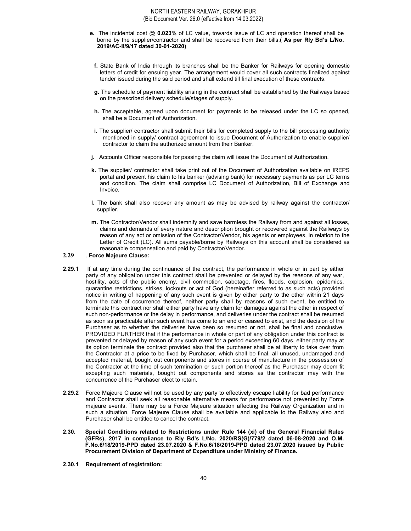- e. The incidental cost @ 0.023% of LC value, towards issue of LC and operation thereof shall be borne by the supplier/contractor and shall be recovered from their bills.( As per Rly Bd's L/No. 2019/AC-II/9/17 dated 30-01-2020)
- f. State Bank of India through its branches shall be the Banker for Railways for opening domestic letters of credit for ensuing year. The arrangement would cover all such contracts finalized against tender issued during the said period and shall extend till final execution of these contracts.
- g. The schedule of payment liability arising in the contract shall be established by the Railways based on the prescribed delivery schedule/stages of supply.
- h. The acceptable, agreed upon document for payments to be released under the LC so opened, shall be a Document of Authorization.
- i. The supplier/ contractor shall submit their bills for completed supply to the bill processing authority mentioned in supply/ contract agreement to issue Document of Authorization to enable supplier/ contractor to claim the authorized amount from their Banker.
- j. Accounts Officer responsible for passing the claim will issue the Document of Authorization.
- k. The supplier/ contractor shall take print out of the Document of Authorization available on IREPS portal and present his claim to his banker (advising bank) for necessary payments as per LC terms and condition. The claim shall comprise LC Document of Authorization, Bill of Exchange and Invoice.
- l. The bank shall also recover any amount as may be advised by railway against the contractor/ supplier.
- m. The Contractor/Vendor shall indemnify and save harmless the Railway from and against all losses, claims and demands of every nature and description brought or recovered against the Railways by reason of any act or omission of the Contractor/Vendor, his agents or employees, in relation to the Letter of Credit (LC). All sums payable/borne by Railways on this account shall be considered as reasonable compensation and paid by Contractor/Vendor.

## 2.29 . Force Majeure Clause:

- 2.29.1 If at any time during the continuance of the contract, the performance in whole or in part by either party of any obligation under this contract shall be prevented or delayed by the reasons of any war, hostility, acts of the public enemy, civil commotion, sabotage, fires, floods, explosion, epidemics, quarantine restrictions, strikes, lockouts or act of God (hereinafter referred to as such acts) provided notice in writing of happening of any such event is given by either party to the other within 21 days from the date of occurrence thereof, neither party shall by reasons of such event, be entitled to terminate this contract nor shall either party have any claim for damages against the other in respect of such non-performance or the delay in performance, and deliveries under the contract shall be resumed as soon as practicable after such event has come to an end or ceased to exist, and the decision of the Purchaser as to whether the deliveries have been so resumed or not, shall be final and conclusive, PROVIDED FURTHER that if the performance in whole or part of any obligation under this contract is prevented or delayed by reason of any such event for a period exceeding 60 days, either party may at its option terminate the contract provided also that the purchaser shall be at liberty to take over from the Contractor at a price to be fixed by Purchaser, which shall be final, all unused, undamaged and accepted material, bought out components and stores in course of manufacture in the possession of the Contractor at the time of such termination or such portion thereof as the Purchaser may deem fit excepting such materials, bought out components and stores as the contractor may with the concurrence of the Purchaser elect to retain.
- 2.29.2 Force Majeure Clause will not be used by any party to effectively escape liability for bad performance and Contractor shall seek all reasonable alternative means for performance not prevented by Force majeure events. There may be a Force Majeure situation affecting the Railway Organization and in such a situation, Force Majeure Clause shall be available and applicable to the Railway also and Purchaser shall be entitled to cancel the contract.
- 2.30. Special Conditions related to Restrictions under Rule 144 (xi) of the General Financial Rules (GFRs), 2017 in compliance to Rly Bd's L/No. 2020/RS(G)/779/2 dated 06-08-2020 and O.M. F.No.6/18/2019-PPD dated 23.07.2020 & F.No.6/18/2019-PPD dated 23.07.2020 issued by Public Procurement Division of Department of Expenditure under Ministry of Finance.
- 2.30.1 Requirement of registration: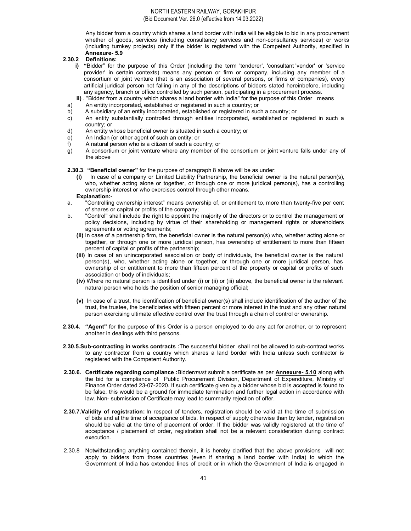Any bidder from a country which shares a land border with India will be eligible to bid in any procurement whether of goods, services (including consultancy services and non-consultancy services) or works (including turnkey projects) only if the bidder is registered with the Competent Authority, specified in Annexure- 5.9

## 2.30.2 Definitions:

- i) "Bidder" for the purpose of this Order (including the term 'tenderer', 'consultant 'vendor' or 'service provider' in certain contexts) means any person or firm or company, including any member of a consortium or joint venture (that is an association of several persons, or firms or companies), every artificial juridical person not falling in any of the descriptions of bidders stated hereinbefore, including any agency, branch or office controlled by such person, participating in a procurement process.
- ii) . "Bidder from a country which shares a land border with India" for the purpose of this Order means
- a) An entity incorporated, established or registered in such a country; or
- b) A subsidiary of an entity incorporated, established or registered in such a country; or
- c) An entity substantially controlled through entities incorporated, established or registered in such a country; or
- d) An entity whose beneficial owner is situated in such a country; or
- e) An Indian (or other agent of such an entity; or
- f) A natural person who is a citizen of such a country; or
- g) A consortium or joint venture where any member of the consortium or joint venture falls under any of the above

2.30.3. "Beneficial owner" for the purpose of paragraph 8 above will be as under:

- In case of a company or Limited Liability Partnership, the beneficial owner is the natural person(s), who, whether acting alone or together, or through one or more juridical person(s), has a controlling ownership interest or who exercises control through other means. Explanation:-
- a. "Controlling ownership interest" means ownership of, or entitlement to, more than twenty-five per cent of shares or capital or profits of the company;
- b. "Control" shall include the right to appoint the majority of the directors or to control the management or policy decisions, including by virtue of their shareholding or management rights or shareholders agreements or voting agreements;
	- (ii) In case of a partnership firm, the beneficial owner is the natural person(s) who, whether acting alone or together, or through one or more juridical person, has ownership of entitlement to more than fifteen percent of capital or profits of the partnership;
	- (iii) In case of an unincorporated association or body of individuals, the beneficial owner is the natural person(s), who, whether acting alone or together, or through one or more juridical person, has ownership of or entitlement to more than fifteen percent of the property or capital or profits of such association or body of individuals;
	- (iv) Where no natural person is identified under (i) or (ii) or (iii) above, the beneficial owner is the relevant natural person who holds the position of senior managing official;
	- (v) In case of a trust, the identification of beneficial owner(s) shall include identification of the author of the trust, the trustee, the beneficiaries with fifteen percent or more interest in the trust and any other natural person exercising ultimate effective control over the trust through a chain of control or ownership.
- 2.30.4. "Agent" for the purpose of this Order is a person employed to do any act for another, or to represent another in dealings with third persons.
- 2.30.5.Sub-contracting in works contracts :The successful bidder shall not be allowed to sub-contract works to any contractor from a country which shares a land border with India unless such contractor is registered with the Competent Authority.
- 2.30.6. Certificate regarding compliance : Biddermust submit a certificate as per **Annexure- 5.10** along with the bid for a compliance of Public Procurement Division, Department of Expenditure, Ministry of Finance Order dated 23-07-2020. If such certificate given by a bidder whose bid is accepted is found to be false, this would be a ground for immediate termination and further legal action in accordance with law. Non- submission of Certificate may lead to summarily rejection of offer.
- 2.30.7. Validity of registration: In respect of tenders, registration should be valid at the time of submission of bids and at the time of acceptance of bids. In respect of supply otherwise than by tender, registration should be valid at the time of placement of order. If the bidder was validly registered at the time of acceptance / placement of order, registration shall not be a relevant consideration during contract execution.
- 2.30.8 Notwithstanding anything contained therein, it is hereby clarified that the above provisions will not apply to bidders from those countries (even if sharing a land border with India) to which the Government of India has extended lines of credit or in which the Government of India is engaged in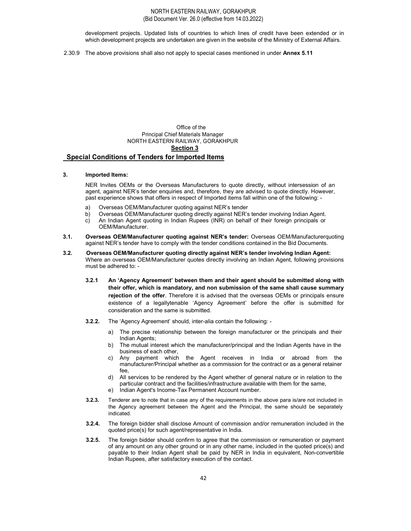development projects. Updated lists of countries to which lines of credit have been extended or in which development projects are undertaken are given in the website of the Ministry of External Affairs.

2.30.9 The above provisions shall also not apply to special cases mentioned in under Annex 5.11

# Office of the Principal Chief Materials Manager NORTH EASTERN RAILWAY, GORAKHPUR Section 3

## Special Conditions of Tenders for Imported Items

#### 3. Imported Items:

NER Invites OEMs or the Overseas Manufacturers to quote directly, without intersession of an agent, against NER's tender enquiries and, therefore, they are advised to quote directly. However, past experience shows that offers in respect of Imported items fall within one of the following: -

- a) Overseas OEM/Manufacturer quoting against NER's tender
- b) Overseas OEM/Manufacturer quoting directly against NER's tender involving Indian Agent.
- c) An Indian Agent quoting in Indian Rupees (INR) on behalf of their foreign principals or OEM/Manufacturer.
- 3.1. Overseas OEM/Manufacturer quoting against NER's tender: Overseas OEM/Manufacturerquoting against NER's tender have to comply with the tender conditions contained in the Bid Documents.
- 3.2. Overseas OEM/Manufacturer quoting directly against NER's tender involving Indian Agent: Where an overseas OEM/Manufacturer quotes directly involving an Indian Agent, following provisions must be adhered to: -
	- 3.2.1 An 'Agency Agreement' between them and their agent should be submitted along with their offer, which is mandatory, and non submission of the same shall cause summary rejection of the offer. Therefore it is advised that the overseas OEMs or principals ensure existence of a legallytenable 'Agency Agreement' before the offer is submitted for consideration and the same is submitted.
	- 3.2.2. The 'Agency Agreement' should, inter-alia contain the following:
		- a) The precise relationship between the foreign manufacturer or the principals and their Indian Agents;
		- b) The mutual interest which the manufacturer/principal and the Indian Agents have in the business of each other,
		- c) Any payment which the Agent receives in India or abroad from the manufacturer/Principal whether as a commission for the contract or as a general retainer fee,
		- d) All services to be rendered by the Agent whether of general nature or in relation to the particular contract and the facilities/infrastructure available with them for the same,
		- e) Indian Agent's Income-Tax Permanent Account number.
	- 3.2.3. Tenderer are to note that in case any of the requirements in the above para is/are not included in the Agency agreement between the Agent and the Principal, the same should be separately indicated.
	- 3.2.4. The foreign bidder shall disclose Amount of commission and/or remuneration included in the quoted price(s) for such agent/representative in India.
	- 3.2.5. The foreign bidder should confirm to agree that the commission or remuneration or payment of any amount on any other ground or in any other name, included in the quoted price(s) and payable to their Indian Agent shall be paid by NER in India in equivalent, Non-convertible Indian Rupees, after satisfactory execution of the contact.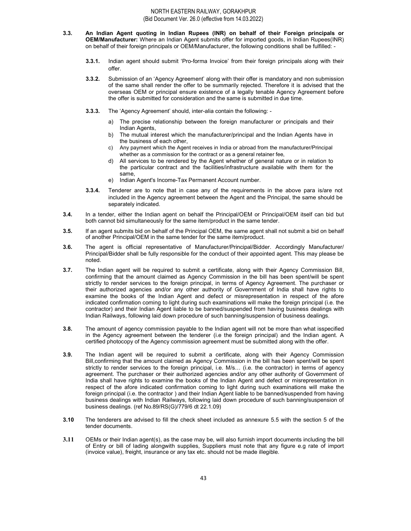- 3.3. An Indian Agent quoting in Indian Rupees (INR) on behalf of their Foreign principals or OEM/Manufacturer: Where an Indian Agent submits offer for imported goods, in Indian Rupees(INR) on behalf of their foreign principals or OEM/Manufacturer, the following conditions shall be fulfilled: -
	- 3.3.1. Indian agent should submit 'Pro-forma Invoice' from their foreign principals along with their offer.
	- 3.3.2. Submission of an 'Agency Agreement' along with their offer is mandatory and non submission of the same shall render the offer to be summarily rejected. Therefore it is advised that the overseas OEM or principal ensure existence of a legally tenable Agency Agreement before the offer is submitted for consideration and the same is submitted in due time.
	- 3.3.3. The 'Agency Agreement' should, inter-alia contain the following:
		- a) The precise relationship between the foreign manufacturer or principals and their Indian Agents,
		- b) The mutual interest which the manufacturer/principal and the Indian Agents have in the business of each other,
		- c) Any payment which the Agent receives in India or abroad from the manufacturer/Principal whether as a commission for the contract or as a general retainer fee,
		- All services to be rendered by the Agent whether of general nature or in relation to the particular contract and the facilities/infrastructure available with them for the same,
		- e) Indian Agent's Income-Tax Permanent Account number.
	- 3.3.4. Tenderer are to note that in case any of the requirements in the above para is/are not included in the Agency agreement between the Agent and the Principal, the same should be separately indicated.
- 3.4. In a tender, either the Indian agent on behalf the Principal/OEM or Principal/OEM itself can bid but both cannot bid simultaneously for the same item/product in the same tender.
- 3.5. If an agent submits bid on behalf of the Principal OEM, the same agent shall not submit a bid on behalf of another Principal/OEM in the same tender for the same item/product.
- 3.6. The agent is official representative of Manufacturer/Principal/Bidder. Accordingly Manufacturer/ Principal/Bidder shall be fully responsible for the conduct of their appointed agent. This may please be noted.
- 3.7. The Indian agent will be required to submit a certificate, along with their Agency Commission Bill, confirming that the amount claimed as Agency Commission in the bill has been spent/will be spent strictly to render services to the foreign principal, in terms of Agency Agreement. The purchaser or their authorized agencies and/or any other authority of Government of India shall have rights to examine the books of the Indian Agent and defect or misrepresentation in respect of the afore indicated confirmation coming to light during such examinations will make the foreign principal (i.e. the contractor) and their Indian Agent liable to be banned/suspended from having business dealings with Indian Railways, following laid down procedure of such banning/suspension of business dealings.
- 3.8. The amount of agency commission payable to the Indian agent will not be more than what isspecified in the Agency agreement between the tenderer (i.e the foreign principal) and the Indian agent. A certified photocopy of the Agency commission agreement must be submitted along with the offer.
- 3.9. The Indian agent will be required to submit a certificate, along with their Agency Commission Bill,confirming that the amount claimed as Agency Commission in the bill has been spent/will be spent strictly to render services to the foreign principal, i.e. M/s… (i.e. the contractor) in terms of agency agreement. The purchaser or their authorized agencies and/or any other authority of Government of India shall have rights to examine the books of the Indian Agent and defect or misrepresentation in respect of the afore indicated confirmation coming to light during such examinations will make the foreign principal (i.e. the contractor ) and their Indian Agent liable to be banned/suspended from having business dealings with Indian Railways, following laid down procedure of such banning/suspension of business dealings. (ref No.89/RS(G)/779/6 dt 22.1.09)
- 3.10 The tenderers are advised to fill the check sheet included as annexure 5.5 with the section 5 of the tender documents.
- 3.11 OEMs or their Indian agent(s), as the case may be, will also furnish import documents including the bill of Entry or bill of lading alongwith supplies, Suppliers must note that any figure e.g rate of import (invoice value), freight, insurance or any tax etc. should not be made illegible.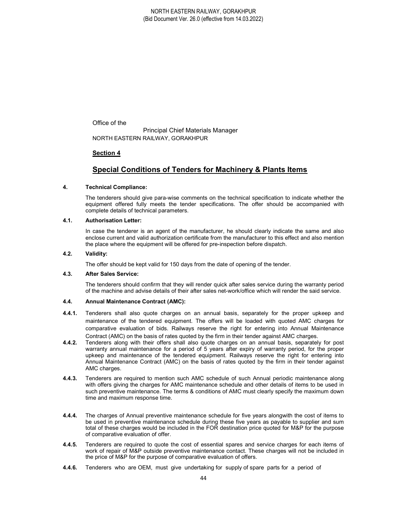Office of the

 Principal Chief Materials Manager NORTH EASTERN RAILWAY, GORAKHPUR

# Section 4

# Special Conditions of Tenders for Machinery & Plants Items

## 4. Technical Compliance:

The tenderers should give para-wise comments on the technical specification to indicate whether the equipment offered fully meets the tender specifications. The offer should be accompanied with complete details of technical parameters.

## 4.1. Authorisation Letter:

In case the tenderer is an agent of the manufacturer, he should clearly indicate the same and also enclose current and valid authorization certificate from the manufacturer to this effect and also mention the place where the equipment will be offered for pre-inspection before dispatch.

## 4.2. Validity:

The offer should be kept valid for 150 days from the date of opening of the tender.

## 4.3. After Sales Service:

The tenderers should confirm that they will render quick after sales service during the warranty period of the machine and advise details of their after sales net-work/office which will render the said service.

## 4.4. Annual Maintenance Contract (AMC):

- 4.4.1. Tenderers shall also quote charges on an annual basis, separately for the proper upkeep and maintenance of the tendered equipment. The offers will be loaded with quoted AMC charges for comparative evaluation of bids. Railways reserve the right for entering into Annual Maintenance Contract (AMC) on the basis of rates quoted by the firm in their tender against AMC charges.
- 4.4.2. Tenderers along with their offers shall also quote charges on an annual basis, separately for post warranty annual maintenance for a period of 5 years after expiry of warranty period, for the proper upkeep and maintenance of the tendered equipment. Railways reserve the right for entering into Annual Maintenance Contract (AMC) on the basis of rates quoted by the firm in their tender against AMC charges.
- 4.4.3. Tenderers are required to mention such AMC schedule of such Annual periodic maintenance along with offers giving the charges for AMC maintenance schedule and other details of items to be used in such preventive maintenance. The terms & conditions of AMC must clearly specify the maximum down time and maximum response time.
- 4.4.4. The charges of Annual preventive maintenance schedule for five years alongwith the cost of items to be used in preventive maintenance schedule during these five years as payable to supplier and sum total of these charges would be included in the FOR destination price quoted for M&P for the purpose of comparative evaluation of offer.
- 4.4.5. Tenderers are required to quote the cost of essential spares and service charges for each items of work of repair of M&P outside preventive maintenance contact. These charges will not be included in the price of M&P for the purpose of comparative evaluation of offers.
- 4.4.6. Tenderers who are OEM, must give undertaking for supply of spare parts for a period of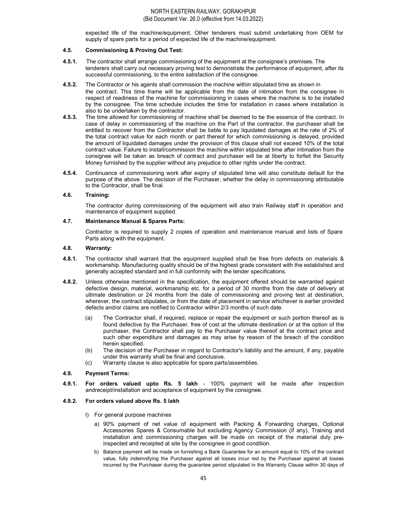expected life of the machine/equipment. Other tenderers must submit undertaking from OEM for supply of spare parts for a period of expected life of the machine/equipment.

## 4.5. Commissioning & Proving Out Test:

- 4.5.1. The contractor shall arrange commissioning of the equipment at the consignee's premises. The tenderers shall carry out necessary proving test to demonstrate the performance of equipment, after its successful commissioning, to the entire satisfaction of the consignee.
- 4.5.2. The Contractor or his agents shall commission the machine within stipulated time as shown in the contract. This time frame will be applicable from the date of intimation from the consignee in respect of readiness of the machine for commissioning in cases where the machine is to be installed by the consignee. The time schedule includes the time for installation in cases where installation is also to be undertaken by the contractor.
- 4.5.3. The time allowed for commissioning of machine shall be deemed to be the essence of the contract. In case of delay in commissioning of the machine on the Part of the contractor, the purchaser shall be entitled to recover from the Contractor shall be liable to pay liquidated damages at the rate of 2% of the total contract value for each month or part thereof for which commissioning is delayed, provided the amount of liquidated damages under the provision of this clause shall not exceed 10% of the total contract value. Failure to install/commission the machine within stipulated time after intimation from the consignee will be taken as breach of contract and purchaser will be at liberty to forfeit the Security Money furnished by the supplier without any prejudice to other rights under the contract.
- 4.5.4. Continuance of commissioning work after expiry of stipulated time will also constitute default for the purpose of the above. The decision of the Purchaser, whether the delay in commissioning attributable to the Contractor, shall be final.

## 4.6. Training:

The contractor during commissioning of the equipment will also train Railway staff in operation and maintenance of equipment supplied.

## 4.7. Maintenance Manual & Spares Parts:

Contractor is required to supply 2 copies of operation and maintenance manual and lists of Spare Parts along with the equipment.

## 4.8. Warranty:

- 4.8.1. The contractor shall warrant that the equipment supplied shall be free from defects on materials & workmanship. Manufacturing quality should be of the highest grade consistent with the established and generally accepted standard and in full conformity with the tender specifications.
- 4.8.2. Unless otherwise mentioned in the specification, the equipment offered should be warranted against defective design, material, workmanship etc. for a period of 30 months from the date of delivery at ultimate destination or 24 months from the date of commissioning and proving test at destination, wherever, the contract stipulates, or from the date of placement in service whichever is earlier provided defects and/or claims are notified to Contractor within 2/3 months of such date.
	- (a) The Contractor shall, if required, replace or repair the equipment or such portion thereof as is found defective by the Purchaser, free of cost at the ultimate destination or at the option of the purchaser, the Contractor shall pay to the Purchaser value thereof at the contract price and such other expenditure and damages as may arise by reason of the breach of the condition herein specified.
	- (b) The decision of the Purchaser in regard to Contractor's liability and the amount, if any, payable under this warranty shall be final and conclusive.
	- (c) Warranty clause is also applicable for spare parts/assemblies.

## 4.9. Payment Terms:

4.9.1. For orders valued upto Rs. 5 lakh - 100% payment will be made after inspection andreceipt/installation and acceptance of equipment by the consignee.

## 4.9.2. For orders valued above Rs. 5 lakh

- I) For general purpose machines
	- a) 90% payment of net value of equipment with Packing & Forwarding charges, Optional Accessories Spares & Consumable but excluding Agency Commission (if any), Training and installation and commissioning charges will be made on receipt of the material duly preinspected and receipted at site by the consignee in good condition.
	- b) Balance payment will be made on furnishing a Bank Guarantee for an amount equal to 10% of the contract value, fully indemnifying the Purchaser against all losses incur red by the Purchaser against all losses incurred by the Purchaser during the guarantee period stipulated in the Warranty Clause within 30 days of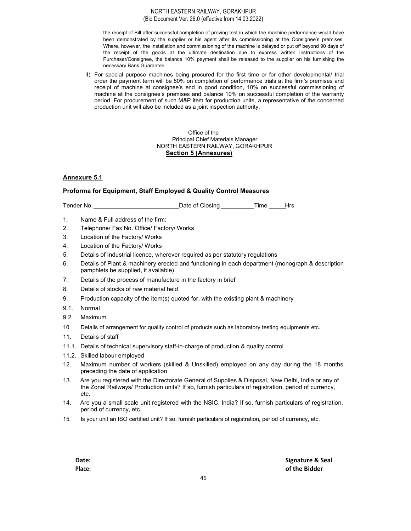the receipt of Bill after successful completion of proving test in which the machine performance would have been demonstrated by the supplier or his agent after its commissioning at the Consignee's premises. Where, however, the installation and commissioning of the machine is delayed or put off beyond 90 days of the receipt of the goods at the ultimate destination due to express written instructions of the Purchaser/Consignee, the balance 10% payment shall be released to the supplier on his furnishing the necessary Bank Guarantee.

II) For special purpose machines being procured for the first time or for other developmental/ trial order the payment term will be 80% on completion of performance trials at the firm's premises and receipt of machine at consignee's end in good condition, 10% on successful commissioning of machine at the consignee's premises and balance 10% on successful completion of the warranty period. For procurement of such M&P item for production units, a representative of the concerned production unit will also be included as a joint inspection authority.

## Office of the Principal Chief Materials Manager NORTH EASTERN RAILWAY, GORAKHPUR Section 5 (Annexures)

# Annexure 5.1

## Proforma for Equipment, Staff Employed & Quality Control Measures

Tender No. \_\_\_\_\_\_\_\_\_\_\_\_\_\_\_\_\_\_\_\_\_\_\_\_\_\_\_\_\_\_\_Date of Closing \_\_\_\_\_\_\_\_\_\_\_Time \_\_\_\_\_Hrs

- 1. Name & Full address of the firm:
- 2. Telephone/ Fax No. Office/ Factory/ Works
- 3. Location of the Factory/ Works
- 4. Location of the Factory/ Works
- 5. Details of Industrial licence, wherever required as per statutory regulations
- 6. Details of Plant & machinery erected and functioning in each department (monograph & description pamphlets be supplied, if available)
- 7. Details of the process of manufacture in the factory in brief
- 8. Details of stocks of raw material held
- 9. Production capacity of the item(s) quoted for, with the existing plant & machinery
- 9.1. Normal
- 9.2. Maximum
- 10. Details of arrangement for quality control of products such as laboratory testing equipments etc.
- 11. Details of staff
- 11.1. Details of technical supervisory staff-in-charge of production & quality control
- 11.2. Skilled labour employed
- 12. Maximum number of workers (skilled & Unskilled) employed on any day during the 18 months preceding the date of application
- 13. Are you registered with the Directorate General of Supplies & Disposal, New Delhi, India or any of the Zonal Railways/ Production units? If so, furnish particulars of registration, period of currency, etc.
- 14. Are you a small scale unit registered with the NSIC, India? If so, furnish particulars of registration, period of currency, etc.
- 15. Is your unit an ISO certified unit? If so, furnish particulars of registration, period of currency, etc.

Date: Signature & Seal Place: **of the Bidder**  $\blacksquare$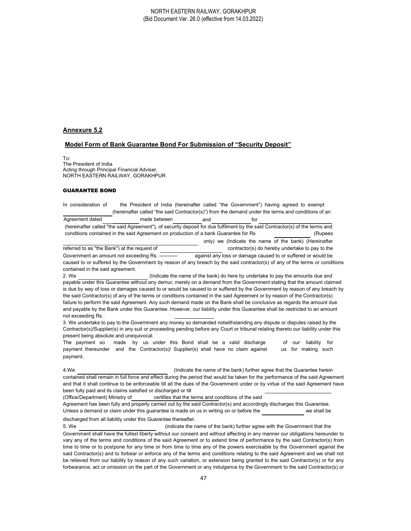#### Annexure 5.2

#### Model Form of Bank Guarantee Bond For Submission of "Security Deposit"

To: The President of India Acting through Principal Financial Adviser, NORTH EASTERN RAILWAY, GORAKHPUR

#### GUARANTEE BOND

In consideration of the President of India (hereinafter called "the Government") having agreed to exempt (hereinafter called "the said Contractor(s)") from the demand under the terms and conditions of an

Agreement dated made between and and for (hereinafter called "the said Agreement"), of security deposit for due fulfilment by the said Contractor(s) of the terms and conditions contained in the said Agreement on production of a bank Guarantee for Rs (Rupees only) we (Indicate the name of the bank) (Hereinafter referred to as "the Bank") at the request of contractor(s) do hereby undertake to pay to the Government an amount not exceeding Rs.  $\frac{1}{2}$  against any loss or damage caused to or suffered or would be caused to or suffered by the Government by reason of any breach by the said contractor(s) of any of the terms or conditions contained in the said agreement.

2. We (Indicate the name of the bank) do here by undertake to pay the amounts due and payable under this Guarantee without any demur, merely on a demand from the Government stating that the amount claimed is due by way of loss or damages caused to or would be caused to or suffered by the Government by reason of any breach by the said Contractor(s) of any of the terms or conditions contained in the said Agreement or by reason of the Contractor(s) failure to perform the said Agreement. Any such demand made on the Bank shall be conclusive as regards the amount due and payable by the Bank under this Guarantee. However, our liability under this Guarantee shall be restricted to an amount not exceeding Rs .

3. We undertake to pay to the Government any money so demanded notwithstanding any dispute or disputes raised by the Contractor(s)/Supplier(s) in any suit or proceeding pending before any Court or tribunal relating thereto our liability under this present being absolute and unequivocal.

The payment so made by us under this Bond shall be a valid discharge of our liability for payment thereunder and the Contractor(s)/ Supplier(s) shall have no claim against us for making such payment.

4.We (Indicate the name of the bank) further agree that the Guarantee herein contained shall remain in full force and effect during the period that would be taken for the performance of the said Agreement and that it shall continue to be enforceable till all the dues of the Government under or by virtue of the said Agreement have been fully paid and its claims satisfied or discharged or till

(Office/Department) Ministry of certifies that the terms and conditions of the said Agreement has been fully and properly carried out by the said Contractor(s) and accordingly discharges this Guarantee. Unless a demand or claim under this quarantee is made on us in writing on or before the we shall be

#### discharged from all liability under this Guarantee thereafter.

5. We (indicate the name of the bank) further agree with the Government that the Government shall have the fullest liberty without our consent and without affecting in any manner our obligations hereunder to vary any of the terms and conditions of the said Agreement or to extend time of performance by the said Contractor(s) from time to time or to postpone for any time or from time to time any of the powers exercisable by the Government against the said Contractor(s) and to forbear or enforce any of the terms and conditions relating to the said Agreement and we shall not be relieved from our liability by reason of any such variation, or extension being granted to the said Contractor(s) or for any forbearance, act or omission on the part of the Government or any indulgence by the Government to the said Contractor(s) or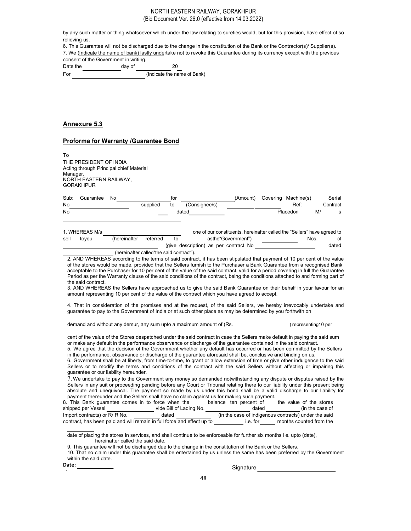by any such matter or thing whatsoever which under the law relating to sureties would, but for this provision, have effect of so relieving us.

6. This Guarantee will not be discharged due to the change in the constitution of the Bank or the Contractor(s)/ Supplier(s).

7. We (Indicate the name of bank) lastly undertake not to revoke this Guarantee during its currency except with the previous consent of the Government in writing.

Date the day of 20

For  $(Indicate the name of Bank)$ 

## Annexure 5.3

## Proforma for Warranty /Guarantee Bond

To THE PRESIDENT OF INDIA Acting through Principal chief Material Manager. NORTH EASTERN RAILWAY, GORAKHPUR

| Sub:      | Guarantee      | No |          | tor   |               | (Amount)                                                                 | Covering Machine(s) |    | Serial   |
|-----------|----------------|----|----------|-------|---------------|--------------------------------------------------------------------------|---------------------|----|----------|
| No        |                |    | supplied | to    | (Consignee/s) |                                                                          | Ref:                |    | Contract |
| <b>No</b> |                |    |          | dated |               |                                                                          | Placedon            | M/ |          |
|           |                |    |          |       |               |                                                                          |                     |    |          |
|           |                |    |          |       |               |                                                                          |                     |    |          |
|           | 1. WHEREAS M/s |    |          |       |               | one of our constituents, hereinafter called the "Sellers" have agreed to |                     |    |          |

|      | 1. V111L11L1U1U10I |                                          |          | one or our constituents, neremarier called the collets inave agreed to |      |       |
|------|--------------------|------------------------------------------|----------|------------------------------------------------------------------------|------|-------|
| sell | tovou              | (hereinafter                             | referred | asthe"Government")                                                     | Nos. |       |
|      |                    |                                          |          | (give description) as per contract No                                  |      | dated |
|      |                    | (hereinafter called the said contract"). |          |                                                                        |      |       |

2. AND WHEREAS according to the terms of said contract, it has been stipulated that payment of 10 per cent of the value of the stores would be made, provided that the Sellers furnish to the Purchaser a Bank Guarantee from a recognised Bank, acceptable to the Purchaser for 10 per cent of the value of the said contract, valid for a period covering in full the Guarantee Period as per the Warranty clause of the said conditions of the contract, being the conditions attached to and forming part of the said contract.

3. AND WHEREAS the Sellers have approached us to give the said Bank Guarantee on their behalf in your favour for an amount representing 10 per cent of the value of the contract which you have agreed to accept.

4. That in consideration of the promises and at the request, of the said Sellers, we hereby irrevocably undertake and guarantee to pay to the Government of India or at such other place as may be determined by you forthwith on

demand and without any demur, any sum upto a maximum amount of (Rs.  $\blacksquare$ ) representing10 per

cent of the value of the Stores despatched under the said contract in case the Sellers make default in paying the said sum or make any default in the performance observance or discharge of the guarantee contained in the said contract.

5. We agree that the decision of the Government whether any default has occurred or has been committed by the Sellers in the performance, observance or discharge of the guarantee aforesaid shall be, conclusive and binding on us.

6. Government shall be at liberty, from time-to-time, to grant or allow extension of time or give other indulgence to the said Sellers or to modify the terms and conditions of the contract with the said Sellers without affecting or impairing this guarantee or our liability hereunder.

7. We undertake to pay to the Government any money so demanded notwithstanding any dispute or disputes raised by the Sellers in any suit or proceeding pending before any Court or Tribunal relating there to our liability under this present being absolute and unequivocal. The payment so made by us under this bond shall be a valid discharge to our liability for payment thereunder and the Sellers shall have no claim against us for making such payment.

| 8. This Bank quarantee comes in to force when the                      |                         | balance ten percent of | the value of the stores                              |
|------------------------------------------------------------------------|-------------------------|------------------------|------------------------------------------------------|
| shipped per Vessel                                                     | vide Bill of Lading No. | dated                  | (in the case of                                      |
| Import contracts) or R/ R No.                                          | dated                   |                        | (in the case of indigenous contracts) under the said |
| contract, has been paid and will remain in full force and effect up to |                         | i.e. for               | months counted from the                              |

date of placing the stores in services, and shall continue to be enforceable for further six months i e. upto (date), hereinafter called the said date.

9. This guarantee will not be discharged due to the change in the constitution of the Bank or the Sellers.

10. That no claim under this guarantee shall be entertained by us unless the same has been preferred by the Government within the said date.

Date: Signature Place: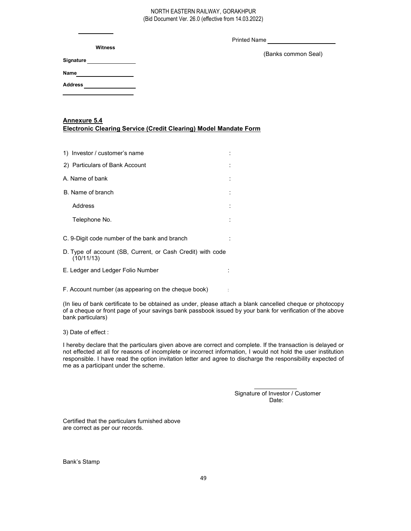Printed Name

(Banks common Seal)

| Name |  |  |  |
|------|--|--|--|
|      |  |  |  |

Address

# Annexure 5.4

Signature

Electronic Clearing Service (Credit Clearing) Model Mandate Form

| 1) Investor / customer's name                              |  |
|------------------------------------------------------------|--|
| 2) Particulars of Bank Account                             |  |
| A. Name of bank                                            |  |
| B. Name of branch                                          |  |
| Address                                                    |  |
| Telephone No.                                              |  |
| C. 9-Digit code number of the bank and branch              |  |
| D. Type of account (SB. Current, or Cash Credit) with code |  |

- D. Type of account (SB, Current, or Cash Credit) with code  $(10/11/13)$
- E. Ledger and Ledger Folio Number :

F. Account number (as appearing on the cheque book) :

(In lieu of bank certificate to be obtained as under, please attach a blank cancelled cheque or photocopy of a cheque or front page of your savings bank passbook issued by your bank for verification of the above bank particulars)

3) Date of effect :

I hereby declare that the particulars given above are correct and complete. If the transaction is delayed or not effected at all for reasons of incomplete or incorrect information, I would not hold the user institution responsible. I have read the option invitation letter and agree to discharge the responsibility expected of me as a participant under the scheme.

> Signature of Investor / Customer Date:

Certified that the particulars furnished above are correct as per our records.

Bank's Stamp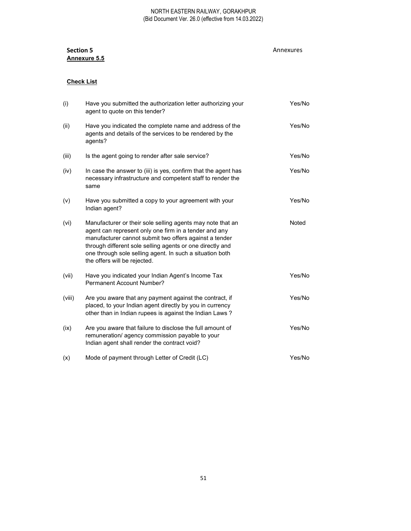# **Section 5 Annexures** Annexures Annexures Annexures Annexures Annexures Annexures Annexures Annexures Annexures Annexures Annexures Annexures Annexures Annexures Annexures Annexures Annexures Annexures Annexures Annexures Annexure 5.5

# Check List

| (i)    | Have you submitted the authorization letter authorizing your<br>agent to quote on this tender?                                                                                                                                                                                                                                         | Yes/No |
|--------|----------------------------------------------------------------------------------------------------------------------------------------------------------------------------------------------------------------------------------------------------------------------------------------------------------------------------------------|--------|
| (ii)   | Have you indicated the complete name and address of the<br>agents and details of the services to be rendered by the<br>agents?                                                                                                                                                                                                         | Yes/No |
| (iii)  | Is the agent going to render after sale service?                                                                                                                                                                                                                                                                                       | Yes/No |
| (iv)   | In case the answer to (iii) is yes, confirm that the agent has<br>necessary infrastructure and competent staff to render the<br>same                                                                                                                                                                                                   | Yes/No |
| (v)    | Have you submitted a copy to your agreement with your<br>Indian agent?                                                                                                                                                                                                                                                                 | Yes/No |
| (vi)   | Manufacturer or their sole selling agents may note that an<br>agent can represent only one firm in a tender and any<br>manufacturer cannot submit two offers against a tender<br>through different sole selling agents or one directly and<br>one through sole selling agent. In such a situation both<br>the offers will be rejected. | Noted  |
| (vii)  | Have you indicated your Indian Agent's Income Tax<br>Permanent Account Number?                                                                                                                                                                                                                                                         | Yes/No |
| (viii) | Are you aware that any payment against the contract, if<br>placed, to your Indian agent directly by you in currency<br>other than in Indian rupees is against the Indian Laws?                                                                                                                                                         | Yes/No |
| (ix)   | Are you aware that failure to disclose the full amount of<br>remuneration/ agency commission payable to your<br>Indian agent shall render the contract void?                                                                                                                                                                           | Yes/No |
| (x)    | Mode of payment through Letter of Credit (LC)                                                                                                                                                                                                                                                                                          | Yes/No |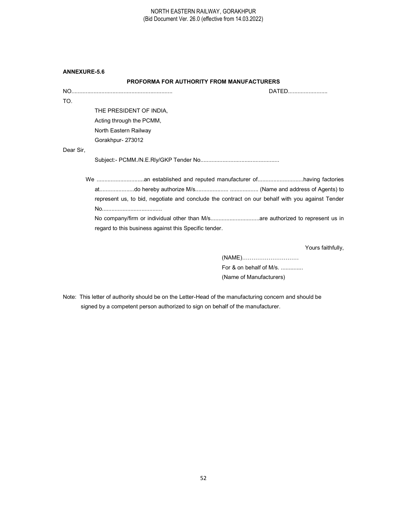| <b>ANNEXURE-5.6</b> |  |
|---------------------|--|
|                     |  |

# PROFORMA FOR AUTHORITY FROM MANUFACTURERS

|                                                                                                 | DATED                   |
|-------------------------------------------------------------------------------------------------|-------------------------|
| TO.                                                                                             |                         |
| THE PRESIDENT OF INDIA,                                                                         |                         |
| Acting through the PCMM,                                                                        |                         |
| North Eastern Railway                                                                           |                         |
| Gorakhpur-273012                                                                                |                         |
| Dear Sir,                                                                                       |                         |
|                                                                                                 |                         |
| represent us, to bid, negotiate and conclude the contract on our behalf with you against Tender |                         |
| regard to this business against this Specific tender.                                           |                         |
|                                                                                                 | Yours faithfully,       |
|                                                                                                 |                         |
|                                                                                                 | For & on behalf of M/s. |

(Name of Manufacturers)

Note: This letter of authority should be on the Letter-Head of the manufacturing concern and should be signed by a competent person authorized to sign on behalf of the manufacturer.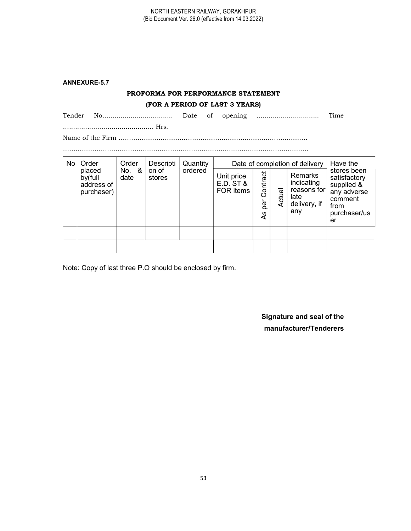# ANNEXURE-5.7

# PROFORMA FOR PERFORMANCE STATEMENT

# (FOR A PERIOD OF LAST 3 YEARS)

| Tender | Date | 0İ. | opening | `ıme |
|--------|------|-----|---------|------|
|        |      |     |         |      |

Name of the Firm ……………………………………………………………………………… ………………………………………………………………………………………………………

| No | Order                                         | Order         | Descripti       | Quantity |                                      |                       |        | Date of completion of delivery                                      | Have the                                                                                          |
|----|-----------------------------------------------|---------------|-----------------|----------|--------------------------------------|-----------------------|--------|---------------------------------------------------------------------|---------------------------------------------------------------------------------------------------|
|    | placed<br>by(full<br>address of<br>purchaser) | No. &<br>date | on of<br>stores | ordered  | Unit price<br>E.D. ST &<br>FOR items | Contract<br>per<br>4s | Actual | Remarks<br>indicating<br>reasons for<br>late<br>delivery, if<br>any | stores been<br>satisfactory<br>supplied &<br>any adverse<br>comment<br>from<br>purchaser/us<br>er |
|    |                                               |               |                 |          |                                      |                       |        |                                                                     |                                                                                                   |
|    |                                               |               |                 |          |                                      |                       |        |                                                                     |                                                                                                   |

Note: Copy of last three P.O should be enclosed by firm.

Signature and seal of the manufacturer/Tenderers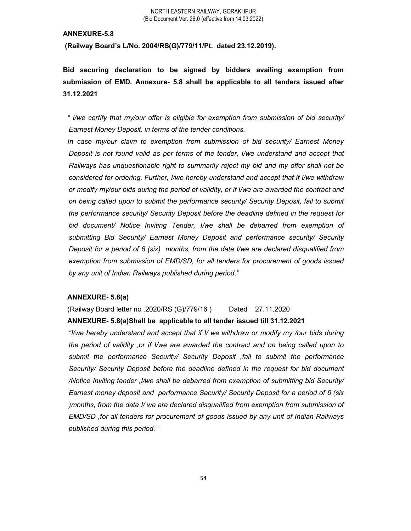(Railway Board's L/No. 2004/RS(G)/779/11/Pt. dated 23.12.2019).

Bid securing declaration to be signed by bidders availing exemption from submission of EMD. Annexure- 5.8 shall be applicable to all tenders issued after 31.12.2021

" I/we certify that my/our offer is eligible for exemption from submission of bid security/ Earnest Money Deposit, in terms of the tender conditions.

In case my/our claim to exemption from submission of bid security/ Earnest Money Deposit is not found valid as per terms of the tender, I/we understand and accept that Railways has unquestionable right to summarily reject my bid and my offer shall not be considered for ordering. Further, I/we hereby understand and accept that if I/we withdraw or modify my/our bids during the period of validity, or if I/we are awarded the contract and on being called upon to submit the performance security/ Security Deposit, fail to submit the performance security/ Security Deposit before the deadline defined in the request for bid document/ Notice Inviting Tender, I/we shall be debarred from exemption of submitting Bid Security/ Earnest Money Deposit and performance security/ Security Deposit for a period of 6 (six) months, from the date I/we are declared disqualified from exemption from submission of EMD/SD, for all tenders for procurement of goods issued by any unit of Indian Railways published during period."

# ANNEXURE- 5.8(a)

(Railway Board letter no .2020/RS (G)/779/16 ) Dated 27.11.2020 ANNEXURE- 5.8(a)Shall be applicable to all tender issued till 31.12.2021

"I/we hereby understand and accept that if I/ we withdraw or modify my /our bids during the period of validity ,or if I/we are awarded the contract and on being called upon to submit the performance Security/ Security Deposit ,fail to submit the performance Security/ Security Deposit before the deadline defined in the request for bid document /Notice Inviting tender ,I/we shall be debarred from exemption of submitting bid Security/ Earnest money deposit and performance Security/ Security Deposit for a period of 6 (six )months, from the date I/ we are declared disqualified from exemption from submission of EMD/SD ,for all tenders for procurement of goods issued by any unit of Indian Railways published during this period. "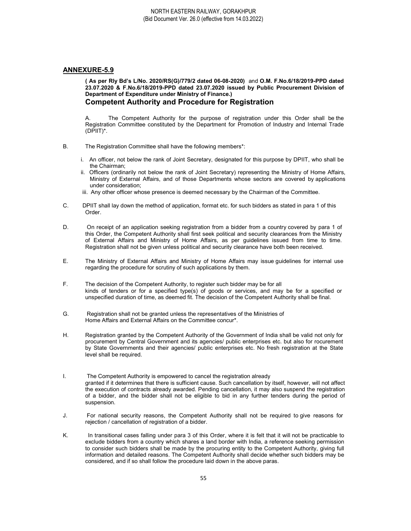( As per Rly Bd's L/No. 2020/RS(G)/779/2 dated 06-08-2020) and O.M. F.No.6/18/2019-PPD dated 23.07.2020 & F.No.6/18/2019-PPD dated 23.07.2020 issued by Public Procurement Division of Department of Expenditure under Ministry of Finance.) Competent Authority and Procedure for Registration

A. The Competent Authority for the purpose of registration under this Order shall be the Registration Committee constituted by the Department for Promotion of Industry and Internal Trade (DPIIT)\*.

- B. The Registration Committee shall have the following members\*:
	- i. An officer, not below the rank of Joint Secretary, designated for this purpose by DPIIT, who shall be the Chairman;
	- ii. Officers (ordinarily not below the rank of Joint Secretary) representing the Ministry of Home Affairs, Ministry of External Affairs, and of those Departments whose sectors are covered by applications under consideration;
	- iii. Any other officer whose presence is deemed necessary by the Chairman of the Committee.
- C. DPIIT shall lay down the method of application, format etc. for such bidders as stated in para 1 of this Order.
- D. On receipt of an application seeking registration from a bidder from a country covered by para 1 of this Order, the Competent Authority shall first seek political and security clearances from the Ministry of External Affairs and Ministry of Home Affairs, as per guidelines issued from time to time. Registration shall not be given unless political and security clearance have both been received.
- E. The Ministry of External Affairs and Ministry of Home Affairs may issue guidelines for internal use regarding the procedure for scrutiny of such applications by them.
- F. The decision of the Competent Authority, to register such bidder may be for all kinds of tenders or for a specified type(s) of goods or services, and may be for a specified or unspecified duration of time, as deemed fit. The decision of the Competent Authority shall be final.
- G. Registration shall not be granted unless the representatives of the Ministries of Home Affairs and External Affairs on the Committee concur\*.
- H. Registration granted by the Competent Authority of the Government of India shall be valid not only for procurement by Central Government and its agencies/ public enterprises etc. but also for rocurement by State Governments and their agencies/ public enterprises etc. No fresh registration at the State level shall be required.
- I. The Competent Authority is empowered to cancel the registration already granted if it determines that there is sufficient cause. Such cancellation by itself, however, will not affect the execution of contracts already awarded. Pending cancellation, it may also suspend the registration of a bidder, and the bidder shall not be eligible to bid in any further tenders during the period of suspension.
- J. For national security reasons, the Competent Authority shall not be required to give reasons for rejection / cancellation of registration of a bidder.
- K. In transitional cases falling under para 3 of this Order, where it is felt that it will not be practicable to exclude bidders from a country which shares a land border with India, a reference seeking permission to consider such bidders shall be made by the procuring entity to the Competent Authority, giving full information and detailed reasons. The Competent Authority shall decide whether such bidders may be considered, and if so shall follow the procedure laid down in the above paras.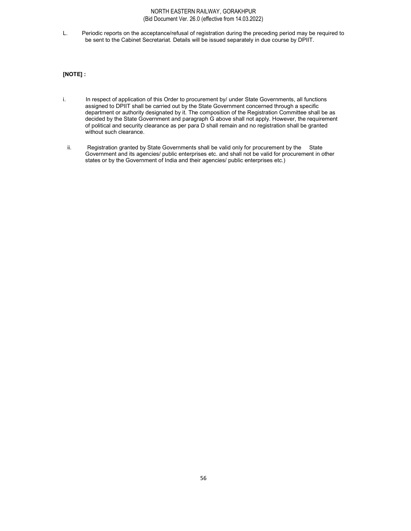L. Periodic reports on the acceptance/refusal of registration during the preceding period may be required to be sent to the Cabinet Secretariat. Details will be issued separately in due course by DPIIT.

## [NOTE] :

- i. In respect of application of this Order to procurement by/ under State Governments, all functions assigned to DPIIT shall be carried out by the State Government concerned through a specific department or authority designated by it. The composition of the Registration Committee shall be as decided by the State Government and paragraph G above shall not apply. However, the requirement of political and security clearance as per para D shall remain and no registration shall be granted without such clearance.
	- ii. Registration granted by State Governments shall be valid only for procurement by the State Government and its agencies/ public enterprises etc. and shall not be valid for procurement in other states or by the Government of India and their agencies/ public enterprises etc.)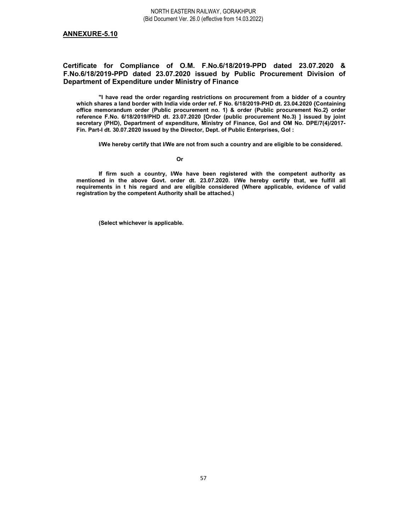# Certificate for Compliance of O.M. F.No.6/18/2019-PPD dated 23.07.2020 & F.No.6/18/2019-PPD dated 23.07.2020 issued by Public Procurement Division of Department of Expenditure under Ministry of Finance

"I have read the order regarding restrictions on procurement from a bidder of a country which shares a land border with India vide order ref. F No. 6/18/2019-PHD dt. 23.04.2020 {Containing office memorandum order (Public procurement no. 1) & order (Public procurement No.2} order reference F.No. 6/18/2019/PHD dt. 23.07.2020 [Order (public procurement No.3) ] issued by joint secretary (PHD), Department of expenditure, Ministry of Finance, GoI and OM No. DPE/7(4)/2017- Fin. Part-I dt. 30.07.2020 issued by the Director, Dept. of Public Enterprises, GoI :

I/We hereby certify that I/We are not from such a country and are eligible to be considered.

#### **Canadian Contract Contract Or**

If firm such a country, I/We have been registered with the competent authority as mentioned in the above Govt. order dt. 23.07.2020. I/We hereby certify that, we fulfill all requirements in t his regard and are eligible considered (Where applicable, evidence of valid registration by the competent Authority shall be attached.)

(Select whichever is applicable.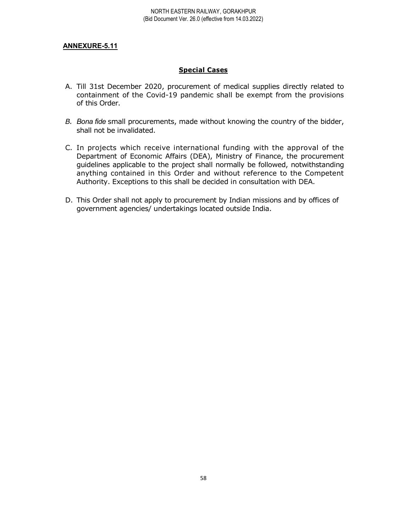# Special Cases

- A. Till 31st December 2020, procurement of medical supplies directly related to containment of the Covid-19 pandemic shall be exempt from the provisions of this Order.
- B. Bona fide small procurements, made without knowing the country of the bidder, shall not be invalidated.
- C. In projects which receive international funding with the approval of the Department of Economic Affairs (DEA), Ministry of Finance, the procurement guidelines applicable to the project shall normally be followed, notwithstanding anything contained in this Order and without reference to the Competent Authority. Exceptions to this shall be decided in consultation with DEA.
- D. This Order shall not apply to procurement by Indian missions and by offices of government agencies/ undertakings located outside India.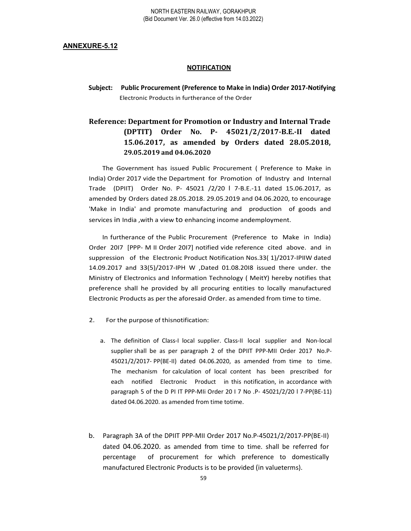## **NOTIFICATION**

Subject: Public Procurement (Preference to Make in India) Order 2017-Notifying Electronic Products in furtherance of the Order

# Reference: Department for Promotion or Industry and Internal Trade (DPTIT) Order No. P- 45021/2/2017-B.E.-II dated 15.06.2017, as amended by Orders dated 28.05.2018, 29.05.2019 and 04.06.2020

The Government has issued Public Procurement ( Preference to Make in India) Order 2017 vide the Department for Promotion of Industry and Internal Trade (DPIIT) Order No. P- 45021 /2/20 l 7-B.E.-11 dated 15.06.2017, as amended by Orders dated 28.05.2018. 29.05.2019 and 04.06.2020, to encourage 'Make in India' and promote manufacturing and production of goods and services in India ,with a view to enhancing income andemployment.

In furtherance of the Public Procurement (Preference to Make in India) Order 20I7 [PPP- M II Order 20I7] notified vide reference cited above. and in suppression of the Electronic Product Notification Nos.33( 1)/2017-IPIIW dated 14.09.2017 and 33(5)/2017-IPH W ,Dated 01.08.20I8 issued there under. the Ministry of Electronics and Information Technology ( MeitY) hereby notifies that preference shall he provided by all procuring entities to locally manufactured Electronic Products as per the aforesaid Order. as amended from time to time.

- 2. For the purpose of thisnotification:
	- a. The definition of Class-I local supplier. Class-II local supplier and Non-local supplier shall be as per paragraph 2 of the DPIIT PPP-MII Order 2017 No.P-45021/2/2017- PP(BE-II) dated 04.06.2020, as amended from time to time. The mechanism for calculation of local content has been prescribed for each notified Electronic Product in this notification, in accordance with paragraph 5 of the D PI IT PPP-MIi Order 20 I 7 No .P- 45021/2/20 l 7-PP(BE-11) dated 04.06.2020. as amended from time totime.
- b. Paragraph 3A of the DPIIT PPP-MII Order 2017 No.P-45021/2/2017-PP(BE-II) dated 04.06.2020. as amended from time to time. shall be referred for percentage of procurement for which preference to domestically manufactured Electronic Products is to be provided (in valueterms).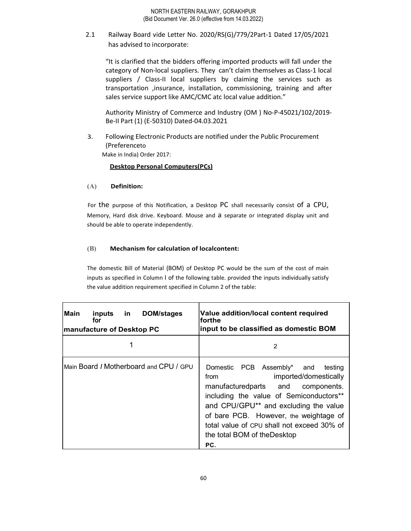2.1 Railway Board vide Letter No. 2020/RS(G)/779/2Part-1 Dated 17/05/2021 has advised to incorporate:

"It is clarified that the bidders offering imported products will fall under the category of Non-local suppliers. They can't claim themselves as Class-1 local suppliers / Class-II local suppliers by claiming the services such as transportation ,insurance, installation, commissioning, training and after sales service support like AMC/CMC atc local value addition."

Authority Ministry of Commerce and Industry (OM ) No-P-45021/102/2019- Be-II Part (1) (E-50310) Dated-04.03.2021

3. Following Electronic Products are notified under the Public Procurement (Preferenceto Make in India) Order 2017:

Desktop Personal Computers(PCs)

# (A) Definition:

For the purpose of this Notification, a Desktop PC shall necessarily consist of a CPU, Memory, Hard disk drive. Keyboard. Mouse and a separate or integrated display unit and should be able to operate independently.

# (B) Mechanism for calculation of localcontent:

The domestic Bill of Material (BOM) of Desktop PC would be the sum of the cost of main inputs as specified in Column I of the following table. provided the inputs individually satisfy the value addition requirement specified in Column 2 of the table:

| <b>Main</b><br><b>DOM/stages</b><br>inputs<br>-in<br>tor<br><b>manufacture of Desktop PC</b> | Value addition/local content required<br>lforthe<br>input to be classified as domestic BOM                                                                                                                                                                                                                                              |  |  |  |
|----------------------------------------------------------------------------------------------|-----------------------------------------------------------------------------------------------------------------------------------------------------------------------------------------------------------------------------------------------------------------------------------------------------------------------------------------|--|--|--|
|                                                                                              | 2                                                                                                                                                                                                                                                                                                                                       |  |  |  |
| Main Board / Motherboard and CPU / GPU                                                       | Domestic PCB<br>Assembly*<br>testing<br>and<br>imported/domestically<br>from<br>manufacturedparts and<br>components.<br>including the value of Semiconductors**<br>and CPU/GPU** and excluding the value<br>of bare PCB. However, the weightage of<br>total value of CPU shall not exceed 30% of<br>the total BOM of the Desktop<br>PC. |  |  |  |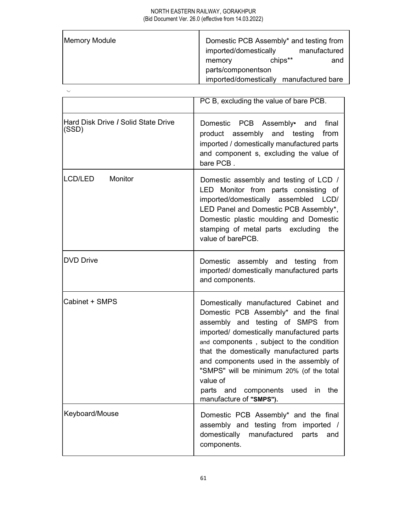| Memory Module | Domestic PCB Assembly* and testing from |
|---------------|-----------------------------------------|
|               | imported/domestically<br>manufactured   |
|               | chips**<br>and<br>memory                |
|               | parts/componentson                      |
|               | imported/domestically manufactured bare |

.,\_.

|                                              | PC B, excluding the value of bare PCB.                                                                                                                                                                                                                                                                                                                                                                                                          |
|----------------------------------------------|-------------------------------------------------------------------------------------------------------------------------------------------------------------------------------------------------------------------------------------------------------------------------------------------------------------------------------------------------------------------------------------------------------------------------------------------------|
| Hard Disk Drive / Solid State Drive<br>(SSD) | Domestic PCB Assembly•<br>final<br>and<br>product assembly and testing<br>from<br>imported / domestically manufactured parts<br>and component s, excluding the value of<br>bare PCB.                                                                                                                                                                                                                                                            |
| Monitor<br>LCD/LED                           | Domestic assembly and testing of LCD /<br>LED Monitor from parts consisting of<br>imported/domestically assembled<br>LCD/<br>LED Panel and Domestic PCB Assembly*,<br>Domestic plastic moulding and Domestic<br>stamping of metal parts excluding<br>the<br>value of barePCB.                                                                                                                                                                   |
| <b>DVD Drive</b>                             | Domestic assembly and testing from<br>imported/ domestically manufactured parts<br>and components.                                                                                                                                                                                                                                                                                                                                              |
| Cabinet + SMPS                               | Domestically manufactured Cabinet and<br>Domestic PCB Assembly* and the final<br>assembly and testing of SMPS from<br>imported/ domestically manufactured parts<br>and components, subject to the condition<br>that the domestically manufactured parts<br>and components used in the assembly of<br>"SMPS" will be minimum 20% (of the total<br>value of<br>components<br>parts and<br>used<br>the<br>$\mathsf{In}$<br>manufacture of "SMPS"). |
| Keyboard/Mouse                               | Domestic PCB Assembly* and the final<br>assembly and testing from imported /<br>domestically<br>manufactured<br>parts<br>and<br>components.                                                                                                                                                                                                                                                                                                     |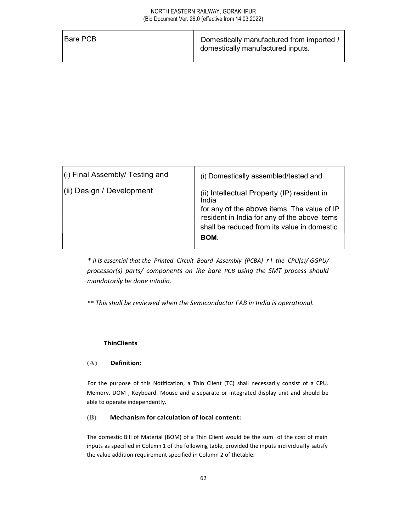| <b>IBare PCB</b> |                                           |
|------------------|-------------------------------------------|
|                  | Domestically manufactured from imported / |
|                  | domestically manufactured inputs.         |
|                  |                                           |

| (i) Final Assembly/ Testing and | (i) Domestically assembled/tested and                                                                                                                                                                      |  |
|---------------------------------|------------------------------------------------------------------------------------------------------------------------------------------------------------------------------------------------------------|--|
| (ii) Design / Development       | (ii) Intellectual Property (IP) resident in<br>India<br>for any of the above items. The value of IP<br>resident in India for any of the above items<br>shall be reduced from its value in domestic<br>BOM. |  |

\* II is essential that the Printed Circuit Board Assembly (PCBA) r l the CPU(s)/ GGPU/ processor(s) parts/ components on !he bare PCB using the SMT process should mandatorily be done inIndia.

\*\* This shall be reviewed when the Semiconductor FAB in India is operational.

# **ThinClients**

## (A) Definition:

For the purpose of this Notification, a Thin Client (TC) shall necessarily consist of a CPU. Memory. DOM , Keyboard. Mouse and a separate or integrated display unit and should be able to operate independently.

## (B) Mechanism for calculation of local content:

The domestic Bill of Material (BOM) of a Thin Client would be the sum of the cost of main inputs as specified in Column 1 of the following table, provided the inputs individually satisfy the value addition requirement specified in Column 2 of thetable: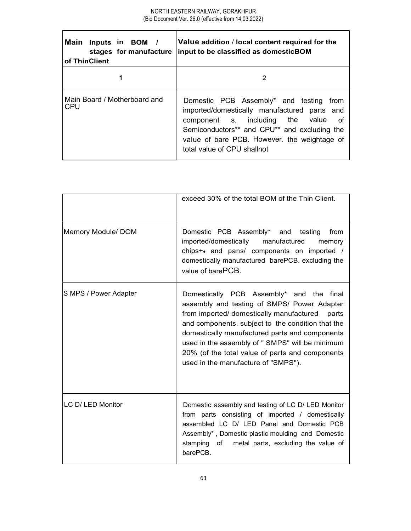| Main inputs in BOM /<br><b>of ThinClient</b> | Value addition / local content required for the<br>stages for manufacture input to be classified as domestic BOM                                                                                                                                              |
|----------------------------------------------|---------------------------------------------------------------------------------------------------------------------------------------------------------------------------------------------------------------------------------------------------------------|
|                                              | 2                                                                                                                                                                                                                                                             |
| Main Board / Motherboard and<br><b>ICPU</b>  | Domestic PCB Assembly* and testing from<br>imported/domestically manufactured parts and<br>component s. including the value of<br>Semiconductors** and CPU** and excluding the<br>value of bare PCB. However, the weightage of<br>total value of CPU shallnot |

|                       | exceed 30% of the total BOM of the Thin Client.                                                                                                                                                                                                                                                                                                                                                     |
|-----------------------|-----------------------------------------------------------------------------------------------------------------------------------------------------------------------------------------------------------------------------------------------------------------------------------------------------------------------------------------------------------------------------------------------------|
| Memory Module/ DOM    | Domestic PCB Assembly* and testing<br>from<br>imported/domestically<br>manufactured<br>memory<br>chips++ and pans/ components on imported /<br>domestically manufactured barePCB. excluding the<br>value of barePCB.                                                                                                                                                                                |
| S MPS / Power Adapter | Domestically PCB Assembly* and the<br>final<br>assembly and testing of SMPS/ Power Adapter<br>from imported/ domestically manufactured<br>parts<br>and components. subject to the condition that the<br>domestically manufactured parts and components<br>used in the assembly of " SMPS" will be minimum<br>20% (of the total value of parts and components<br>used in the manufacture of "SMPS"). |
| LC D/ LED Monitor     | Domestic assembly and testing of LC D/ LED Monitor<br>from parts consisting of imported / domestically<br>assembled LC D/ LED Panel and Domestic PCB<br>Assembly*, Domestic plastic moulding and Domestic<br>stamping of<br>metal parts, excluding the value of<br>barePCB.                                                                                                                         |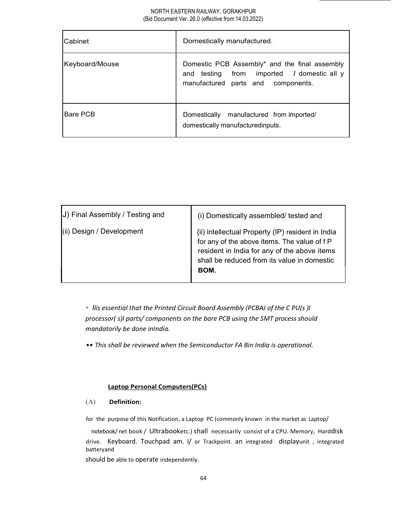| Cabinet        | Domestically manufactured.                                                                                                               |  |
|----------------|------------------------------------------------------------------------------------------------------------------------------------------|--|
| Keyboard/Mouse | Domestic PCB Assembly* and the final assembly<br>and testing from imported <i>I</i> domestic all y<br>manufactured parts and components. |  |
| IBare PCB      | Domestically manufactured from imported/<br>domestically manufacturedinputs.                                                             |  |

| (ii) Design / Development<br>{ii) intellectual Property (IP) resident in India<br>for any of the above items. The value of f P<br>resident in India for any of the above items<br>shall be reduced from its value in domestic |
|-------------------------------------------------------------------------------------------------------------------------------------------------------------------------------------------------------------------------------|
| BOM.                                                                                                                                                                                                                          |

• liis essential that the Printed Circuit Board Assembly (PCBAJ of the C PU(s )I processor( s)I parts/ components on the bare PCB using the SMT process should mandatorily be done inIndia.

•• This shall be reviewed when the Semiconductor FA Bin India is operational.

# Laptop Personal Computers(PCs)

# (A) Definition:

for the purpose of this Notification, a Laptop PC (commonly known in the market as Laptop/

notebook/ net book / Ultrabooketc.) shall necessarily consist of a CPU. Memory, Harddisk drive. Keyboard. Touchpad am. I/ or Trackpoint. an integrated displayunit , integrated batteryand

should be able to operate independently.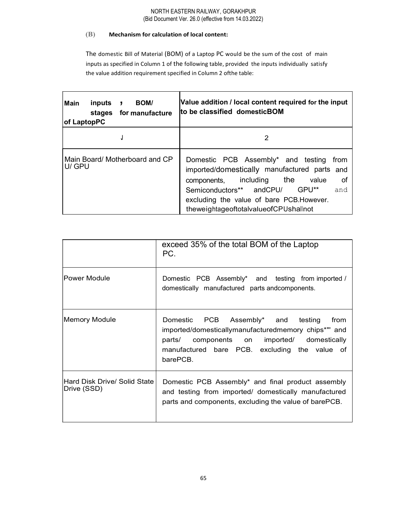# (B) Mechanism for calculation of local content:

The domestic Bill of Material (BOM) of a Laptop PC would be the sum of the cost of main inputs as specified in Column 1 of the following table, provided the inputs individually satisfy the value addition requirement specified in Column 2 ofthe table:

| Main<br><b>BOM/</b><br>inputs<br>for manufacture<br>stages<br>$ of$ LaptopPC | Value addition / local content required for the input<br>to be classified domesticBOM                                                                                                                                                                                       |
|------------------------------------------------------------------------------|-----------------------------------------------------------------------------------------------------------------------------------------------------------------------------------------------------------------------------------------------------------------------------|
|                                                                              | 2                                                                                                                                                                                                                                                                           |
| Main Board/ Motherboard and CP<br>U/ GPU                                     | Domestic PCB Assembly* and testing from<br>imported/domestically manufactured parts and<br>0f<br>including<br>the<br>value<br>components,<br>GPU**<br>Semiconductors** andCPU/<br>and<br>excluding the value of bare PCB. However.<br>theweightageoftotalvalueofCPUshallnot |

|                                             | exceed 35% of the total BOM of the Laptop<br>PC.                                                                                                                                                                             |
|---------------------------------------------|------------------------------------------------------------------------------------------------------------------------------------------------------------------------------------------------------------------------------|
| lPower Module                               | Domestic PCB Assembly* and testing from imported /<br>domestically manufactured parts and components.                                                                                                                        |
| Memory Module                               | PCB<br>Assembly* and testing<br>Domestic<br>from<br>imported/domesticallymanufacturedmemory chips*" and<br>components on<br>imported/<br>domestically<br>parts/<br>manufactured bare PCB. excluding the value of<br>barePCB. |
| Hard Disk Drive/ Solid State<br>Drive (SSD) | Domestic PCB Assembly* and final product assembly<br>and testing from imported/ domestically manufactured<br>parts and components, excluding the value of barePCB.                                                           |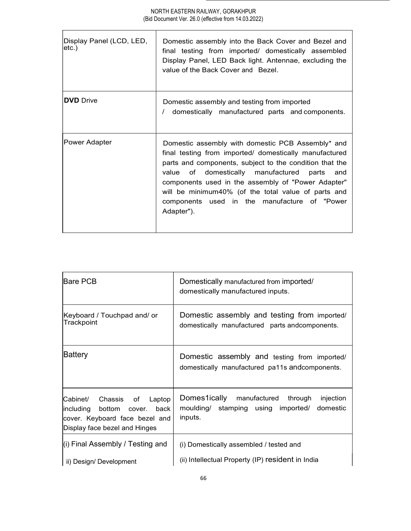| Display Panel (LCD, LED,<br>letc.) | Domestic assembly into the Back Cover and Bezel and<br>final testing from imported/ domestically assembled<br>Display Panel, LED Back light. Antennae, excluding the<br>value of the Back Cover and Bezel.                                                                                                                                                                                           |
|------------------------------------|------------------------------------------------------------------------------------------------------------------------------------------------------------------------------------------------------------------------------------------------------------------------------------------------------------------------------------------------------------------------------------------------------|
| <b>DVD</b> Drive                   | Domestic assembly and testing from imported<br>domestically manufactured parts and components.                                                                                                                                                                                                                                                                                                       |
| Power Adapter                      | Domestic assembly with domestic PCB Assembly* and<br>final testing from imported/ domestically manufactured<br>parts and components, subject to the condition that the<br>value of domestically manufactured parts<br>and<br>components used in the assembly of "Power Adapter"<br>will be minimum40% (of the total value of parts and<br>components used in the manufacture of "Power<br>Adapter"). |

| <b>IBare PCB</b>                                                                                                                                | Domestically manufactured from imported/<br>domestically manufactured inputs.                                     |
|-------------------------------------------------------------------------------------------------------------------------------------------------|-------------------------------------------------------------------------------------------------------------------|
| Keyboard / Touchpad and/ or<br>Trackpoint                                                                                                       | Domestic assembly and testing from imported/<br>domestically manufactured parts andcomponents.                    |
| Battery                                                                                                                                         | Domestic assembly and testing from imported/<br>domestically manufactured pa11s and components.                   |
| Cabinet/<br>Chassis<br>of<br>Laptop<br>including<br>bottom<br>back<br>cover.<br>cover. Keyboard face bezel and<br>Display face bezel and Hinges | Domes1ically<br>manufactured<br>through<br>injection<br>moulding/ stamping using imported/<br>domestic<br>inputs. |
| (i) Final Assembly / Testing and<br>ii) Design/ Development                                                                                     | (i) Domestically assembled / tested and<br>(ii) Intellectual Property (IP) resident in India                      |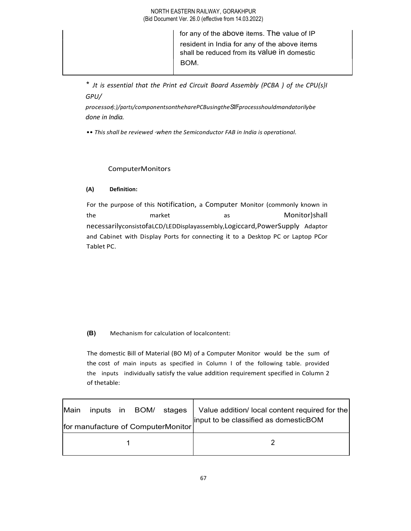|  | for any of the above items. The value of IP                                                 |  |
|--|---------------------------------------------------------------------------------------------|--|
|  | resident in India for any of the above items<br>shall be reduced from its value in domestic |  |
|  | BOM.                                                                                        |  |
|  |                                                                                             |  |

\* Jt is essential that the Print ed Circuit Board Assembly (PCBA ) of the CPU(s}I GPU/

processor{<.;)/parts/componentsontheharePCBusingtheS1\fFprocessshouldmandatorilybe done in India.

•• This shall be reviewed ·when the Semiconductor FAB in India is operational.

# ComputerMonitors

# (A) Definition:

For the purpose of this Notification, a Computer Monitor (commonly known in the market as Monitor)shall necessarilyconsistofaLCD/LEDDisplayassembly,Logiccard,PowerSupply Adaptor and Cabinet with Display Ports for connecting it to a Desktop PC or Laptop PCor Tablet PC.

# (B) Mechanism for calculation of localcontent:

The domestic Bill of Material (BO M) of a Computer Monitor would be the sum of the cost of main inputs as specified in Column I of the following table. provided the inputs individually satisfy the value addition requirement specified in Column 2 of thetable:

| Main |  | inputs in BOM/ stages<br>for manufacture of ComputerMonitor | Value addition/ local content required for the<br>input to be classified as domesticBOM |
|------|--|-------------------------------------------------------------|-----------------------------------------------------------------------------------------|
|      |  |                                                             |                                                                                         |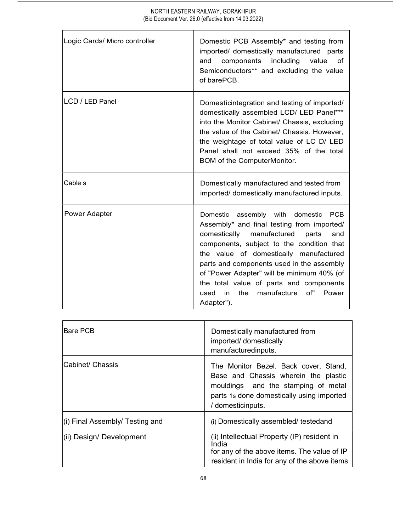| Logic Cards/ Micro controller | Domestic PCB Assembly* and testing from<br>imported/ domestically manufactured parts<br>components<br>including<br>value<br>and<br>of<br>Semiconductors** and excluding the value<br>of barePCB.                                                                                                                                                                                                                               |
|-------------------------------|--------------------------------------------------------------------------------------------------------------------------------------------------------------------------------------------------------------------------------------------------------------------------------------------------------------------------------------------------------------------------------------------------------------------------------|
| LCD / LED Panel               | Domesticintegration and testing of imported/<br>domestically assembled LCD/ LED Panel***<br>into the Monitor Cabinet/ Chassis, excluding<br>the value of the Cabinet/ Chassis. However,<br>the weightage of total value of LC D/ LED<br>Panel shall not exceed 35% of the total<br>BOM of the ComputerMonitor.                                                                                                                 |
| <b>Cable</b> s                | Domestically manufactured and tested from<br>imported/ domestically manufactured inputs.                                                                                                                                                                                                                                                                                                                                       |
| Power Adapter                 | Domestic assembly with domestic<br>PCB<br>Assembly* and final testing from imported/<br>domestically manufactured<br>parts<br>and<br>components, subject to the condition that<br>the value of domestically manufactured<br>parts and components used in the assembly<br>of "Power Adapter" will be minimum 40% (of<br>the total value of parts and components<br>of" Power<br>the<br>manufacture<br>in.<br>used<br>Adapter"). |

| lBare PCB                                                   | Domestically manufactured from<br>imported/ domestically<br>manufacturedinputs.                                                                                                              |
|-------------------------------------------------------------|----------------------------------------------------------------------------------------------------------------------------------------------------------------------------------------------|
| Cabinet/ Chassis                                            | The Monitor Bezel. Back cover, Stand,<br>Base and Chassis wherein the plastic<br>mouldings and the stamping of metal<br>parts 1s done domestically using imported<br>/ domesticinputs.       |
| (i) Final Assembly/ Testing and<br>(ii) Design/ Development | (i) Domestically assembled/ testedand<br>(ii) Intellectual Property (IP) resident in<br>India<br>for any of the above items. The value of IP<br>resident in India for any of the above items |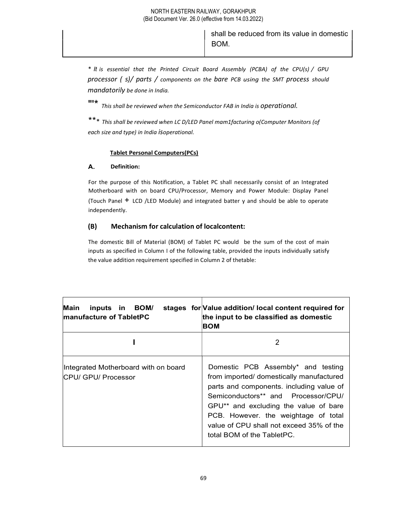shall be reduced from its value in domestic BOM.

\* It is essential that the Printed Circuit Board Assembly (PCBA) of the CPU(s) / GPU processor ( s)/ parts / components on the bare PCB using the SMT process should mandatorily be done in India.

"'\* This shall be reviewed when the Semiconductor FAB in India is operational.

\*\*\* This shall be reviewed when LC D/LED Panel mam1facturing o(Computer Monitors (of each size and type) in India isoperational.

# Tablet Personal Computers(PCs)

## A. Definition:

For the purpose of this Notification, a Tablet PC shall necessarily consist of an Integrated Motherboard with on board CPU/Processor, Memory and Power Module: Display Panel (Touch Panel + LCD /LED Module) and integrated batter y and should be able to operate independently.

# (B) Mechanism for calculation of localcontent:

The domestic Bill of Material (BOM) of Tablet PC would be the sum of the cost of main inputs as specified in Column I of the following table, provided the inputs individually satisfy the value addition requirement specified in Column 2 of thetable:

| Main<br>inputs in BOM/<br><b>Imanufacture of TabletPC</b>          | stages for Value addition/local content required for<br>the input to be classified as domestic<br>BOM                                                                                                                                                                                                                        |
|--------------------------------------------------------------------|------------------------------------------------------------------------------------------------------------------------------------------------------------------------------------------------------------------------------------------------------------------------------------------------------------------------------|
|                                                                    | 2                                                                                                                                                                                                                                                                                                                            |
| Integrated Motherboard with on board<br><b>CPU/ GPU/ Processor</b> | Domestic PCB Assembly* and testing<br>from imported/ domestically manufactured<br>parts and components. including value of<br>Semiconductors** and Processor/CPU/<br>GPU** and excluding the value of bare<br>PCB. However. the weightage of total<br>value of CPU shall not exceed 35% of the<br>total BOM of the TabletPC. |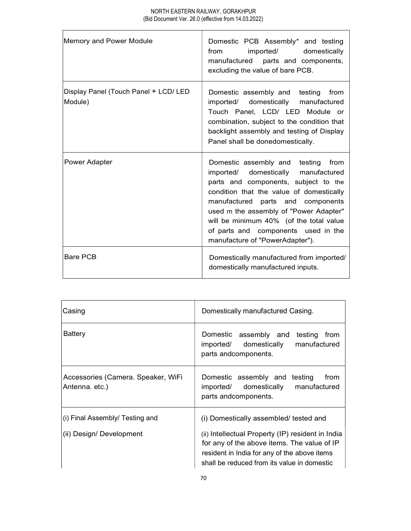| Memory and Power Module                          | Domestic PCB Assembly* and testing<br>imported/ domestically<br>from<br>manufactured parts and components,<br>excluding the value of bare PCB.                                                                                                                                                                                                                       |
|--------------------------------------------------|----------------------------------------------------------------------------------------------------------------------------------------------------------------------------------------------------------------------------------------------------------------------------------------------------------------------------------------------------------------------|
| Display Panel (Touch Panel + LCD/ LED<br>Module) | Domestic assembly and testing<br>from<br>imported/<br>domestically<br>manufactured<br>Touch Panel, LCD/ LED Module or<br>combination, subject to the condition that<br>backlight assembly and testing of Display<br>Panel shall be donedomestically.                                                                                                                 |
| <b>Power Adapter</b>                             | Domestic assembly and testing from<br>imported/ domestically<br>manufactured<br>parts and components, subject to the<br>condition that the value of domestically<br>manufactured parts and components<br>used m the assembly of "Power Adapter"<br>will be minimum 40% (of the total value<br>of parts and components used in the<br>manufacture of "PowerAdapter"). |
| <b>Bare PCB</b>                                  | Domestically manufactured from imported/<br>domestically manufactured inputs.                                                                                                                                                                                                                                                                                        |

| C <sub>a</sub> sin <sub>g</sub>                                     | Domestically manufactured Casing.                                                                                                                                                                                                         |
|---------------------------------------------------------------------|-------------------------------------------------------------------------------------------------------------------------------------------------------------------------------------------------------------------------------------------|
| Battery                                                             | Domestic<br>assembly and testing from<br>manufactured<br>domestically<br>imported/<br>parts andcomponents.                                                                                                                                |
| Accessories (Camera. Speaker, WiFi<br>Antenna. etc.)                | Domestic assembly and testing<br>from<br>domestically<br>imported/<br>manufactured<br>parts andcomponents.                                                                                                                                |
| $\vert$ (i) Final Assembly/ Testing and<br>(ii) Design/ Development | (i) Domestically assembled/ tested and<br>(ii) Intellectual Property (IP) resident in India<br>for any of the above items. The value of IP<br>resident in India for any of the above items<br>shall be reduced from its value in domestic |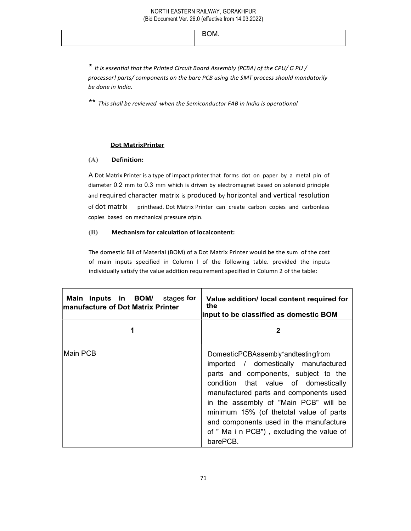BOM.

\* it is essential that the Printed Circuit Board Assembly (PCBA) of the CPU/ G PU / processor! parts/ components on the bare PCB using the SMT process should mandatorily be done in India.

\*\* This shall be reviewed ·when the Semiconductor FAB in India is operational

# Dot MatrixPrinter

# (A) Definition:

A Dot Matrix Printer is a type of impact printer that forms dot on paper by a metal pin of diameter 0.2 mm to 0.3 mm which is driven by electromagnet based on solenoid principle and required character matrix is produced by horizontal and vertical resolution of dot matrix printhead. Dot Matrix Printer can create carbon copies and carbonless copies based on mechanical pressure ofpin.

# (B) Mechanism for calculation of localcontent:

The domestic Bill of Material (BOM) of a Dot Matrix Printer would be the sum of the cost of main inputs specified in Column l of the following table. provided the inputs individually satisfy the value addition requirement specified in Column 2 of the table:

| Main inputs in BOM/ stages for<br>manufacture of Dot Matrix Printer | Value addition/ local content required for<br>the<br>input to be classified as domestic BOM                                                                                                                                                                                                                                                                                                 |  |
|---------------------------------------------------------------------|---------------------------------------------------------------------------------------------------------------------------------------------------------------------------------------------------------------------------------------------------------------------------------------------------------------------------------------------------------------------------------------------|--|
|                                                                     |                                                                                                                                                                                                                                                                                                                                                                                             |  |
| Main PCB                                                            | DomesticPCBAssembly*andtestingfrom<br>imported / domestically manufactured<br>parts and components, subject to the<br>condition that value of domestically<br>manufactured parts and components used<br>in the assembly of "Main PCB" will be<br>minimum 15% (of thetotal value of parts<br>and components used in the manufacture<br>of " Ma i n PCB"), excluding the value of<br>barePCB. |  |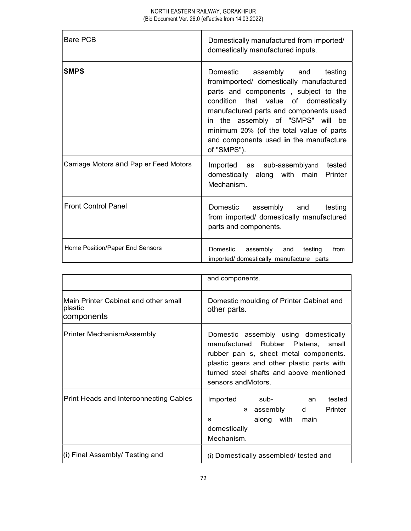| lBare PCB                              | Domestically manufactured from imported/<br>domestically manufactured inputs.                                                                                                                                                                                                                                                                      |  |
|----------------------------------------|----------------------------------------------------------------------------------------------------------------------------------------------------------------------------------------------------------------------------------------------------------------------------------------------------------------------------------------------------|--|
| <b>SMPS</b>                            | Domestic<br>assembly and<br>testing<br>fromimported/ domestically manufactured<br>parts and components, subject to the<br>condition that value of domestically<br>manufactured parts and components used<br>in the assembly of "SMPS" will be<br>minimum 20% (of the total value of parts<br>and components used in the manufacture<br>of "SMPS"). |  |
| Carriage Motors and Pap er Feed Motors | Imported as sub-assemblyand<br>tested<br>domestically along with main<br>Printer<br>Mechanism.                                                                                                                                                                                                                                                     |  |
| <b>Front Control Panel</b>             | Domestic<br>assembly and<br>testing<br>from imported/ domestically manufactured<br>parts and components.                                                                                                                                                                                                                                           |  |
| Home Position/Paper End Sensors        | Domestic<br>assembly<br>and<br>testing<br>from<br>imported/ domestically manufacture parts                                                                                                                                                                                                                                                         |  |

|                                                               | and components.                                                                                                                                                                                                                     |
|---------------------------------------------------------------|-------------------------------------------------------------------------------------------------------------------------------------------------------------------------------------------------------------------------------------|
| Main Printer Cabinet and other small<br>plastic<br>components | Domestic moulding of Printer Cabinet and<br>other parts.                                                                                                                                                                            |
| Printer MechanismAssembly                                     | Domestic assembly using domestically<br>manufactured Rubber Platens, small<br>rubber pan s, sheet metal components.<br>plastic gears and other plastic parts with<br>turned steel shafts and above mentioned<br>sensors and Motors. |
| Print Heads and Interconnecting Cables                        | Imported<br>sub-<br>tested<br>an<br>Printer<br>a assembly<br>d<br>along with<br>main<br>s<br>domestically<br>Mechanism.                                                                                                             |
| (i) Final Assembly/ Testing and                               | (i) Domestically assembled/ tested and                                                                                                                                                                                              |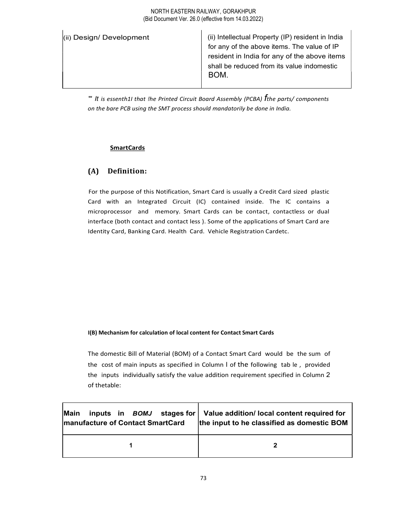| BOM. |
|------|
|      |

"' It is essenth1I that !he Printed Circuit Board Assembly (PCBA)  $f$ the parts/ components on the bare PCB using the SMT process should mandatorily be done in India.

#### **SmartCards**

# (A) Definition:

For the purpose of this Notification, Smart Card is usually a Credit Card sized plastic Card with an Integrated Circuit (IC) contained inside. The IC contains a microprocessor and memory. Smart Cards can be contact, contactless or dual interface (both contact and contact less ). Some of the applications of Smart Card are Identity Card, Banking Card. Health Card. Vehicle Registration Cardetc.

#### I(B) Mechanism for calculation of local content for Contact Smart Cards

The domestic Bill of Material (BOM) of a Contact Smart Card would be the sum of the cost of main inputs as specified in Column I of the following tab le , provided the inputs individually satisfy the value addition requirement specified in Column 2 of thetable:

| Main                                     | inputs in $BOMJ$ stages for Value addition/ local content required for |
|------------------------------------------|------------------------------------------------------------------------|
| <b>Imanufacture of Contact SmartCard</b> | the input to he classified as domestic BOM                             |
|                                          |                                                                        |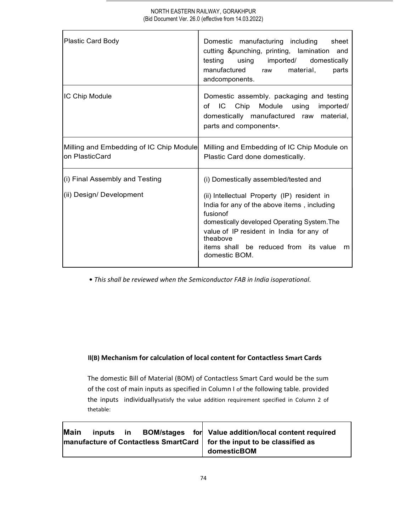| Plastic Card Body                                         | Domestic manufacturing including<br>sheet<br>cutting & punching, printing, lamination and<br>testing<br>using<br>imported/<br>domestically<br>manufactured<br>material,<br>parts<br>raw                                                                                    |
|-----------------------------------------------------------|----------------------------------------------------------------------------------------------------------------------------------------------------------------------------------------------------------------------------------------------------------------------------|
|                                                           | andcomponents.                                                                                                                                                                                                                                                             |
| IC Chip Module                                            | Domestic assembly. packaging and testing<br>IC Chip Module using<br>imported/<br>of<br>domestically manufactured raw material,<br>parts and components.                                                                                                                    |
| Milling and Embedding of IC Chip Module<br>on PlasticCard | Milling and Embedding of IC Chip Module on<br>Plastic Card done domestically.                                                                                                                                                                                              |
| (i) Final Assembly and Testing                            | (i) Domestically assembled/tested and                                                                                                                                                                                                                                      |
| (ii) Design/ Development                                  | (ii) Intellectual Property (IP) resident in<br>India for any of the above items, including<br>fusionof<br>domestically developed Operating System. The<br>value of IP resident in India for any of<br>theabove<br>items shall be reduced from its value m<br>domestic BOM. |

• This shall be reviewed when the Semiconductor FAB in India isoperational.

# ll(B) Mechanism for calculation of local content for Contactless Smart Cards

The domestic Bill of Material (BOM) of Contactless Smart Card would be the sum of the cost of main inputs as specified in Column I of the following table. provided the inputs individuallysatisfy the value addition requirement specified in Column 2 of thetable:

| Main | inputs in |  | BOM/stages for Value addition/local content required                     |
|------|-----------|--|--------------------------------------------------------------------------|
|      |           |  | manufacture of Contactless SmartCard   for the input to be classified as |
|      |           |  | domesticBOM                                                              |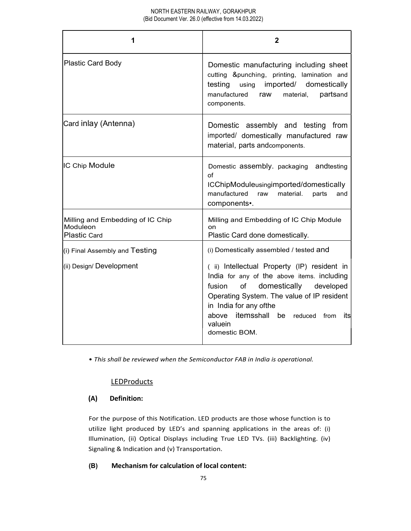| 1                                                            | 2                                                                                                                                                                                                                                                                                         |
|--------------------------------------------------------------|-------------------------------------------------------------------------------------------------------------------------------------------------------------------------------------------------------------------------------------------------------------------------------------------|
| Plastic Card Body                                            | Domestic manufacturing including sheet<br>cutting &punching, printing, lamination and<br>testing<br>using<br>imported/<br>domestically<br>manufactured<br>partsand<br>raw<br>material,<br>components.                                                                                     |
| Card inlay (Antenna)                                         | Domestic assembly and testing<br>from<br>imported/ domestically manufactured raw<br>material, parts andcomponents.                                                                                                                                                                        |
| IC Chip Module                                               | Domestic assembly. packaging and testing<br>of<br>ICChipModuleusingimported/domestically<br>manufactured<br>raw<br>material.<br>parts<br>and<br>components•.                                                                                                                              |
| Milling and Embedding of IC Chip<br>Moduleon<br>Plastic Card | Milling and Embedding of IC Chip Module<br>on<br>Plastic Card done domestically.                                                                                                                                                                                                          |
| (i) Final Assembly and Testing                               | (i) Domestically assembled / tested and                                                                                                                                                                                                                                                   |
| (ii) Design/ Development                                     | (ii) Intellectual Property (IP) resident in<br>India for any of the above items. including<br>domestically<br>of<br>developed<br>fusion<br>Operating System. The value of IP resident<br>in India for any ofthe<br>itemsshall<br>be reduced from its<br>above<br>valuein<br>domestic BOM. |

• This shall be reviewed when the Semiconductor FAB in India is operational.

# **LEDProducts**

# (A) Definition:

For the purpose of this Notification. LED products are those whose function is to utilize light produced by LED's and spanning applications in the areas of: (i) Illumination, (ii) Optical Displays including True LED TVs. (iii) Backlighting. (iv) Signaling & Indication and (v) Transportation.

## (B) Mechanism for calculation of local content: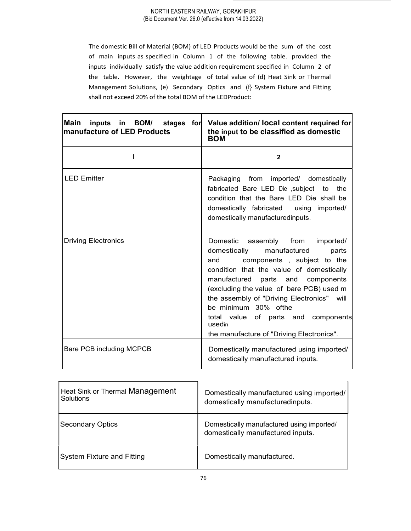The domestic Bill of Material (BOM) of LED Products would be the sum of the cost of main inputs as specified in Column 1 of the following table. provided the inputs individually satisfy the value addition requirement specified in Column 2 of the table. However, the weightage of total value of (d) Heat Sink or Thermal Management Solutions, (e) Secondary Optics and (f} System Fixture and Fitting shall not exceed 20% of the total BOM of the LEDProduct:

| Main<br>manufacture of LED Products | inputs in BOM/ stages for Value addition/ local content required for<br>the input to be classified as domestic<br><b>BOM</b>                                                                                                                                                                                                                                                                                             |
|-------------------------------------|--------------------------------------------------------------------------------------------------------------------------------------------------------------------------------------------------------------------------------------------------------------------------------------------------------------------------------------------------------------------------------------------------------------------------|
|                                     | $\mathbf{2}$                                                                                                                                                                                                                                                                                                                                                                                                             |
| <b>LED Emitter</b>                  | imported/<br>Packaging from<br>domestically<br>fabricated Bare LED Die subject to the<br>condition that the Bare LED Die shall be<br>domestically fabricated using imported/<br>domestically manufacturedinputs.                                                                                                                                                                                                         |
| <b>Driving Electronics</b>          | Domestic<br>assembly<br>from<br>imported/<br>domestically<br>manufactured<br>parts<br>components, subject to the<br>and<br>condition that the value of domestically<br>manufactured parts and components<br>(excluding the value of bare PCB) used m<br>the assembly of "Driving Electronics" will<br>be minimum 30% ofthe<br>total value of parts and components<br>usedin<br>the manufacture of "Driving Electronics". |
| <b>Bare PCB including MCPCB</b>     | Domestically manufactured using imported/<br>domestically manufactured inputs.                                                                                                                                                                                                                                                                                                                                           |

| Heat Sink or Thermal Management<br>Solutions | Domestically manufactured using imported/<br>domestically manufacturedinputs.  |  |
|----------------------------------------------|--------------------------------------------------------------------------------|--|
| Secondary Optics                             | Domestically manufactured using imported/<br>domestically manufactured inputs. |  |
| System Fixture and Fitting                   | Domestically manufactured.                                                     |  |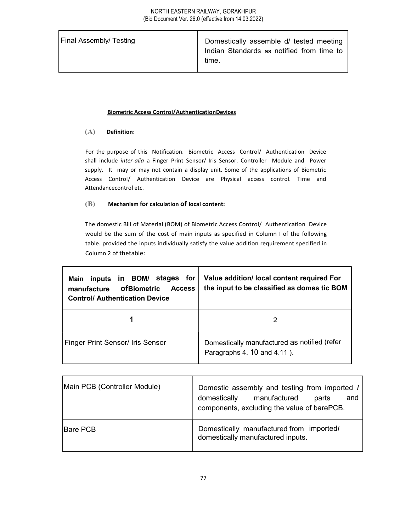| <b>Final Assembly/ Testing</b> | Domestically assemble d/ tested meeting<br>Indian Standards as notified from time to<br>time. |  |
|--------------------------------|-----------------------------------------------------------------------------------------------|--|
|--------------------------------|-----------------------------------------------------------------------------------------------|--|

#### Biometric Access Control/AuthenticationDevices

#### (A) Definition:

For the purpose of this Notification. Biometric Access Control/ Authentication Device shall include inter-alia a Finger Print Sensor/ Iris Sensor. Controller Module and Power supply. It may or may not contain a display unit. Some of the applications of Biometric Access Control/ Authentication Device are Physical access control. Time and Attendancecontrol etc.

#### (B) Mechanism for calculation of local content:

The domestic Bill of Material (BOM) of Biometric Access Control/ Authentication Device would be the sum of the cost of main inputs as specified in Column I of the following table. provided the inputs individually satisfy the value addition requirement specified in Column 2 of thetable:

| inputs in BOM/ stages for<br>Main<br><b>ofBiometric</b><br><b>Access</b><br>manufacture<br><b>Control/ Authentication Device</b> | Value addition/ local content required For<br>the input to be classified as domes tic BOM |
|----------------------------------------------------------------------------------------------------------------------------------|-------------------------------------------------------------------------------------------|
|                                                                                                                                  |                                                                                           |
| <b>Finger Print Sensor/ Iris Sensor</b>                                                                                          | Domestically manufactured as notified (refer<br>Paragraphs 4. 10 and 4.11).               |

| Main PCB (Controller Module) | Domestic assembly and testing from imported /<br>manufactured<br>domestically<br>parts<br>and<br>components, excluding the value of barePCB. |
|------------------------------|----------------------------------------------------------------------------------------------------------------------------------------------|
| <b>IBare PCB</b>             | Domestically manufactured from imported/<br>domestically manufactured inputs.                                                                |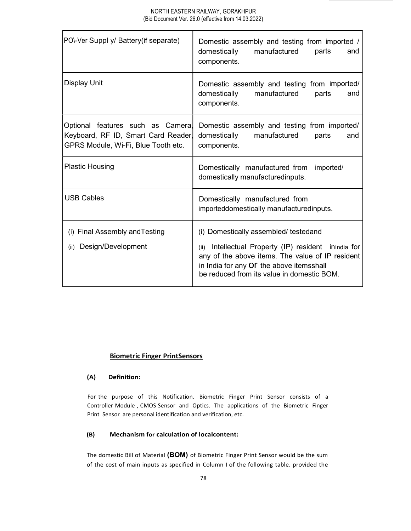| PO\-Ver Suppl y/ Battery(if separate)                                                                           | Domestic assembly and testing from imported /<br>domestically<br>manufactured<br>parts<br>and<br>components.                                                                                                                                   |
|-----------------------------------------------------------------------------------------------------------------|------------------------------------------------------------------------------------------------------------------------------------------------------------------------------------------------------------------------------------------------|
| Display Unit                                                                                                    | Domestic assembly and testing from imported/<br>domestically<br>manufactured<br>parts<br>and<br>components.                                                                                                                                    |
| Optional features such as Camera,<br>Keyboard, RF ID, Smart Card Reader,<br>GPRS Module, Wi-Fi, Blue Tooth etc. | Domestic assembly and testing from imported/<br>domestically<br>manufactured<br>parts<br>and<br>components.                                                                                                                                    |
| <b>Plastic Housing</b>                                                                                          | Domestically manufactured from<br>imported/<br>domestically manufacturedinputs.                                                                                                                                                                |
| <b>USB Cables</b>                                                                                               | Domestically manufactured from<br>importeddomestically manufacturedinputs.                                                                                                                                                                     |
| (i) Final Assembly and Testing<br>Design/Development<br>(ii)                                                    | (i) Domestically assembled/ testedand<br>Intellectual Property (IP) resident inindia for<br>(ii)<br>any of the above items. The value of IP resident<br>in India for any Of the above itemsshall<br>be reduced from its value in domestic BOM. |

## Biometric Finger PrintSensors

#### (A) Definition:

For the purpose of this Notification. Biometric Finger Print Sensor consists of a Controller Module , CMOS Sensor and Optics. The applications of the Biometric Finger Print Sensor are personal identification and verification, etc.

#### (B) Mechanism for calculation of localcontent:

The domestic Bill of Material (BOM) of Biometric Finger Print Sensor would be the sum of the cost of main inputs as specified in Column I of the following table. provided the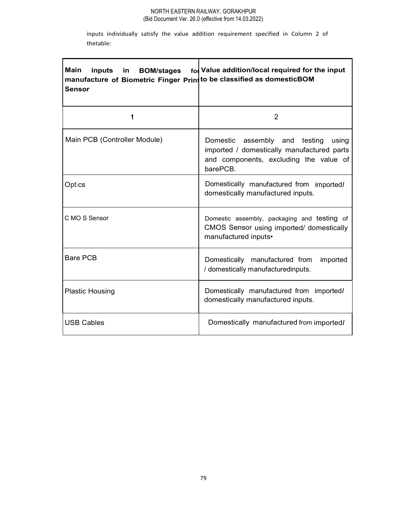inputs individually satisfy the value addition requirement specified in Column 2 of thetable:

| Main<br>inputs<br>in BOM/stages<br>manufacture of Biometric Finger Print to be classified as domesticBOM<br><b>Sensor</b> | fol Value addition/local required for the input                                                                                         |
|---------------------------------------------------------------------------------------------------------------------------|-----------------------------------------------------------------------------------------------------------------------------------------|
| 1                                                                                                                         | 2                                                                                                                                       |
| Main PCB (Controller Module)                                                                                              | Domestic assembly and testing using<br>imported / domestically manufactured parts<br>and components, excluding the value of<br>barePCB. |
| Optics                                                                                                                    | Domestically manufactured from imported/<br>domestically manufactured inputs.                                                           |
| C MO S Sensor                                                                                                             | Domestic assembly, packaging and testing of<br>CMOS Sensor using imported/ domestically<br>manufactured inputs•                         |
| Bare PCB                                                                                                                  | Domestically manufactured from<br>imported<br>/ domestically manufacturedinputs.                                                        |
| Plastic Housing                                                                                                           | Domestically manufactured from imported/<br>domestically manufactured inputs.                                                           |
| USB Cables                                                                                                                | Domestically manufactured from imported/                                                                                                |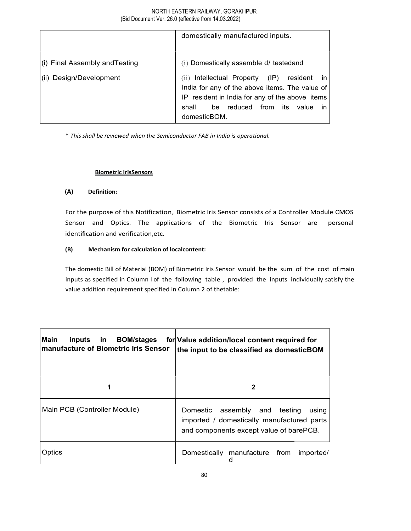|                                | domestically manufactured inputs.                                                                                                                                                                                                                |
|--------------------------------|--------------------------------------------------------------------------------------------------------------------------------------------------------------------------------------------------------------------------------------------------|
| (i) Final Assembly and Testing | (i) Domestically assemble d/ testedand                                                                                                                                                                                                           |
| (ii) Design/Development        | Intellectual Property<br>$(\mathsf{IP})$<br>resident<br>(ii)<br>-in<br>India for any of the above items. The value of<br>IP resident in India for any of the above items<br>reduced<br>shall<br>from<br>value<br>its<br>be<br>ın<br>domesticBOM. |

\* This shall be reviewed when the Semiconductor FAB in India is operational.

#### Biometric IrisSensors

### (A) Definition:

For the purpose of this Notification, Biometric Iris Sensor consists of a Controller Module CMOS Sensor and Optics. The applications of the Biometric Iris Sensor are personal identification and verification,etc.

### (B) Mechanism for calculation of localcontent:

The domestic Bill of Material (BOM) of Biometric Iris Sensor would be the sum of the cost of main inputs as specified in Column I of the following table , provided the inputs individually satisfy the value addition requirement specified in Column 2 of thetable:

| Main<br><b>BOM/stages</b><br>inputs<br>-in<br><b>Imanufacture of Biometric Iris Sensor</b> | for Value addition/local content required for<br>the input to be classified as domesticBOM                                         |
|--------------------------------------------------------------------------------------------|------------------------------------------------------------------------------------------------------------------------------------|
|                                                                                            |                                                                                                                                    |
| Main PCB (Controller Module)                                                               | assembly and testing<br>Domestic<br>using<br>imported / domestically manufactured parts<br>and components except value of barePCB. |
| <b>Optics</b>                                                                              | Domestically manufacture from<br>imported/                                                                                         |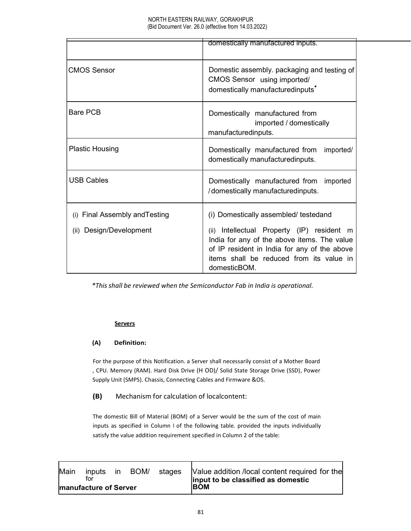|                                   | domestically manufactured inputs.                                                                                                                                                                        |  |
|-----------------------------------|----------------------------------------------------------------------------------------------------------------------------------------------------------------------------------------------------------|--|
|                                   |                                                                                                                                                                                                          |  |
| <b>CMOS Sensor</b>                | Domestic assembly. packaging and testing of<br>CMOS Sensor using imported/<br>domestically manufacturedinputs'                                                                                           |  |
| <b>Bare PCB</b>                   | Domestically manufactured from<br>imported / domestically<br>manufacturedinputs.                                                                                                                         |  |
| <b>Plastic Housing</b>            | Domestically manufactured from<br>imported/<br>domestically manufacturedinputs.                                                                                                                          |  |
| <b>USB Cables</b>                 | Domestically manufactured from<br>imported<br>/domestically manufacturedinputs.                                                                                                                          |  |
| Final Assembly and Testing<br>(i) | (i) Domestically assembled/ testedand                                                                                                                                                                    |  |
| Design/Development<br>(ii)        | Intellectual Property (IP) resident m<br>(ii)<br>India for any of the above items. The value<br>of IP resident in India for any of the above<br>items shall be reduced from its value in<br>domesticBOM. |  |

\*This shall be reviewed when the Semiconductor Fab in India is operational.

#### **Servers**

### (A) Definition:

For the purpose of this Notification. a Server shall necessarily consist of a Mother Board , CPU. Memory (RAM). Hard Disk Drive (H OD)/ Solid State Storage Drive (SSD), Power Supply Unit (SMPS). Chassis, Connecting Cables and Firmware &OS.

(B) Mechanism for calculation of localcontent:

The domestic Bill of Material (BOM) of a Server would be the sum of the cost of main inputs as specified in Column I of the following table. provided the inputs individually satisfy the value addition requirement specified in Column 2 of the table:

| Main | inputs<br>tor                 | ın | BOM/ | stages | Value addition /local content required for the<br>input to be classified as domestic |
|------|-------------------------------|----|------|--------|--------------------------------------------------------------------------------------|
|      | <b>Imanufacture of Server</b> |    |      |        | <b>IBOM</b>                                                                          |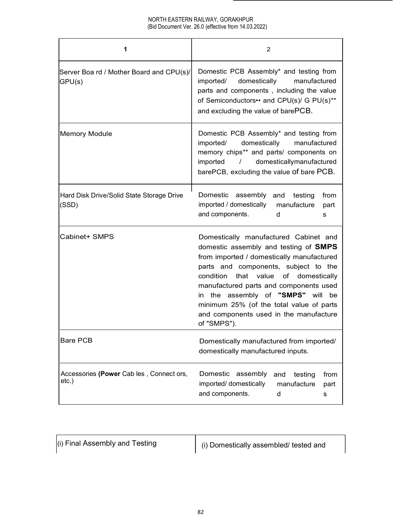| 1                                                  | 2                                                                                                                                                                                                                                                                                                                                                                                                      |
|----------------------------------------------------|--------------------------------------------------------------------------------------------------------------------------------------------------------------------------------------------------------------------------------------------------------------------------------------------------------------------------------------------------------------------------------------------------------|
| Server Boa rd / Mother Board and CPU(s)/<br>GPU(s) | Domestic PCB Assembly* and testing from<br>imported/<br>domestically<br>manufactured<br>parts and components, including the value<br>of Semiconductors •• and CPU(s)/ G PU(s)**<br>and excluding the value of barePCB.                                                                                                                                                                                 |
| Memory Module                                      | Domestic PCB Assembly* and testing from<br>imported/<br>domestically<br>manufactured<br>memory chips** and parts/ components on<br>domesticallymanufactured<br>imported<br>$\prime$<br>barePCB, excluding the value of bare PCB.                                                                                                                                                                       |
| Hard Disk Drive/Solid State Storage Drive<br>(SSD) | Domestic assembly and testing<br>from<br>imported / domestically<br>manufacture<br>part<br>and components.<br>d<br>s                                                                                                                                                                                                                                                                                   |
| Cabinet+ SMPS                                      | Domestically manufactured Cabinet and<br>domestic assembly and testing of <b>SMPS</b><br>from imported / domestically manufactured<br>parts and components, subject to the<br>condition that value of domestically<br>manufactured parts and components used<br>in the assembly of "SMPS" will be<br>minimum 25% (of the total value of parts<br>and components used in the manufacture<br>of "SMPS"). |
| <b>Bare PCB</b>                                    | Domestically manufactured from imported/<br>domestically manufactured inputs.                                                                                                                                                                                                                                                                                                                          |
| Accessories (Power Cab les, Connect ors,<br>etc.)  | Domestic assembly<br>and<br>testing<br>from<br>imported/ domestically<br>manufacture<br>part<br>and components.<br>d<br>s                                                                                                                                                                                                                                                                              |

| (i) Final Assembly and Testing | (i) Domestically assembled/ tested and |
|--------------------------------|----------------------------------------|
|--------------------------------|----------------------------------------|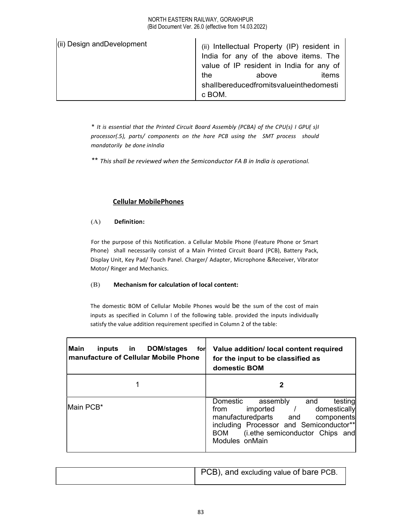| (ii) Design and Development | (ii) Intellectual Property (IP) resident in<br>India for any of the above items. The |       |
|-----------------------------|--------------------------------------------------------------------------------------|-------|
|                             | value of IP resident in India for any of                                             |       |
|                             | the<br>above                                                                         | items |
|                             | shallbereducedfromitsvalueinthedomesti                                               |       |
|                             | c BOM.                                                                               |       |

\* It is essential that the Printed Circuit Board Assembly (PCBA) of the CPU(s) I GPU( s)I processor(.5), parts/ components on the hare PCB using the SMT process should mandatorily be done inIndia

\*\* This shall be reviewed when the Semiconductor FA B in India is operational.

# Cellular MobilePhones

### (A) Definition:

For the purpose of this Notification. a Cellular Mobile Phone (Feature Phone or Smart Phone) shall necessarily consist of a Main Printed Circuit Board (PCB), Battery Pack, Display Unit, Key Pad/ Touch Panel. Charger/ Adapter, Microphone &Receiver, Vibrator Motor/ Ringer and Mechanics.

#### (B) Mechanism for calculation of local content:

The domestic BOM of Cellular Mobile Phones would be the sum of the cost of main inputs as specified in Column I of the following table. provided the inputs individually satisfy the value addition requirement specified in Column 2 of the table:

| l Main<br>DOM/stages<br>inputs<br>in.<br>for<br>manufacture of Cellular Mobile Phone | Value addition/ local content required<br>for the input to be classified as<br>domestic BOM                                                                                                                                      |
|--------------------------------------------------------------------------------------|----------------------------------------------------------------------------------------------------------------------------------------------------------------------------------------------------------------------------------|
|                                                                                      |                                                                                                                                                                                                                                  |
| Main PCB*                                                                            | testing<br>Domestic<br>assembly<br>and<br>domestically<br>imported<br>from<br>manufacturedparts and<br>components<br>including Processor and Semiconductor**<br>(i.ethe semiconductor Chips and<br><b>BOM</b><br>Modules on Main |

|  | PCB), and excluding value of bare PCB. |
|--|----------------------------------------|
|--|----------------------------------------|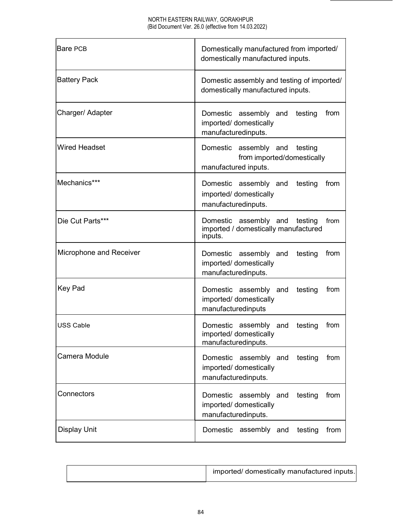| Bare PCB                | Domestically manufactured from imported/<br>domestically manufactured inputs.             |
|-------------------------|-------------------------------------------------------------------------------------------|
| Battery Pack            | Domestic assembly and testing of imported/<br>domestically manufactured inputs.           |
| Charger/ Adapter        | Domestic assembly and<br>testing<br>from<br>imported/ domestically<br>manufacturedinputs. |
| <b>Wired Headset</b>    | Domestic assembly and testing<br>from imported/domestically<br>manufactured inputs.       |
| Mechanics***            | Domestic assembly and<br>from<br>testing<br>imported/ domestically<br>manufacturedinputs. |
| Die Cut Parts***        | Domestic assembly and testing<br>from<br>imported / domestically manufactured<br>inputs.  |
| Microphone and Receiver | from<br>Domestic assembly and<br>testing<br>imported/ domestically<br>manufacturedinputs. |
| Key Pad                 | Domestic assembly and<br>testing<br>from<br>imported/ domestically<br>manufacturedinputs  |
| <b>USS Cable</b>        | Domestic assembly and<br>testing<br>from<br>imported/ domestically<br>manufacturedinputs. |
| Camera Module           | Domestic assembly and<br>testing<br>from<br>imported/ domestically<br>manufacturedinputs. |
| Connectors              | Domestic assembly and<br>testing<br>from<br>imported/ domestically<br>manufacturedinputs. |
| <b>Display Unit</b>     | Domestic assembly and testing<br>from                                                     |

| imported/ domestically manufactured inputs. |
|---------------------------------------------|
|---------------------------------------------|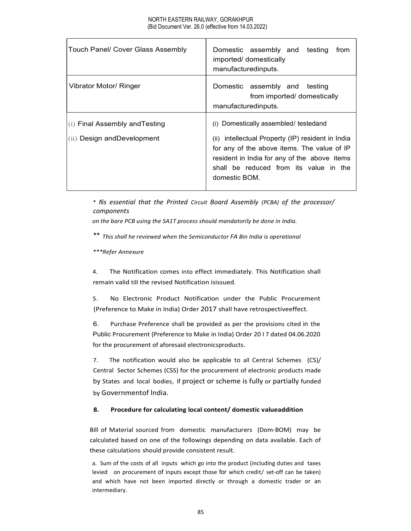| Touch Panel/ Cover Glass Assembly                               | Domestic assembly and testing from<br>imported/ domestically<br>manufacturedinputs.                                                                                                                                                                  |
|-----------------------------------------------------------------|------------------------------------------------------------------------------------------------------------------------------------------------------------------------------------------------------------------------------------------------------|
| Vibrator Motor/ Ringer                                          | Domestic assembly and testing<br>from imported/ domestically<br>manufacturedinputs.                                                                                                                                                                  |
| $(i)$ Final Assembly and Testing<br>(ii) Design and Development | (i) Domestically assembled/ testedand<br>(ii) intellectual Property (IP) resident in India<br>for any of the above items. The value of IP<br>resident in India for any of the above items<br>shall be reduced from its value in the<br>domestic BOM. |

\* flis essential that the Printed Circuit Board Assembly (PCBA) of the processor/ components

on the bare PCB using the SA1T process should mandatorily be done in India.

\*\* This shall he reviewed when the Semiconductor FA Bin India is operational

\*\*\*Refer Annexure

4. The Notification comes into effect immediately. This Notification shall remain valid till the revised Notification isissued.

5. No Electronic Product Notification under the Public Procurement (Preference to Make in India) Order 2017 shall have retrospectiveeffect.

6. Purchase Preference shall be provided as per the provisions cited in the Public Procurement (Preference to Make in India) Order 20 I 7 dated 04.06.2020 for the procurement of aforesaid electronicsproducts.

7. The notification would also be applicable to all Central Schemes (CS)/ Central Sector Schemes (CSS) for the procurement of electronic products made by States and local bodies, if project or scheme is fully or partially funded by Governmentof lndia.

#### 8. Procedure for calculating local content/ domestic valueaddition

Bill of Material sourced from domestic manufacturers (Dom-BOM) may be calculated based on one of the followings depending on data available. Each of these calculations should provide consistent result.

a. Sum of the costs of all inputs which go into the product (including duties and taxes levied on procurement of inputs except those for which credit/ set-off can be taken) and which have not been imported directly or through a domestic trader or an intermediary.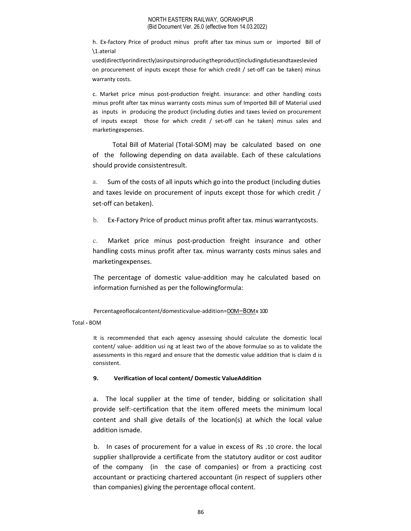h. Ex-factory Price of product minus profit after tax minus sum or imported Bill of \1.aterial

used(directlyorindirectly)asinputsinproducingtheproduct(includingdutiesandtaxeslevied on procurement of inputs except those for which credit / set-off can be taken) minus warranty costs.

c. Market price minus post-production freight. insurance: and other handling costs minus profit after tax minus warranty costs minus sum of Imported Bill of Material used as inputs in producing the product (including duties and taxes levied on procurement of inputs except those for which credit / set-off can he taken) minus sales and marketingexpenses.

Total Bill of Material (Total-SOM) may be calculated based on one of the following depending on data available. Each of these calculations should provide consistentresult.

a. Sum of the costs of all inputs which go into the product (including duties and taxes levide on procurement of inputs except those for which credit / set-off can betaken).

b. Ex-Factory Price of product minus profit after tax. minus warrantycosts.

c. Market price minus post-production freight insurance and other handling costs minus profit after tax. minus warranty costs minus sales and marketingexpenses.

The percentage of domestic value-addition may he calculated based on information furnished as per the followingformula:

Percentageoflocalcontent/domesticvalue-addition=DOM –BOM x 100

Total - BOM

It is recommended that each agency assessing should calculate the domestic local content/ value- addition usi ng at least two of the above formulae so as to validate the assessments in this regard and ensure that the domestic value addition that is claim d is consistent.

#### 9. Verification of local content/ Domestic ValueAddition

a. The local supplier at the time of tender, bidding or solicitation shall provide self:-certification that the item offered meets the minimum local content and shall give details of the location(s) at which the local value addition ismade.

b. In cases of procurement for a value in excess of Rs .10 crore. the local supplier shallprovide a certificate from the statutory auditor or cost auditor of the company (in the case of companies) or from a practicing cost accountant or practicing chartered accountant (in respect of suppliers other than companies) giving the percentage oflocal content.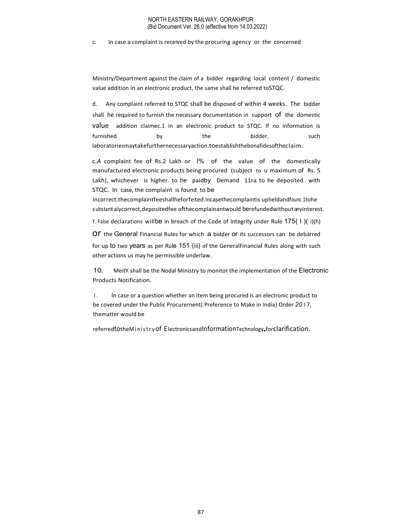c. In case a complaint is received by the procuring agency or the concerned

Ministry/Department against the claim of a bidder regarding local content / domestic value addition in an electronic product, the same shall he referred toSTQC.

d. Any complaint referred to STQC shall be disposed of within 4 weeks. The bidder shall he required to furnish the necessary documentation in support of the domestic value addition claimec.1 in an electronic product to STQC. If no information is furnished by the bidder. such laboratoriesmaytakefurthernecessaryaction.toestablishthebonafidesoftheclaim.

c.A complaint fee of Rs.2 Lakh or I% of the value of the domestically manufactured electronic products being procured (subject to u maximum of Rs. 5 Lakh), whichever is higher. to he paidby Demand 11ra to he deposited with STQC. In case, the complaint is found to be EA complaint fee of IS: 2 Lakh or "<sup>96</sup> of the value of the admentically<br>manufactured electronic products being procured (subject to u maximum of Rs. 5<br>Iakh), whichever is higher. to he paidby Demand 11ra to he deposited w

incorrect.thecomplaintfeeshallheforfeited.Incasethecomplaintis upheldandfounc.1tohe substantiallycorrect,depositedfee ofthecomplainantwould berefundedwithout anyinterest.

f. False declarations willbe in breach of the Code of Integrity under Rule  $175(1)(i)$ (h)

OF the General Financial Rules for which a bidder OF its successors can be debarred for up to two years as per Rule 151 (iii) of the GeneralFinancial Rules along with such other actions us may he permissible underlaw.

10. MeitY shall be the Nodal Ministry to monitor the implementation of the Electronic Products Notification.

I. In case or a question whether an item being procured is an electronic product to be covered under the Public Procurernent( Preference to Make in India) Order 2017, thematter would be

referred to the Ministry of Electronics and Information Technology for clarification.